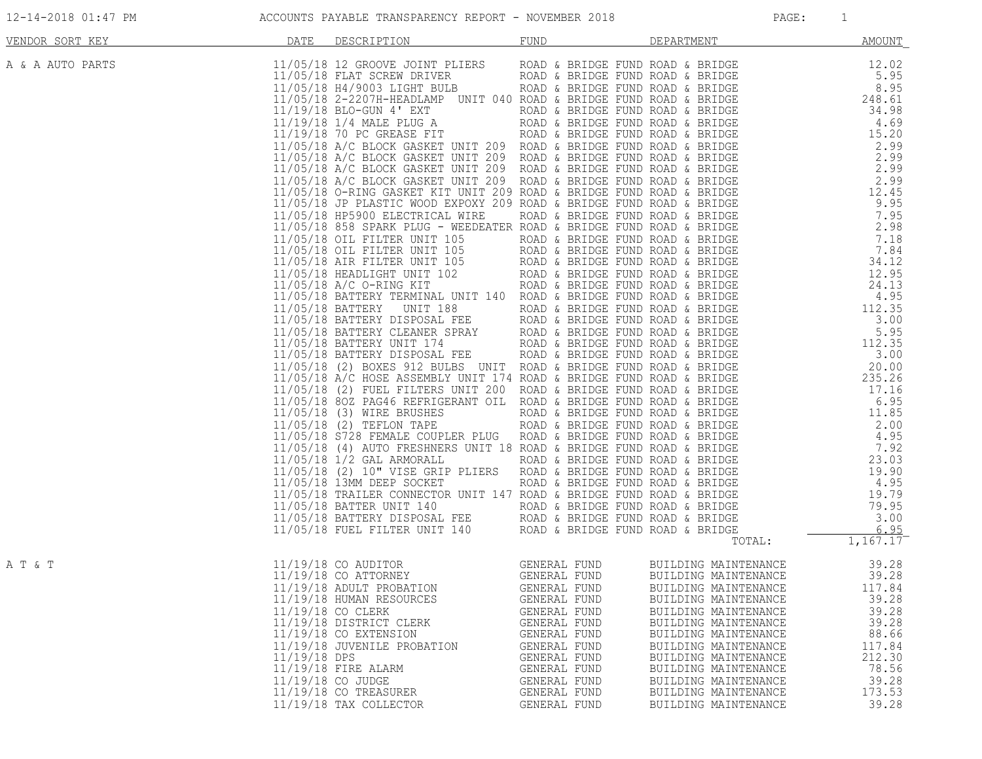| VENDOR SORT KEY  | DATE         | DESCRIPTION                                                                                                                                                                                                                                                                | FUND                                                                                                                                                         | DEPARTMENT                                                                                                                                                                                                                                                                                                           | <b>AMOUNT</b>                                                                                                         |
|------------------|--------------|----------------------------------------------------------------------------------------------------------------------------------------------------------------------------------------------------------------------------------------------------------------------------|--------------------------------------------------------------------------------------------------------------------------------------------------------------|----------------------------------------------------------------------------------------------------------------------------------------------------------------------------------------------------------------------------------------------------------------------------------------------------------------------|-----------------------------------------------------------------------------------------------------------------------|
| A & A AUTO PARTS |              |                                                                                                                                                                                                                                                                            |                                                                                                                                                              |                                                                                                                                                                                                                                                                                                                      |                                                                                                                       |
|                  |              |                                                                                                                                                                                                                                                                            |                                                                                                                                                              |                                                                                                                                                                                                                                                                                                                      |                                                                                                                       |
|                  |              |                                                                                                                                                                                                                                                                            |                                                                                                                                                              |                                                                                                                                                                                                                                                                                                                      |                                                                                                                       |
|                  |              |                                                                                                                                                                                                                                                                            |                                                                                                                                                              |                                                                                                                                                                                                                                                                                                                      |                                                                                                                       |
| A T & T          | 11/19/18 DPS | 11/19/18 ADULT PROBATION GENERAL FUND<br>11/19/18 HUMAN RESOURCES<br>11/19/18 CO CLERK<br>11/19/18 DISTRICT CLERK<br>11/19/18 CO EXTENSION<br>11/19/18 JUVENILE PROBATION<br>11/19/18 FIRE ALARM<br>11/19/18 CO JUDGE<br>$11/19/18$ CO TREASURER<br>11/19/18 TAX COLLECTOR | GENERAL FUND<br>GENERAL FUND<br>GENERAL FUND<br>GENERAL FUND<br>GENERAL FUND<br>GENERAL FUND<br>GENERAL FUND<br>GENERAL FUND<br>GENERAL FUND<br>GENERAL FUND | BUILDING MAINTENANCE<br>BUILDING MAINTENANCE<br>BUILDING MAINTENANCE<br>BUILDING MAINTENANCE<br>BUILDING MAINTENANCE<br>BUILDING MAINTENANCE<br>BUILDING MAINTENANCE<br>BUILDING MAINTENANCE<br>BUILDING MAINTENANCE<br>BUILDING MAINTENANCE<br>BUILDING MAINTENANCE<br>BUILDING MAINTENANCE<br>BUILDING MAINTENANCE | 39.28<br>39.28<br>117.84<br>39.28<br>39.28<br>39.28<br>88.66<br>117.84<br>212.30<br>78.56<br>39.28<br>173.53<br>39.28 |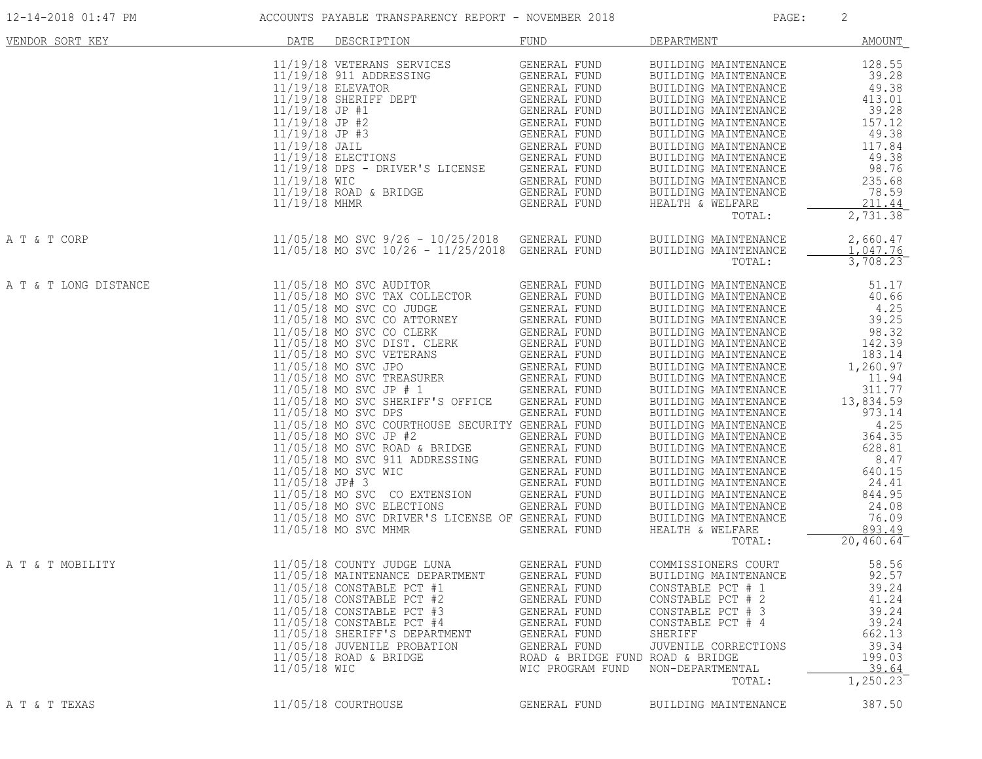| VENDOR SORT KEY       | DATE                          | DESCRIPTION                                                                                                                                                                                                                                                                                                                                                                                                                                                                                                                                                                                                                                                                                                                                                                                                                                   | <b>FUND</b>                                                                                                                                                                 | DEPARTMENT                                                                                                                                                                                                                                                                                                                                                                                                                                                                                                                                                                        | <b>AMOUNT</b>                                                                                                                                                                                                                               |
|-----------------------|-------------------------------|-----------------------------------------------------------------------------------------------------------------------------------------------------------------------------------------------------------------------------------------------------------------------------------------------------------------------------------------------------------------------------------------------------------------------------------------------------------------------------------------------------------------------------------------------------------------------------------------------------------------------------------------------------------------------------------------------------------------------------------------------------------------------------------------------------------------------------------------------|-----------------------------------------------------------------------------------------------------------------------------------------------------------------------------|-----------------------------------------------------------------------------------------------------------------------------------------------------------------------------------------------------------------------------------------------------------------------------------------------------------------------------------------------------------------------------------------------------------------------------------------------------------------------------------------------------------------------------------------------------------------------------------|---------------------------------------------------------------------------------------------------------------------------------------------------------------------------------------------------------------------------------------------|
|                       | 11/19/18 WIC<br>11/19/18 MHMR | ENTERNE SENERAL FUND<br>BRIDGE GENERAL FUND<br>GENERAL FUND<br>11/19/18 ROAD & BRIDGE                                                                                                                                                                                                                                                                                                                                                                                                                                                                                                                                                                                                                                                                                                                                                         |                                                                                                                                                                             | BUILDING MAINTENANCE<br>BUILDING MAINTENANCE<br>BUILDING MAINTENANCE<br>BUILDING MAINTENANCE<br>BUILDING MAINTENANCE<br>BUILDING MAINTENANCE<br>BUILDING MAINTENANCE<br>BUILDING MAINTENANCE<br>BUILDING MAINTENANCE<br>BUILDING MAINTENANCE<br>BUILDING MAINTENANCE<br>BUILDING MAI<br>BUILDING MAINTENANCE<br>HEALTH & WELFARE<br>TOTAL:                                                                                                                                                                                                                                        | 128.55<br>39.28<br>49.38<br>413.01<br>39.28<br>157.12<br>49.38<br>117.84<br>49.38<br>98.76<br>235.68<br>78.59<br>211.44<br>2,731.38                                                                                                         |
| A T & T CORP          |                               | 11/05/18 MO SVC 9/26 - 10/25/2018 GENERAL FUND<br>11/05/18 MO SVC 10/26 - 11/25/2018 GENERAL FUND                                                                                                                                                                                                                                                                                                                                                                                                                                                                                                                                                                                                                                                                                                                                             |                                                                                                                                                                             | BUILDING MAINTENANCE<br>BUILDING MAINTENANCE<br>TOTAL:                                                                                                                                                                                                                                                                                                                                                                                                                                                                                                                            | 2,660.47<br>1,047.76<br>3,708.23                                                                                                                                                                                                            |
| A T & T LONG DISTANCE |                               | 11/05/18 MO SVC AUDITOR<br>11/05/18 MO SVC TAX COLLECTOR<br>11/05/18 MO SVC TAX COLLECTOR GENERAL FUND<br>11/05/18 MO SVC CO JUDGE GENERAL FUND<br>11/05/18 MO SVC CO CLERK GENERAL FUND<br>11/05/18 MO SVC DIST. CLERK GENERAL FUND<br>11/05/18 MO SVC JPO GENERAL FUND<br>11/05/18 MO SVC JPO GENE<br>11/05/18 MO SVC SHERIFF'S OFFICE<br>11/05/18 MO SVC DPS<br>11/05/18 MO SVC COURTHOUSE SECURITY GENERAL FUND<br>11/05/18 MO SVC COUNTROLS SERVERAL FUND<br>11/05/18 MO SVC ROAD & BRIDGE GENERAL FUND<br>11/05/18 MO SVC 911 ADDRESSING GENERAL FUND<br>11/05/18 MO SVC WIC GENERAL FUND<br>11/05/18 JP# 3 GENERAL FUND<br>11/05/18 JP# 3 GENERAL FUND<br>11/05/18 MO SVC CO EXTENSION GENERAL FUND<br>11/05/18 MO SVC ELECTIONS GENERAL FUND<br>11/05/18 MO SVC DRIVER'S LICENSE OF GENERAL FUND<br>11/05/18 MO SVC MHMR GENERAL FUND | GENERAL FUND<br>GENERAL FUND                                                                                                                                                | BUILDING MAINTENANCE<br>BUILDING MAINTENANCE<br>BUILDING MAINTENANCE<br>BUILDING MAINTENANCE<br>BUILDING MAINTENANCE<br>BUILDING MAINTENANCE<br>BUILDING MAINTENANCE<br>BUILDING MAINTENANCE<br>BUILDING MAINTENANCE<br>BUILDING MAINTENANCE<br>BUILDING MAINTENANCE<br>BUILDING MAINTENANCE<br>I3,<br>JUILDING MAINTENANCE<br>BUILDING MAINTENANCE<br>BUILDING MAINTENANCE<br>BUILDING MAINTENANCE<br>BUILDING MAINTENANCE<br>BUILDING MAINTENANCE<br>RUILDING MAINTENANCE<br>BUILDING MAINTENANCE<br>BUILDING MAINTENANCE<br>BUILDING MAINTENANCE<br>HEALTH & WELFARE<br>TOTAL: | 51.17<br>40.66<br>4.25<br>39.25<br>98.32<br>142.39<br>183.14<br>1,260.97<br>11.94<br>311.77<br>13,834.59<br>973.14<br>4.25<br>364.35<br>628.81<br>8.47<br>640.15<br>24.41<br>844.95<br>24.08<br>76.09<br>893.49<br>$20,460.64$ <sup>-</sup> |
| A T & T MOBILITY      | 11/05/18 WIC                  | 11/05/18 COUNTY JUDGE LUNA GENERAL FUND<br>11/05/18 MAINTENANCE DEPARTMENT<br>11/05/18 CONSTABLE PCT #1<br>11/05/18 CONSTABLE PCT #2<br>11/05/18 CONSTABLE PCT #3<br>11/05/18 CONSTABLE PCT #4<br>11/05/18 SHERIFF'S DEPARTMENT<br>11/05/18 JUVENILE PROBATION<br>$11/05/18$ ROAD & BRIDGE                                                                                                                                                                                                                                                                                                                                                                                                                                                                                                                                                    | <b>GENERAL FUND</b><br>GENERAL FUND<br>GENERAL FUND<br>GENERAL FUND<br>GENERAL FUND<br>GENERAL FUND<br>GENERAL FUND<br>ROAD & BRIDGE FUND ROAD & BRIDGE<br>WIC PROGRAM FUND | COMMISSIONERS COURT<br>BUILDING MAINTENANCE<br>CONSTABLE PCT # 1<br>CONSTABLE PCT # 2<br>CONSTABLE PCT # 3<br>CONSTABLE PCT # 4<br>SHERIFF<br>JUVENILE CORRECTIONS<br>NON-DEPARTMENTAL<br>TOTAL:                                                                                                                                                                                                                                                                                                                                                                                  | 58.56<br>92.57<br>39.24<br>41.24<br>39.24<br>39.24<br>662.13<br>39.34<br>199.03<br>39.64<br>1,250.23                                                                                                                                        |
| A T & T TEXAS         |                               | 11/05/18 COURTHOUSE                                                                                                                                                                                                                                                                                                                                                                                                                                                                                                                                                                                                                                                                                                                                                                                                                           | GENERAL FUND                                                                                                                                                                | BUILDING MAINTENANCE                                                                                                                                                                                                                                                                                                                                                                                                                                                                                                                                                              | 387.50                                                                                                                                                                                                                                      |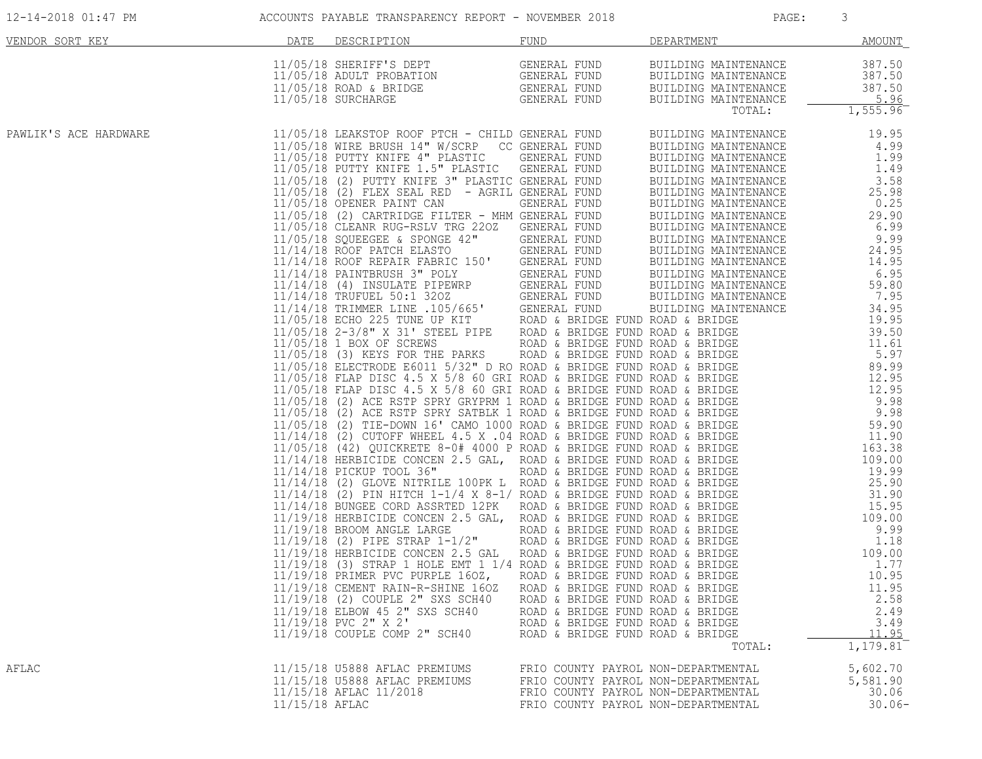| 12-14-2018 01:47 PM |  |  |  |
|---------------------|--|--|--|
|---------------------|--|--|--|

### ACCOUNTS PAYABLE TRANSPARENCY REPORT - NOVEMBER 2018 PAGE: PAGE: 3

| VENDOR SORT KEY       | DATE           | DESCRIPTION                                                        | <b>FUND</b>                                                                | DEPARTMENT | AMOUNT                                   |
|-----------------------|----------------|--------------------------------------------------------------------|----------------------------------------------------------------------------|------------|------------------------------------------|
|                       |                |                                                                    |                                                                            |            |                                          |
|                       |                |                                                                    |                                                                            |            |                                          |
| PAWLIK'S ACE HARDWARE |                |                                                                    |                                                                            |            |                                          |
|                       |                |                                                                    |                                                                            |            |                                          |
|                       |                |                                                                    |                                                                            |            |                                          |
|                       |                |                                                                    |                                                                            |            |                                          |
|                       |                |                                                                    |                                                                            |            |                                          |
|                       |                |                                                                    |                                                                            |            |                                          |
|                       |                |                                                                    |                                                                            |            |                                          |
|                       |                |                                                                    |                                                                            |            |                                          |
|                       |                |                                                                    |                                                                            |            |                                          |
|                       |                |                                                                    |                                                                            |            |                                          |
|                       |                |                                                                    |                                                                            |            |                                          |
|                       |                |                                                                    |                                                                            |            |                                          |
|                       |                |                                                                    |                                                                            |            |                                          |
|                       |                |                                                                    |                                                                            |            |                                          |
|                       |                |                                                                    |                                                                            |            |                                          |
|                       |                |                                                                    |                                                                            |            |                                          |
|                       |                |                                                                    |                                                                            |            |                                          |
|                       |                | 11/19/18 CEMENT RAIN-R-SHINE 160Z ROAD & BRIDGE FUND ROAD & BRIDGE |                                                                            |            | 11.95                                    |
|                       |                | 11/19/18 (2) COUPLE 2" SXS SCH40<br>11/19/18 ELBOW 45 2" SXS SCH40 | ROAD & BRIDGE FUND ROAD & BRIDGE<br>ROAD & BRIDGE FUND ROAD & BRIDGE       |            | 2.58<br>2.49                             |
|                       |                | $11/19/18$ PVC $2"$ X $2'$<br>11/19/18 COUPLE COMP 2" SCH40        | ROAD & BRIDGE FUND ROAD & BRIDGE<br>ROAD & BRIDGE FUND ROAD & BRIDGE       | TOTAL:     | 3.49<br>11.95<br>$1,179.81$ <sup>-</sup> |
| AFLAC                 |                | 11/15/18 U5888 AFLAC PREMIUMS                                      | FRIO COUNTY PAYROL NON-DEPARTMENTAL                                        |            |                                          |
|                       |                | 11/15/18 U5888 AFLAC PREMIUMS<br>11/15/18 AFLAC 11/2018            | FRIO COUNTY PAYROL NON-DEPARTMENTAL<br>FRIO COUNTY PAYROL NON-DEPARTMENTAL |            | 5,602.70<br>5,581.90<br>30.06            |
|                       | 11/15/18 AFLAC |                                                                    | FRIO COUNTY PAYROL NON-DEPARTMENTAL                                        |            | $30.06 -$                                |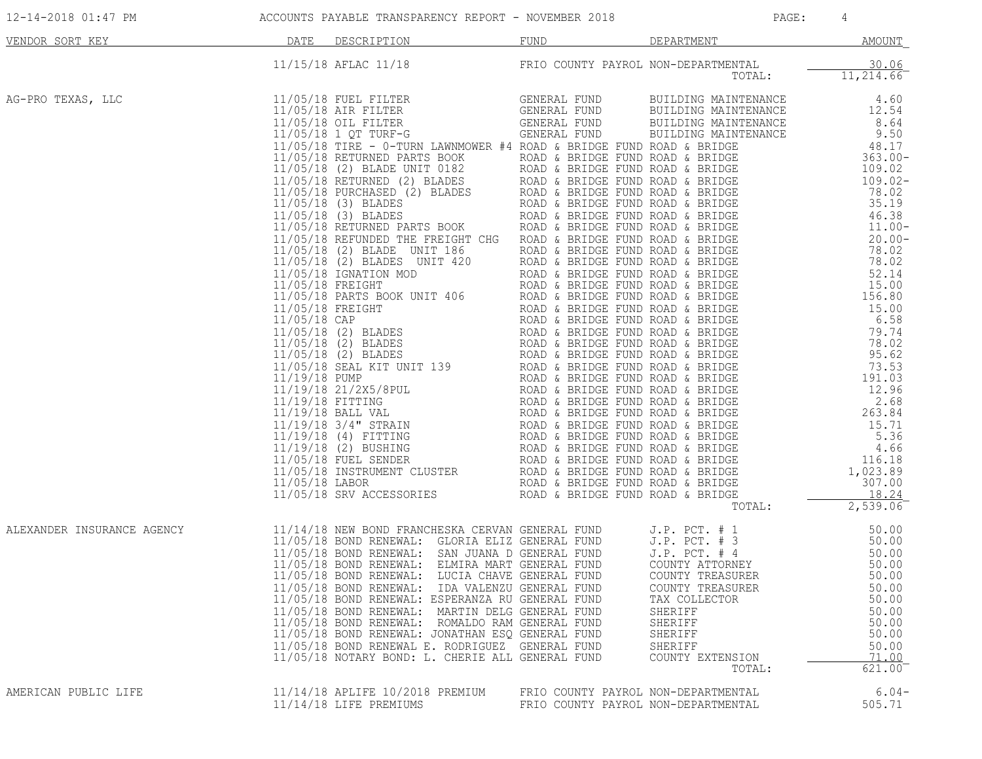| VENDOR SORT KEY            | DATE | DESCRIPTION                                                                                                                                                                                                                                                                                                                                                                                                                                                                                                                                                                                                     | FUND                                                                       | DEPARTMENT                                                                                                  | MOUNT                                                                 |
|----------------------------|------|-----------------------------------------------------------------------------------------------------------------------------------------------------------------------------------------------------------------------------------------------------------------------------------------------------------------------------------------------------------------------------------------------------------------------------------------------------------------------------------------------------------------------------------------------------------------------------------------------------------------|----------------------------------------------------------------------------|-------------------------------------------------------------------------------------------------------------|-----------------------------------------------------------------------|
|                            |      | 11/15/18 AFLAC 11/18 FRIO COUNTY PAYROL NON-DEPARTMENTAL TOTAL:                                                                                                                                                                                                                                                                                                                                                                                                                                                                                                                                                 |                                                                            |                                                                                                             | $\frac{30.06}{11,214.66}$                                             |
| AG-PRO TEXAS, LLC          |      | 11/5/5/18 APIAC 11/1/8<br>11/5/18 APIAC 11/1/8<br>12/6/18 APIAC III) FTG CODRPY PAYAC: NOK-PREMENTAL<br>12/6/18 APIAC III) GALACHI (2002)<br>12/6/18 APIAC IIII) GALACHI (2002)<br>12/6/18 APIAC IIIII - 0-TUNG LARGEONIAL FORM COLLECT                                                                                                                                                                                                                                                                                                                                                                         |                                                                            |                                                                                                             |                                                                       |
| ALEXANDER INSURANCE AGENCY |      | 11/14/18 NEW BOND FRANCHESKA CERVAN GENERAL FUND<br>11/05/18 BOND RENEWAL: GLORIA ELIZ GENERAL FUND J.P. PCT. # 3 50.00<br>11/05/18 BOND RENEWAL: SAN JUANA D GENERAL FUND J.P. PCT. # 4 50.00<br>11/05/18 BOND RENEWAL: ELMIRA MART GE<br>11/05/18 BOND RENEWAL: IDA VALENZU GENERAL FUND<br>11/05/18 BOND RENEWAL: ESPERANZA RU GENERAL FUND<br>11/05/18 BOND RENEWAL: MARTIN DELG GENERAL FUND<br>11/05/18 BOND RENEWAL: ROMALDO RAM GENERAL FUND<br>11/05/18 BOND RENEWAL: JONATHAN ESQ GENERAL FUND<br>11/05/18 BOND RENEWAL E. RODRIGUEZ GENERAL FUND<br>11/05/18 NOTARY BOND: L. CHERIE ALL GENERAL FUND |                                                                            | COUNTY TREASURER<br>TAX COLLECTOR<br>SHERIFF<br>SHERIFF<br>SHERIFF<br>SHERIFF<br>COUNTY EXTENSION<br>TOTAL: | 50.00<br>50.00<br>50.00<br>50.00<br>50.00<br>50.00<br>71.00<br>621.00 |
| AMERICAN PUBLIC LIFE       |      | 11/14/18 APLIFE 10/2018 PREMIUM<br>11/14/18 LIFE PREMIUMS                                                                                                                                                                                                                                                                                                                                                                                                                                                                                                                                                       | FRIO COUNTY PAYROL NON-DEPARTMENTAL<br>FRIO COUNTY PAYROL NON-DEPARTMENTAL |                                                                                                             | $6.04-$<br>505.71                                                     |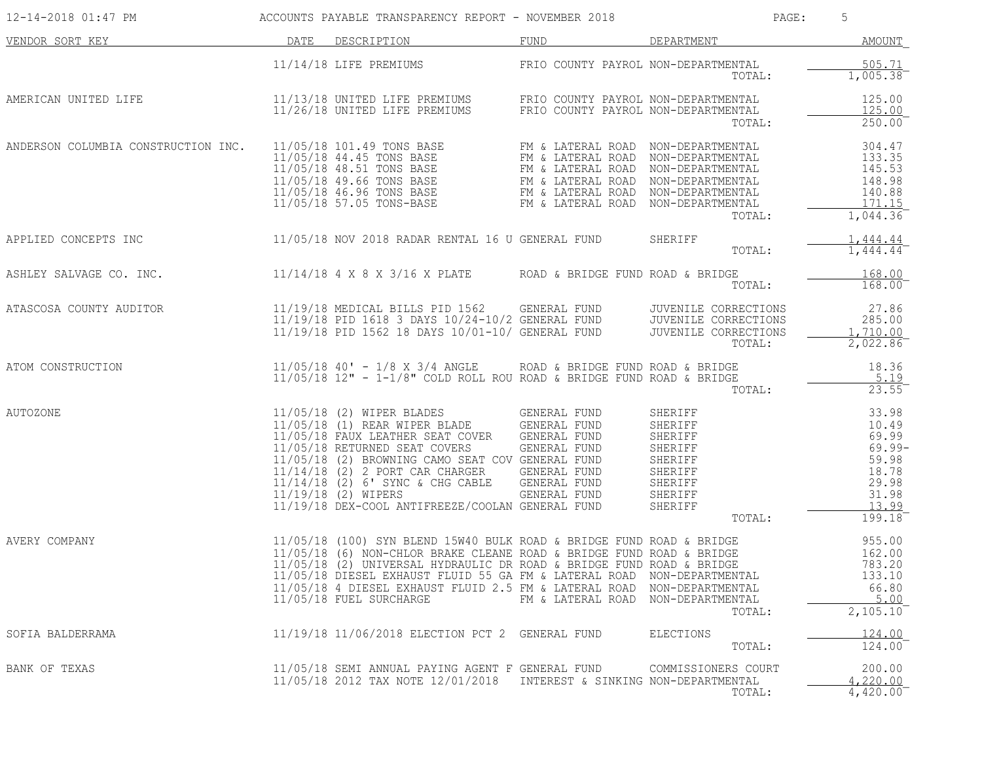| 12-14-2018 01:47 PM       ACCOUNTS PAYABLE TRANSPARENCY REPORT - NOVEMBER 2018         |                                                                                                                                                                                                                                                                                                                                                                                                                                                                             |                                    | PAGE:                                                                                                                                                                                                                                                    | 5                                                                           |
|----------------------------------------------------------------------------------------|-----------------------------------------------------------------------------------------------------------------------------------------------------------------------------------------------------------------------------------------------------------------------------------------------------------------------------------------------------------------------------------------------------------------------------------------------------------------------------|------------------------------------|----------------------------------------------------------------------------------------------------------------------------------------------------------------------------------------------------------------------------------------------------------|-----------------------------------------------------------------------------|
| VENDOR SORT KEY DESCRIPTION DATE DESCRIPTION FUND FUND DEPARTMENT                      |                                                                                                                                                                                                                                                                                                                                                                                                                                                                             |                                    |                                                                                                                                                                                                                                                          | AMOUNT                                                                      |
|                                                                                        | 11/14/18 LIFE PREMIUMS FRIO COUNTY PAYROL NON-DEPARTMENTAL                                                                                                                                                                                                                                                                                                                                                                                                                  |                                    | TOTAL:                                                                                                                                                                                                                                                   | 505.71<br>1,005.38                                                          |
|                                                                                        |                                                                                                                                                                                                                                                                                                                                                                                                                                                                             |                                    | TOTAL:                                                                                                                                                                                                                                                   | 125.00<br>125.00<br>250.00                                                  |
| ANDERSON COLUMBIA CONSTRUCTION INC.                                                    |                                                                                                                                                                                                                                                                                                                                                                                                                                                                             |                                    | TOTAL:                                                                                                                                                                                                                                                   | 304.47<br>133.35<br>145.53<br>148.98<br>140.88<br><u>171.15</u><br>1,044.36 |
| APPLIED CONCEPTS INC 11/05/18 NOV 2018 RADAR RENTAL 16 U GENERAL FUND                  |                                                                                                                                                                                                                                                                                                                                                                                                                                                                             |                                    | SHERIFF<br>TOTAL:                                                                                                                                                                                                                                        | 1,444.44<br>1,444.44                                                        |
| ASHLEY SALVAGE CO. INC. 11/14/18 4 X 8 X 3/16 X PLATE ROAD & BRIDGE FUND ROAD & BRIDGE |                                                                                                                                                                                                                                                                                                                                                                                                                                                                             |                                    | TOTAL:                                                                                                                                                                                                                                                   | 168.00<br>$168.00^{-}$                                                      |
| ATASCOSA COUNTY AUDITOR                                                                | 11/19/18 MEDICAL BILLS PID 1562 GENERAL FUND JUVENILE CORRECTIONS<br>11/19/18 PID 1618 3 DAYS 10/24-10/2 GENERAL FUND JUVENILE CORRECTIONS<br>11/19/18 PID 1562 18 DAYS 10/01-10/ GENERAL FUND JUVENILE CORRECTIONS                                                                                                                                                                                                                                                         |                                    | TOTAL:                                                                                                                                                                                                                                                   | 27.86<br>285.00<br>1,710.00<br>2,022.86                                     |
| ATOM CONSTRUCTION                                                                      | $11/05/18$ $40'$ - $1/8$ X 3/4 ANGLE ROAD & BRIDGE FUND ROAD & BRIDGE $11/05/18$ $12"$ - $1-1/8"$ COLD ROLL ROU ROAD & BRIDGE FUND ROAD & BRIDGE                                                                                                                                                                                                                                                                                                                            |                                    | TOTAL:                                                                                                                                                                                                                                                   | 18.36<br>5.19<br>$23.55$ <sup>-</sup>                                       |
| AUTOZONE                                                                               | 11/05/18 (2) WIPER BLADES GENERAL FUND<br>11/05/18 (1) REAR WIPER BLADE GENERAL FUND<br>11/05/18 FAUX LEATHER SEAT COVER GENERAL FUND<br>11/05/18 RETURNED SEAT COVERS GENERAL FUND<br>11/05/18 (2) BROWNING CAMO SEAT COV GENERAL FUND<br>11/14/18 (2) 2 PORT CAR CHARGER GENERAL FUND<br>11/14/18 (2) 6' SYNC & CHG CABLE<br>11/19/18 (2) WIPERS<br>11/19/18 DEX-COOL ANTIFREEZE/COOLAN GENERAL FUND                                                                      |                                    | 31<br>1920 CENERAL FUND SHERIFF (1949)<br>10.49<br>EAT COVERS GENERAL FUND SHERIFF (1949)<br>SAT COVERS GENERAL FUND SHERIFF (1949)<br>10.49<br>SAT COVERS GENERAL FUND SHERIFF (1949)<br>CAR CHARGER GENERAL FUND SHERIFF (18.78)<br>CAR CHAR<br>TOTAL: | 199.18                                                                      |
| AVERY COMPANY                                                                          | 11/05/18 (100) SYN BLEND 15W40 BULK ROAD & BRIDGE FUND ROAD & BRIDGE<br>11/05/18 (6) NON-CHLOR BRAKE CLEANE ROAD & BRIDGE FUND ROAD & BRIDGE<br>11/05/18 (2) UNIVERSAL HYDRAULIC DR ROAD & BRIDGE FUND ROAD & BRIDGE<br>11/05/18 (2) UNIVERSAL HYDRAULIC DR ROAD & BRIDGE FUND ROAD & BRIDGE<br>11/05/18 DIESEL EXHAUST FLUID 55 GA FM & LATERAL ROAD NON-DEPARTMENTAL<br>11/05/18 4 DIESEL EXHAUST FLUID 2.5 FM & LATERAL ROAD NON-DEPARTMENTAL<br>11/05/18 FUEL SURCHARGE | FM & LATERAL ROAD NON-DEPARTMENTAL | TOTAL:                                                                                                                                                                                                                                                   | 955.00<br>162.00<br>783.20<br>133.10<br>66.80<br>5.00<br>2,105.10           |
| SOFIA BALDERRAMA                                                                       | 11/19/18 11/06/2018 ELECTION PCT 2 GENERAL FUND                                                                                                                                                                                                                                                                                                                                                                                                                             |                                    | ELECTIONS<br>TOTAL:                                                                                                                                                                                                                                      | 124.00<br>124.00                                                            |
| BANK OF TEXAS                                                                          | 11/05/18 SEMI ANNUAL PAYING AGENT F GENERAL FUND<br>11/05/18 2012 TAX NOTE 12/01/2018 INTEREST & SINKING NON-DEPARTMENTAL                                                                                                                                                                                                                                                                                                                                                   |                                    | COMMISSIONERS COURT<br>TOTAL:                                                                                                                                                                                                                            | 200.00<br>4,220.00<br>4,420.00                                              |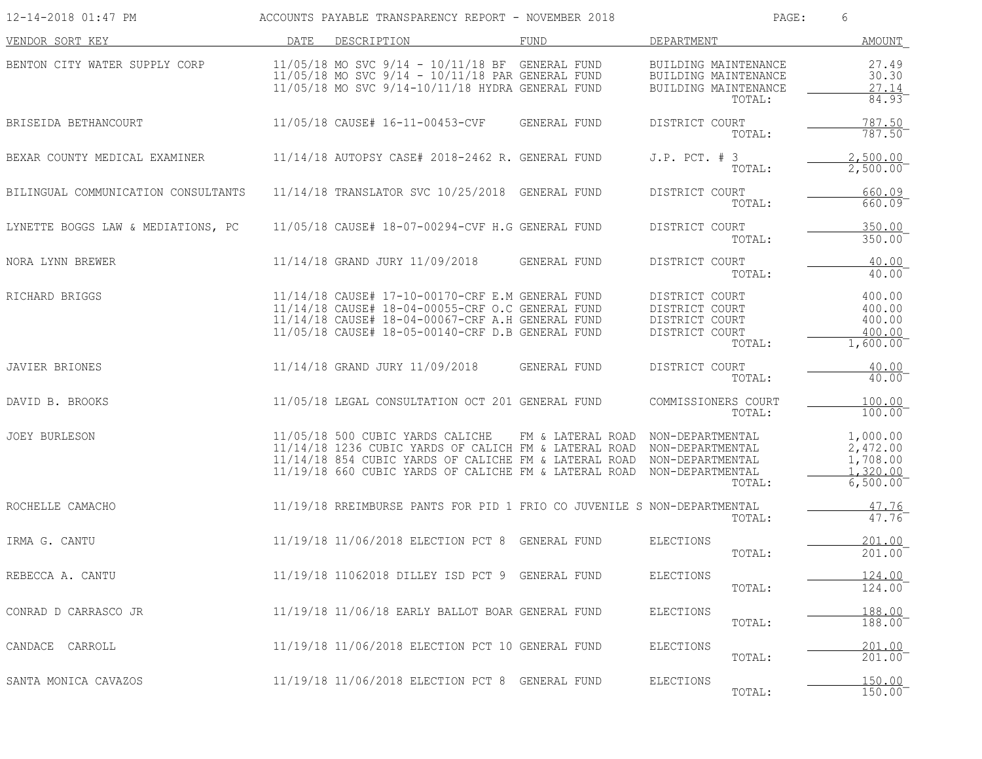| 12-14-2018 01:47 PM                 | ACCOUNTS PAYABLE TRANSPARENCY REPORT - NOVEMBER 2018                                                                                                                                                         |                   | PAGE:                                                                                  | 6                                                        |
|-------------------------------------|--------------------------------------------------------------------------------------------------------------------------------------------------------------------------------------------------------------|-------------------|----------------------------------------------------------------------------------------|----------------------------------------------------------|
| VENDOR SORT KEY                     | DESCRIPTION<br>DATE                                                                                                                                                                                          | FUND              | DEPARTMENT                                                                             | AMOUNT                                                   |
| BENTON CITY WATER SUPPLY CORP       | $11/05/18$ MO SVC $9/14 - 10/11/18$ BF GENERAL FUND<br>$11/05/18$ MO SVC $9/14$ - $10/11/18$ PAR GENERAL FUND<br>11/05/18 MO SVC 9/14-10/11/18 HYDRA GENERAL FUND                                            |                   | BUILDING MAINTENANCE<br>BUILDING MAINTENANCE<br>BUILDING MAINTENANCE<br>TOTAL:         | 27.49<br>30.30<br>27.14<br>84.93                         |
| BRISEIDA BETHANCOURT                | 11/05/18 CAUSE# 16-11-00453-CVF                                                                                                                                                                              | GENERAL FUND      | DISTRICT COURT<br>TOTAL:                                                               | 787.50<br>787.50                                         |
| BEXAR COUNTY MEDICAL EXAMINER       | 11/14/18 AUTOPSY CASE# 2018-2462 R. GENERAL FUND                                                                                                                                                             |                   | $J.P.$ PCT. $#$ 3<br>TOTAL:                                                            | 2,500.00<br>$2,500.00^{-}$                               |
| BILINGUAL COMMUNICATION CONSULTANTS | 11/14/18 TRANSLATOR SVC 10/25/2018 GENERAL FUND                                                                                                                                                              |                   | DISTRICT COURT<br>TOTAL:                                                               | 660.09<br>660.09                                         |
| LYNETTE BOGGS LAW & MEDIATIONS, PC  | 11/05/18 CAUSE# 18-07-00294-CVF H.G GENERAL FUND                                                                                                                                                             |                   | DISTRICT COURT<br>TOTAL:                                                               | 350.00<br>350.00                                         |
| NORA LYNN BREWER                    | 11/14/18 GRAND JURY 11/09/2018                                                                                                                                                                               | GENERAL FUND      | DISTRICT COURT<br>TOTAL:                                                               | 40.00<br>40.00                                           |
| RICHARD BRIGGS                      | 11/14/18 CAUSE# 17-10-00170-CRF E.M GENERAL FUND<br>11/14/18 CAUSE# 18-04-00055-CRF O.C GENERAL FUND<br>11/14/18 CAUSE# 18-04-00067-CRF A.H GENERAL FUND<br>11/05/18 CAUSE# 18-05-00140-CRF D.B GENERAL FUND |                   | DISTRICT COURT<br>DISTRICT COURT<br>DISTRICT COURT<br>DISTRICT COURT<br>TOTAL:         | 400.00<br>400.00<br>400.00<br>400.00<br>$1,600.00^-$     |
| <b>JAVIER BRIONES</b>               | 11/14/18 GRAND JURY 11/09/2018                                                                                                                                                                               | GENERAL FUND      | DISTRICT COURT<br>TOTAL:                                                               | 40.00<br>40.00                                           |
| DAVID B. BROOKS                     | 11/05/18 LEGAL CONSULTATION OCT 201 GENERAL FUND                                                                                                                                                             |                   | COMMISSIONERS COURT<br>TOTAL:                                                          | 100.00<br>100.00                                         |
| <b>JOEY BURLESON</b>                | 11/05/18 500 CUBIC YARDS CALICHE<br>11/14/18 1236 CUBIC YARDS OF CALICH FM & LATERAL ROAD<br>11/14/18 854 CUBIC YARDS OF CALICHE FM & LATERAL ROAD<br>11/19/18 660 CUBIC YARDS OF CALICHE FM & LATERAL ROAD  | FM & LATERAL ROAD | NON-DEPARTMENTAL<br>NON-DEPARTMENTAL<br>NON-DEPARTMENTAL<br>NON-DEPARTMENTAL<br>TOTAL: | 1,000.00<br>2,472.00<br>1,708.00<br>1,320.00<br>6,500.00 |
| ROCHELLE CAMACHO                    | 11/19/18 RREIMBURSE PANTS FOR PID 1 FRIO CO JUVENILE S NON-DEPARTMENTAL                                                                                                                                      |                   | TOTAL:                                                                                 | 47.76<br>47.76                                           |
| IRMA G. CANTU                       | 11/19/18 11/06/2018 ELECTION PCT 8 GENERAL FUND                                                                                                                                                              |                   | ELECTIONS<br>TOTAL:                                                                    | 201.00<br>201.00                                         |
| REBECCA A. CANTU                    | 11/19/18 11062018 DILLEY ISD PCT 9 GENERAL FUND                                                                                                                                                              |                   | <b>ELECTIONS</b><br>TOTAL:                                                             | 124.00<br>124.00                                         |
| CONRAD D CARRASCO JR                | 11/19/18 11/06/18 EARLY BALLOT BOAR GENERAL FUND                                                                                                                                                             |                   | ELECTIONS<br>TOTAL:                                                                    | 188.00<br>188.00                                         |
| CANDACE CARROLL                     | 11/19/18 11/06/2018 ELECTION PCT 10 GENERAL FUND                                                                                                                                                             |                   | ELECTIONS<br>TOTAL:                                                                    | 201.00<br>201.00                                         |
| SANTA MONICA CAVAZOS                | 11/19/18 11/06/2018 ELECTION PCT 8 GENERAL FUND                                                                                                                                                              |                   | ELECTIONS<br>TOTAL:                                                                    | 150.00<br>150.00                                         |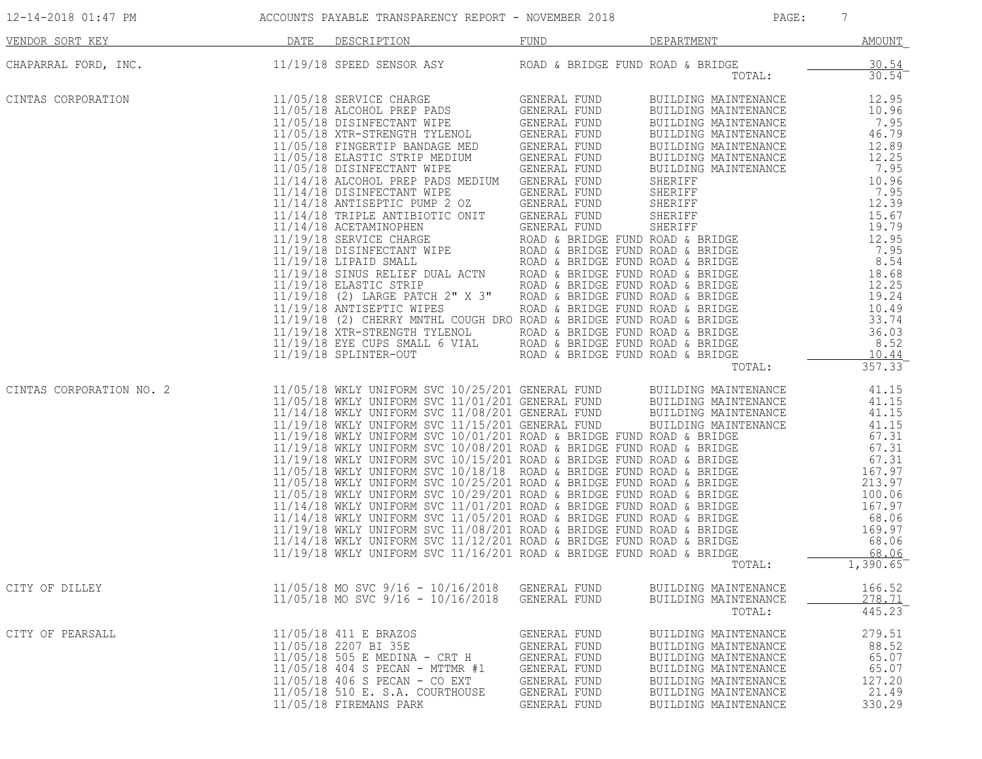| 12-14-2018 01:47 PM      |      | ACCOUNTS PAYABLE TRANSPARENCY REPORT - NOVEMBER 2018                                                                                                                                                                                                                                                                                                                                                                                                                              |                                                                                                                     | PAGE:                                                                                                                                                                | $7\phantom{.0}$                                                |
|--------------------------|------|-----------------------------------------------------------------------------------------------------------------------------------------------------------------------------------------------------------------------------------------------------------------------------------------------------------------------------------------------------------------------------------------------------------------------------------------------------------------------------------|---------------------------------------------------------------------------------------------------------------------|----------------------------------------------------------------------------------------------------------------------------------------------------------------------|----------------------------------------------------------------|
| VENDOR SORT KEY          | DATE | DESCRIPTION                                                                                                                                                                                                                                                                                                                                                                                                                                                                       | FUND                                                                                                                | DEPARTMENT                                                                                                                                                           | <b>AMOUNT</b>                                                  |
| CHAPARRAL FORD, INC.     |      | 11/19/18 SPEED SENSOR ASY                                                                                                                                                                                                                                                                                                                                                                                                                                                         | ROAD & BRIDGE FUND ROAD & BRIDGE                                                                                    | TOTAL:                                                                                                                                                               | $\frac{30.54}{30.54}$                                          |
| CINTAS CORPORATION       |      | $11/05/18$ SERVICE CHARGE CENERAL FUND BUILDING MAINTENANCE 11/05/18 ALCOHOL PREP PADS GENERAL FUND BUILDING MAINTENANCE 12.95<br>11/05/18 ALCOHOL PREP PADS GENERAL FUND BUILDING MAINTENANCE 12.95<br>11/05/18 FINGERFEIT BANDA                                                                                                                                                                                                                                                 |                                                                                                                     | TOTAL:                                                                                                                                                               | 357.33                                                         |
| CINTAS CORPORATION NO. 2 |      | 11/05/18 WKLY UNIFORM SVC 10/25/201 GENERAL FUND BUILDING MAINTENANCE<br>11/05/18 WKLY UNIFORM SVC 11/01/201 GENERAL FUND BUILDING MAINTENANCE<br>11/14/18 WKLY UNIFORM SVC 11/15/201 GENERAL FUND BUILDING MAINTENANCE<br>11/19/18 WKL<br>11/19/18 WKLY UNIFORM SVC 11/15/201 GENERAL FUND<br>11/19/18 WKLY UNIFORM SVC 11/15/201 GENERAL FUND<br>11/19/18 WKLY UNIFORM SVC 10/01/201 ROAD & BRIDGE FUND ROAD & BRIDGE<br>11/19/18 WKLY UNIFORM SVC 10/08/201 ROAD & BRIDGE FUND |                                                                                                                     | TOTAL:                                                                                                                                                               | 41.15<br>41.15<br>41.15<br>1,390.65                            |
| CITY OF DILLEY           |      | $11/05/18$ MO SVC $9/16 - 10/16/2018$<br>$11/05/18$ MO SVC $9/16$ - $10/16/2018$                                                                                                                                                                                                                                                                                                                                                                                                  | GENERAL FUND<br>GENERAL FUND                                                                                        | BUILDING MAINTENANCE<br>BUILDING MAINTENANCE<br>TOTAL:                                                                                                               | 166.52<br>278.71<br>445.23                                     |
| CITY OF PEARSALL         |      | 11/05/18 411 E BRAZOS<br>11/05/18 2207 BI 35E<br>11/05/18 505 E MEDINA - CRT H<br>11/05/18 404 S PECAN - MTTMR #1<br>11/05/18 406 S PECAN - CO EXT<br>11/05/18 510 E. S.A. COURTHOUSE<br>11/05/18 FIREMANS PARK                                                                                                                                                                                                                                                                   | GENERAL FUND<br>GENERAL FUND<br><b>GENERAL FUND</b><br>GENERAL FUND<br>GENERAL FUND<br>GENERAL FUND<br>GENERAL FUND | BUILDING MAINTENANCE<br>BUILDING MAINTENANCE<br>BUILDING MAINTENANCE<br>BUILDING MAINTENANCE<br>BUILDING MAINTENANCE<br>BUILDING MAINTENANCE<br>BUILDING MAINTENANCE | 279.51<br>88.52<br>65.07<br>65.07<br>127.20<br>21.49<br>330.29 |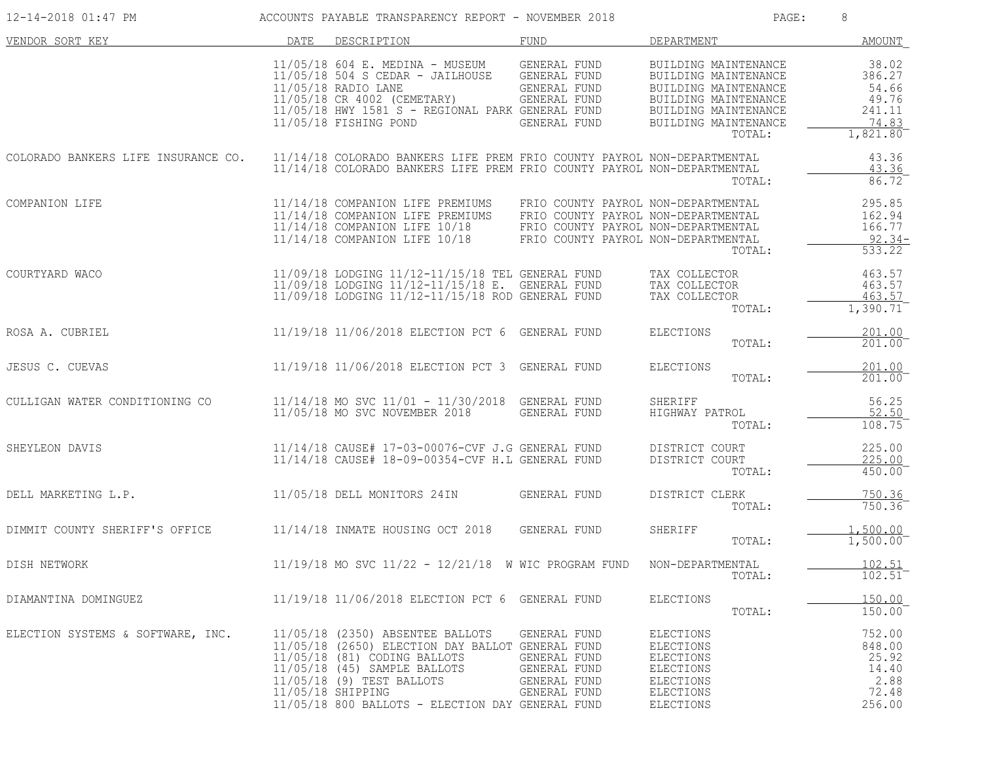| 12-14-2018 01:47 PM                 |      | ACCOUNTS PAYABLE TRANSPARENCY REPORT - NOVEMBER 2018                                                                                                                                                                                                       |                                                                                                                                                          | PAGE:                                                                                                                                                  | 8                                                                |
|-------------------------------------|------|------------------------------------------------------------------------------------------------------------------------------------------------------------------------------------------------------------------------------------------------------------|----------------------------------------------------------------------------------------------------------------------------------------------------------|--------------------------------------------------------------------------------------------------------------------------------------------------------|------------------------------------------------------------------|
| VENDOR SORT KEY                     | DATE | DESCRIPTION                                                                                                                                                                                                                                                | FUND                                                                                                                                                     | DEPARTMENT                                                                                                                                             | AMOUNT                                                           |
|                                     |      | 11/05/18 604 E. MEDINA - MUSEUM<br>$11/05/18$ 504 S CEDAR - JAILHOUSE<br>11/05/18 RADIO LANE<br>11/05/18 CR 4002 (CEMETARY)<br>11/05/18 HWY 1581 S - REGIONAL PARK GENERAL FUND<br>11/05/18 FISHING POND                                                   | GENERAL FUND<br>GENERAL FUND<br>GENERAL FUND<br>GENERAL FUND<br>GENERAL FUND                                                                             | BUILDING MAINTENANCE<br>BUILDING MAINTENANCE<br>BUILDING MAINTENANCE<br>BUILDING MAINTENANCE<br>BUILDING MAINTENANCE<br>BUILDING MAINTENANCE<br>TOTAL: | 38.02<br>386.27<br>54.66<br>49.76<br>241.11<br>74.83<br>1,821.80 |
| COLORADO BANKERS LIFE INSURANCE CO. |      | 11/14/18 COLORADO BANKERS LIFE PREM FRIO COUNTY PAYROL NON-DEPARTMENTAL<br>11/14/18 COLORADO BANKERS LIFE PREM FRIO COUNTY PAYROL NON-DEPARTMENTAL                                                                                                         |                                                                                                                                                          | TOTAL:                                                                                                                                                 | 43.36<br>43.36<br>86.72                                          |
| COMPANION LIFE                      |      | 11/14/18 COMPANION LIFE PREMIUMS<br>11/14/18 COMPANION LIFE PREMIUMS<br>11/14/18 COMPANION LIFE 10/18<br>11/14/18 COMPANION LIFE 10/18                                                                                                                     | FRIO COUNTY PAYROL NON-DEPARTMENTAL<br>FRIO COUNTY PAYROL NON-DEPARTMENTAL<br>FRIO COUNTY PAYROL NON-DEPARTMENTAL<br>FRIO COUNTY PAYROL NON-DEPARTMENTAL | TOTAL:                                                                                                                                                 | 295.85<br>162.94<br>166.77<br>$92.34 -$<br>533.22                |
| COURTYARD WACO                      |      | 11/09/18 LODGING 11/12-11/15/18 TEL GENERAL FUND<br>11/09/18 LODGING 11/12-11/15/18 E. GENERAL FUND<br>11/09/18 LODGING 11/12-11/15/18 ROD GENERAL FUND                                                                                                    |                                                                                                                                                          | TAX COLLECTOR<br>TAX COLLECTOR<br>TAX COLLECTOR<br>TOTAL:                                                                                              | 463.57<br>463.57<br>463.57<br>1,390.71                           |
| ROSA A. CUBRIEL                     |      | 11/19/18 11/06/2018 ELECTION PCT 6 GENERAL FUND                                                                                                                                                                                                            |                                                                                                                                                          | ELECTIONS<br>TOTAL:                                                                                                                                    | 201.00<br>201.00                                                 |
| JESUS C. CUEVAS                     |      | 11/19/18 11/06/2018 ELECTION PCT 3 GENERAL FUND                                                                                                                                                                                                            |                                                                                                                                                          | ELECTIONS<br>TOTAL:                                                                                                                                    | 201.00<br>201.00                                                 |
| CULLIGAN WATER CONDITIONING CO      |      | 11/14/18 MO SVC 11/01 - 11/30/2018 GENERAL FUND<br>11/05/18 MO SVC NOVEMBER 2018                                                                                                                                                                           | GENERAL FUND                                                                                                                                             | SHERIFF<br>HIGHWAY PATROL<br>TOTAL:                                                                                                                    | 56.25<br>52.50<br>108.75                                         |
| SHEYLEON DAVIS                      |      | 11/14/18 CAUSE# 17-03-00076-CVF J.G GENERAL FUND<br>11/14/18 CAUSE# 18-09-00354-CVF H.L GENERAL FUND                                                                                                                                                       |                                                                                                                                                          | DISTRICT COURT<br>DISTRICT COURT<br>TOTAL:                                                                                                             | 225.00<br>225.00<br>450.00                                       |
| DELL MARKETING L.P.                 |      | 11/05/18 DELL MONITORS 24IN                                                                                                                                                                                                                                | GENERAL FUND                                                                                                                                             | DISTRICT CLERK<br>TOTAL:                                                                                                                               | 750.36<br>750.36                                                 |
| DIMMIT COUNTY SHERIFF'S OFFICE      |      | 11/14/18 INMATE HOUSING OCT 2018                                                                                                                                                                                                                           | GENERAL FUND                                                                                                                                             | SHERIFF<br>TOTAL:                                                                                                                                      | 1,500.00<br>1,500.00                                             |
| DISH NETWORK                        |      | 11/19/18 MO SVC 11/22 - 12/21/18 W WIC PROGRAM FUND                                                                                                                                                                                                        |                                                                                                                                                          | NON-DEPARTMENTAL<br>TOTAL:                                                                                                                             | 102.51<br>$102.51^{-}$                                           |
| DIAMANTINA DOMINGUEZ                |      | 11/19/18 11/06/2018 ELECTION PCT 6 GENERAL FUND                                                                                                                                                                                                            |                                                                                                                                                          | <b>ELECTIONS</b><br>TOTAL:                                                                                                                             | 150.00<br>150.00                                                 |
| ELECTION SYSTEMS & SOFTWARE, INC.   |      | 11/05/18 (2350) ABSENTEE BALLOTS<br>11/05/18 (2650) ELECTION DAY BALLOT GENERAL FUND<br>11/05/18 (81) CODING BALLOTS<br>11/05/18 (45) SAMPLE BALLOTS<br>11/05/18 (9) TEST BALLOTS<br>11/05/18 SHIPPING<br>11/05/18 800 BALLOTS - ELECTION DAY GENERAL FUND | GENERAL FUND<br>GENERAL FUND<br>GENERAL FUND<br>GENERAL FUND<br>GENERAL FUND                                                                             | ELECTIONS<br><b>ELECTIONS</b><br><b>ELECTIONS</b><br>ELECTIONS<br><b>ELECTIONS</b><br>ELECTIONS<br><b>ELECTIONS</b>                                    | 752.00<br>848.00<br>25.92<br>14.40<br>2.88<br>72.48<br>256.00    |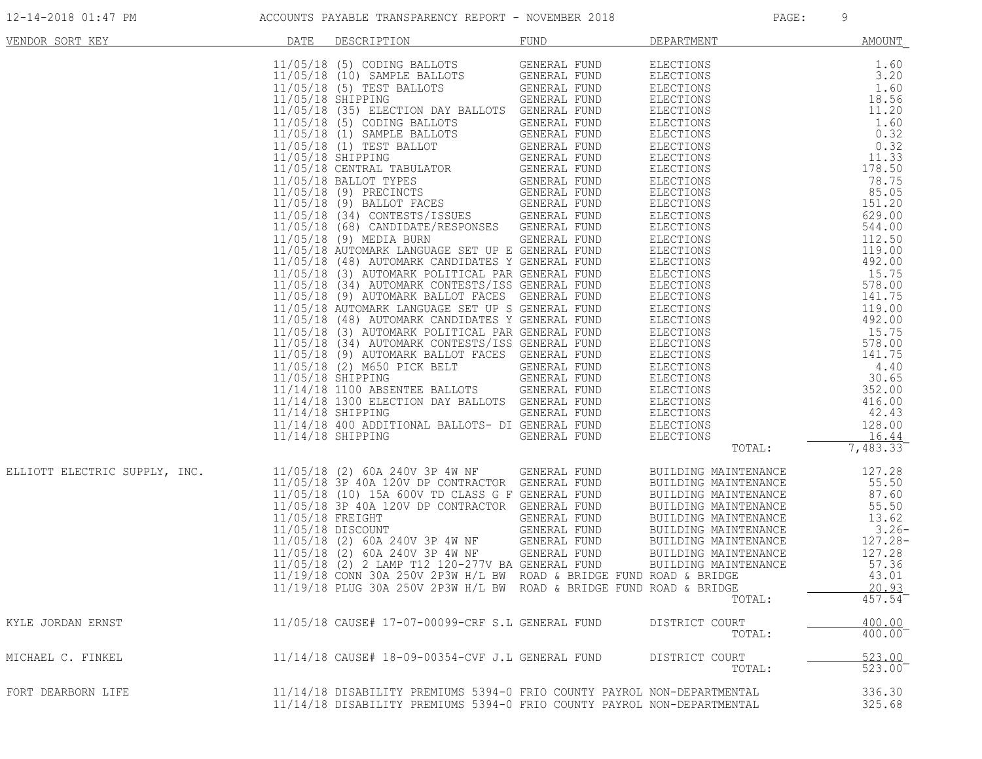| VENDOR SORT KEY               | DATE | DESCRIPTION                                                                                                                                                                                                                                                                                       | FUND         | DEPARTMENT                                                                                                                                                                                                                                                                                                                                                                                           | AMOUNT         |
|-------------------------------|------|---------------------------------------------------------------------------------------------------------------------------------------------------------------------------------------------------------------------------------------------------------------------------------------------------|--------------|------------------------------------------------------------------------------------------------------------------------------------------------------------------------------------------------------------------------------------------------------------------------------------------------------------------------------------------------------------------------------------------------------|----------------|
|                               |      |                                                                                                                                                                                                                                                                                                   |              | $\begin{tabular}{l c c c} \hline DEPARIMENT & AMOUNT \\ \hline \texttt{ELECTIONS} & 1.60 & 3.20 \\ \texttt{ELECTIONS} & 1.60 & 3.20 \\ \texttt{ELECTIONS} & 1.60 & 3.20 \\ \texttt{ELECTIONS} & 11.60 & 0.32 \\ \texttt{ELECTIONS} & 11.60 & 0.32 \\ \texttt{ELECTIONS} & 0.32 & 0.32 \\ \texttt{ELECTIONS} & 0.32 & 0.32 \\ \texttt{ELECTIONS} & 11.33 & 178.50 \\ \texttt{ELECTIONS} & 85.05 & 50$ |                |
|                               |      |                                                                                                                                                                                                                                                                                                   |              |                                                                                                                                                                                                                                                                                                                                                                                                      |                |
|                               |      |                                                                                                                                                                                                                                                                                                   |              |                                                                                                                                                                                                                                                                                                                                                                                                      |                |
|                               |      | 11/05/18 (35) ELECTION DAY BALLOTS GENERAL FUND                                                                                                                                                                                                                                                   |              |                                                                                                                                                                                                                                                                                                                                                                                                      |                |
|                               |      | 11/05/18 (5) CODING BALLOTS                                                                                                                                                                                                                                                                       | GENERAL FUND |                                                                                                                                                                                                                                                                                                                                                                                                      |                |
|                               |      | 11/05/18 (5) CODING BALLOTS GENERAL FUND<br>11/05/18 (1) SAMPLE BALLOTS GENERAL FUND<br>11/05/18 SHIPPING GENERAL FUND<br>11/05/18 SHIPPING GENERAL FUND<br>11/05/18 CENTRAL TABULATOR GENERAL FUND<br>11/05/18 (9) PRECINCTS GENERAL FUND<br>11                                                  |              |                                                                                                                                                                                                                                                                                                                                                                                                      |                |
|                               |      |                                                                                                                                                                                                                                                                                                   |              |                                                                                                                                                                                                                                                                                                                                                                                                      |                |
|                               |      |                                                                                                                                                                                                                                                                                                   |              |                                                                                                                                                                                                                                                                                                                                                                                                      |                |
|                               |      |                                                                                                                                                                                                                                                                                                   |              |                                                                                                                                                                                                                                                                                                                                                                                                      |                |
|                               |      |                                                                                                                                                                                                                                                                                                   |              |                                                                                                                                                                                                                                                                                                                                                                                                      |                |
|                               |      |                                                                                                                                                                                                                                                                                                   |              |                                                                                                                                                                                                                                                                                                                                                                                                      |                |
|                               |      |                                                                                                                                                                                                                                                                                                   |              |                                                                                                                                                                                                                                                                                                                                                                                                      |                |
|                               |      |                                                                                                                                                                                                                                                                                                   |              |                                                                                                                                                                                                                                                                                                                                                                                                      |                |
|                               |      |                                                                                                                                                                                                                                                                                                   |              |                                                                                                                                                                                                                                                                                                                                                                                                      |                |
|                               |      | 11/05/18 (9) MEDIA BURN<br>11/05/18 AUTOMARK LANGUAGE SET UP E GENERAL FUND                                                                                                                                                                                                                       | GENERAL FUND |                                                                                                                                                                                                                                                                                                                                                                                                      |                |
|                               |      | 11/05/18 (48) AUTOMARK CANDIDATES Y GENERAL FUND                                                                                                                                                                                                                                                  |              |                                                                                                                                                                                                                                                                                                                                                                                                      |                |
|                               |      | 11/05/18 (3) AUTOMARK POLITICAL PAR GENERAL FUND                                                                                                                                                                                                                                                  |              |                                                                                                                                                                                                                                                                                                                                                                                                      |                |
|                               |      | 11/05/18 (34) AUTOMARK CONTESTS/ISS GENERAL FUND                                                                                                                                                                                                                                                  |              |                                                                                                                                                                                                                                                                                                                                                                                                      |                |
|                               |      | 11/05/18 (9) AUTOMARK BALLOT FACES GENERAL FUND                                                                                                                                                                                                                                                   |              |                                                                                                                                                                                                                                                                                                                                                                                                      |                |
|                               |      | 11/05/18 AUTOMARK LANGUAGE SET UP S GENERAL FUND                                                                                                                                                                                                                                                  |              |                                                                                                                                                                                                                                                                                                                                                                                                      |                |
|                               |      | 11/05/18 (48) AUTOMARK CANDIDATES Y GENERAL FUND                                                                                                                                                                                                                                                  |              |                                                                                                                                                                                                                                                                                                                                                                                                      |                |
|                               |      | 11/05/18 (3) AUTOMARK POLITICAL PAR GENERAL FUND                                                                                                                                                                                                                                                  |              |                                                                                                                                                                                                                                                                                                                                                                                                      |                |
|                               |      | 11/05/18 (34) AUTOMARK CONTESTS/ISS GENERAL FUND                                                                                                                                                                                                                                                  |              |                                                                                                                                                                                                                                                                                                                                                                                                      |                |
|                               |      | 11/05/18 (9) AUTOMARK BALLOT FACES GENERAL FUND                                                                                                                                                                                                                                                   |              |                                                                                                                                                                                                                                                                                                                                                                                                      |                |
|                               |      | 11/05/18 (2) M650 PICK BELT                                                                                                                                                                                                                                                                       | GENERAL FUND |                                                                                                                                                                                                                                                                                                                                                                                                      |                |
|                               |      | 11/05/18 SHIPPING<br>11/05/18 SHIPPING<br>11/14/18 1100 ABSENTEE BALLOTS GENERAL FUND                                                                                                                                                                                                             |              |                                                                                                                                                                                                                                                                                                                                                                                                      |                |
|                               |      | 11/14/18 1300 ELECTION DAY BALLOTS GENERAL FUND                                                                                                                                                                                                                                                   |              |                                                                                                                                                                                                                                                                                                                                                                                                      |                |
|                               |      | $11/14/18$ SHIPPING                                                                                                                                                                                                                                                                               | GENERAL FUND |                                                                                                                                                                                                                                                                                                                                                                                                      |                |
|                               |      | 11/14/18 400 ADDITIONAL BALLOTS- DI GENERAL FUND                                                                                                                                                                                                                                                  |              |                                                                                                                                                                                                                                                                                                                                                                                                      |                |
|                               |      | $11/14/18$ SHIPPING                                                                                                                                                                                                                                                                               | GENERAL FUND | <b>ELECTIONS</b>                                                                                                                                                                                                                                                                                                                                                                                     | 16.44          |
|                               |      |                                                                                                                                                                                                                                                                                                   |              | TOTAL:                                                                                                                                                                                                                                                                                                                                                                                               | 7,483.33       |
| ELLIOTT ELECTRIC SUPPLY, INC. |      | 11/05/18 (2) 60A 240V 3P 4W NF GENERAL FUND                                                                                                                                                                                                                                                       |              | BUILDING MAINTENANCE                                                                                                                                                                                                                                                                                                                                                                                 | 127.28         |
|                               |      | 11/05/18 3P 40A 120V DP CONTRACTOR GENERAL FUND                                                                                                                                                                                                                                                   |              | BUILDING MAINTENANCE                                                                                                                                                                                                                                                                                                                                                                                 | 55.50          |
|                               |      | 11/05/18 (10) 15A 600V TD CLASS G F GENERAL FUND<br>11/05/18 3P 40A 120V DP CONTRACTOR GENERAL FUND<br>11/05/18 FREIGHT GENERAL FUND<br>11/05/18 DISCOUNT GENERAL FUND<br>11/05/18 (2) 60A 240V 3P 4W NF GENERAL FUND<br>11/05/18 (2) 60A 240V 3P 4W NF GENERAL FUND<br>11/05/18 (2) 2 LAMP T12 1 |              | BUILDING MAINTENANCE<br>BUILDING MAINTENANCE                                                                                                                                                                                                                                                                                                                                                         | 87.60<br>55.50 |
|                               |      |                                                                                                                                                                                                                                                                                                   |              |                                                                                                                                                                                                                                                                                                                                                                                                      | 13.62          |
|                               |      |                                                                                                                                                                                                                                                                                                   |              | BUILDING MAINTENANCE<br>BUILDING MAINTENANCE                                                                                                                                                                                                                                                                                                                                                         | $3.26-$        |
|                               |      |                                                                                                                                                                                                                                                                                                   |              | BUILDING MAINTENANCE                                                                                                                                                                                                                                                                                                                                                                                 | 127.28-        |
|                               |      |                                                                                                                                                                                                                                                                                                   |              | BUILDING MAINTENANCE                                                                                                                                                                                                                                                                                                                                                                                 | 127.28         |
|                               |      |                                                                                                                                                                                                                                                                                                   |              | BUILDING MAINTENANCE                                                                                                                                                                                                                                                                                                                                                                                 | 57.36          |
|                               |      | 11/19/18 CONN 30A 250V 2P3W H/L BW ROAD & BRIDGE FUND ROAD & BRIDGE                                                                                                                                                                                                                               |              |                                                                                                                                                                                                                                                                                                                                                                                                      | 43.01          |
|                               |      | 11/19/18 PLUG 30A 250V 2P3W H/L BW ROAD & BRIDGE FUND ROAD & BRIDGE                                                                                                                                                                                                                               |              |                                                                                                                                                                                                                                                                                                                                                                                                      |                |
|                               |      |                                                                                                                                                                                                                                                                                                   |              | TOTAL:                                                                                                                                                                                                                                                                                                                                                                                               | 457.54         |
| KYLE JORDAN ERNST             |      | 11/05/18 CAUSE# 17-07-00099-CRF S.L GENERAL FUND                                                                                                                                                                                                                                                  |              | DISTRICT COURT                                                                                                                                                                                                                                                                                                                                                                                       | 400.00         |
|                               |      |                                                                                                                                                                                                                                                                                                   |              | TOTAL:                                                                                                                                                                                                                                                                                                                                                                                               | $400.00^{-}$   |
| MICHAEL C. FINKEL             |      | 11/14/18 CAUSE# 18-09-00354-CVF J.L GENERAL FUND                                                                                                                                                                                                                                                  |              | DISTRICT COURT                                                                                                                                                                                                                                                                                                                                                                                       | 523.00         |
|                               |      |                                                                                                                                                                                                                                                                                                   |              | TOTAL:                                                                                                                                                                                                                                                                                                                                                                                               | 523.00         |
| FORT DEARBORN LIFE            |      | 11/14/18 DISABILITY PREMIUMS 5394-0 FRIO COUNTY PAYROL NON-DEPARTMENTAL                                                                                                                                                                                                                           |              |                                                                                                                                                                                                                                                                                                                                                                                                      | 336.30         |
|                               |      | 11/14/18 DISABILITY PREMIUMS 5394-0 FRIO COUNTY PAYROL NON-DEPARTMENTAL                                                                                                                                                                                                                           |              |                                                                                                                                                                                                                                                                                                                                                                                                      | 325.68         |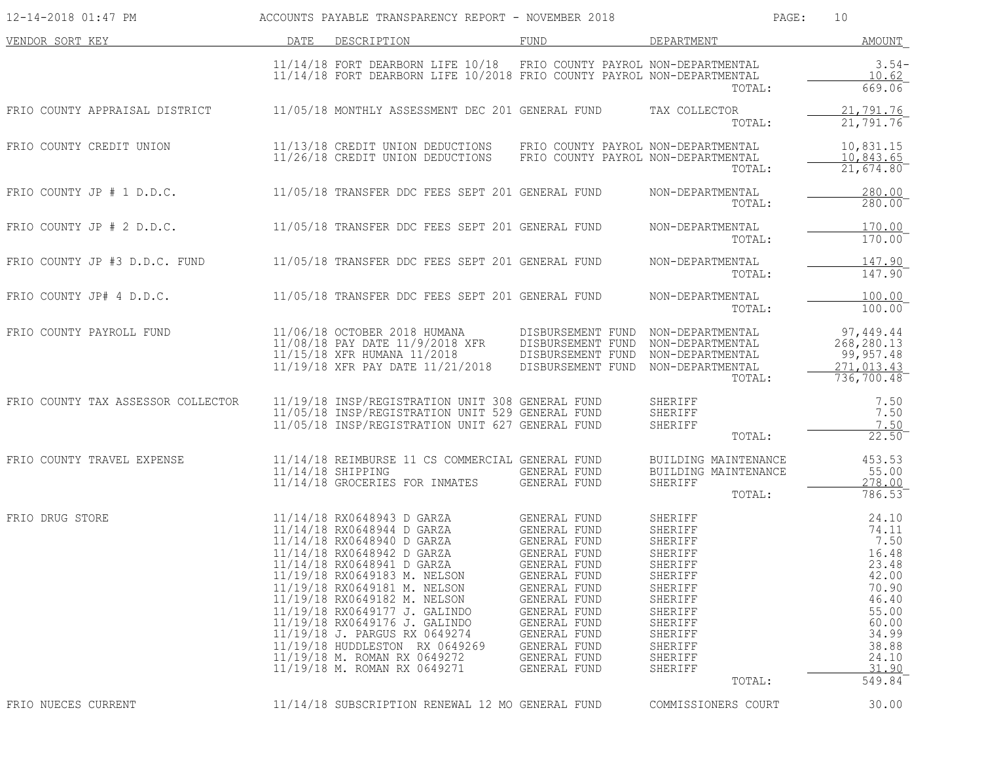| 12-14-2018 01:47 PM                |      | ACCOUNTS PAYABLE TRANSPARENCY REPORT - NOVEMBER 2018                                                                                                                                                                                                                                                                                                                                                                                                    |                                                                                                                                                                                                                              | PAGE:                                                                                                                                                            | 10                                                                                                                                  |
|------------------------------------|------|---------------------------------------------------------------------------------------------------------------------------------------------------------------------------------------------------------------------------------------------------------------------------------------------------------------------------------------------------------------------------------------------------------------------------------------------------------|------------------------------------------------------------------------------------------------------------------------------------------------------------------------------------------------------------------------------|------------------------------------------------------------------------------------------------------------------------------------------------------------------|-------------------------------------------------------------------------------------------------------------------------------------|
| VENDOR SORT KEY                    | DATE | DESCRIPTION                                                                                                                                                                                                                                                                                                                                                                                                                                             | FUND                                                                                                                                                                                                                         | DEPARTMENT                                                                                                                                                       | <b>AMOUNT</b>                                                                                                                       |
|                                    |      | $11/14/18$ FORT DEARBORN LIFE $10/18$<br>11/14/18 FORT DEARBORN LIFE 10/2018 FRIO COUNTY PAYROL NON-DEPARTMENTAL                                                                                                                                                                                                                                                                                                                                        | FRIO COUNTY PAYROL NON-DEPARTMENTAL                                                                                                                                                                                          | TOTAL:                                                                                                                                                           | $3.54-$<br>10.62<br>669.06                                                                                                          |
| FRIO COUNTY APPRAISAL DISTRICT     |      | 11/05/18 MONTHLY ASSESSMENT DEC 201 GENERAL FUND                                                                                                                                                                                                                                                                                                                                                                                                        |                                                                                                                                                                                                                              | TAX COLLECTOR<br>TOTAL:                                                                                                                                          | 21,791.76<br>21,791.76                                                                                                              |
| FRIO COUNTY CREDIT UNION           |      | 11/13/18 CREDIT UNION DEDUCTIONS<br>11/26/18 CREDIT UNION DEDUCTIONS                                                                                                                                                                                                                                                                                                                                                                                    | FRIO COUNTY PAYROL NON-DEPARTMENTAL<br>FRIO COUNTY PAYROL NON-DEPARTMENTAL                                                                                                                                                   | TOTAL:                                                                                                                                                           | 10,831.15<br>10,843.65<br>$21,674.80^-$                                                                                             |
| FRIO COUNTY JP $# 1 D.D.C.$        |      | 11/05/18 TRANSFER DDC FEES SEPT 201 GENERAL FUND                                                                                                                                                                                                                                                                                                                                                                                                        |                                                                                                                                                                                                                              | NON-DEPARTMENTAL<br>TOTAL:                                                                                                                                       | $\frac{280.00}{280.00}$                                                                                                             |
| FRIO COUNTY JP $# 2 D.D.C.$        |      | 11/05/18 TRANSFER DDC FEES SEPT 201 GENERAL FUND                                                                                                                                                                                                                                                                                                                                                                                                        |                                                                                                                                                                                                                              | NON-DEPARTMENTAL<br>TOTAL:                                                                                                                                       | 170.00<br>170.00                                                                                                                    |
| FRIO COUNTY JP #3 D.D.C. FUND      |      | 11/05/18 TRANSFER DDC FEES SEPT 201 GENERAL FUND                                                                                                                                                                                                                                                                                                                                                                                                        |                                                                                                                                                                                                                              | NON-DEPARTMENTAL<br>TOTAL:                                                                                                                                       | 147.90<br>147.90                                                                                                                    |
| FRIO COUNTY JP# 4 D.D.C.           |      | 11/05/18 TRANSFER DDC FEES SEPT 201 GENERAL FUND                                                                                                                                                                                                                                                                                                                                                                                                        |                                                                                                                                                                                                                              | NON-DEPARTMENTAL<br>TOTAL:                                                                                                                                       | 100.00<br>100.00                                                                                                                    |
| FRIO COUNTY PAYROLL FUND           |      | 11/06/18 OCTOBER 2018 HUMANA<br>11/08/18 PAY DATE 11/9/2018 XFR<br>11/15/18 XFR HUMANA 11/2018<br>11/19/18 XFR PAY DATE 11/21/2018                                                                                                                                                                                                                                                                                                                      | DISBURSEMENT FUND NON-DEPARTMENTAL<br>DISBURSEMENT FUND<br>DISBURSEMENT FUND<br>DISBURSEMENT FUND                                                                                                                            | NON-DEPARTMENTAL<br>NON-DEPARTMENTAL<br>NON-DEPARTMENTAL<br>TOTAL:                                                                                               | 97,449.44<br>268,280.13<br>99,957.48<br>271,013.43<br>736,700.48                                                                    |
| FRIO COUNTY TAX ASSESSOR COLLECTOR |      | 11/19/18 INSP/REGISTRATION UNIT 308 GENERAL FUND<br>11/05/18 INSP/REGISTRATION UNIT 529 GENERAL FUND<br>11/05/18 INSP/REGISTRATION UNIT 627 GENERAL FUND                                                                                                                                                                                                                                                                                                |                                                                                                                                                                                                                              | SHERIFF<br>SHERIFF<br>SHERIFF<br>TOTAL:                                                                                                                          | 7.50<br>7.50<br>7.50<br>22.50                                                                                                       |
| FRIO COUNTY TRAVEL EXPENSE         |      | 11/14/18 REIMBURSE 11 CS COMMERCIAL GENERAL FUND<br>$11/14/18$ SHIPPING<br>11/14/18 GROCERIES FOR INMATES                                                                                                                                                                                                                                                                                                                                               | GENERAL FUND<br><b>GENERAL FUND</b>                                                                                                                                                                                          | BUILDING MAINTENANCE<br>BUILDING MAINTENANCE<br>SHERIFF<br>TOTAL:                                                                                                | 453.53<br>55.00<br>278.00<br>786.53                                                                                                 |
| FRIO DRUG STORE                    |      | 11/14/18 RX0648943 D GARZA<br>11/14/18 RX0648944 D GARZA<br>11/14/18 RX0648940 D GARZA<br>11/14/18 RX0648942 D GARZA<br>11/14/18 RX0648941 D GARZA<br>11/19/18 RX0649183 M. NELSON<br>11/19/18 RX0649181 M. NELSON<br>11/19/18 RX0649182 M. NELSON<br>11/19/18 RX0649177 J. GALINDO<br>11/19/18 RX0649176 J. GALINDO<br>11/19/18 J. PARGUS RX 0649274<br>11/19/18 HUDDLESTON RX 0649269<br>11/19/18 M. ROMAN RX 0649272<br>11/19/18 M. ROMAN RX 0649271 | GENERAL FUND<br>GENERAL FUND<br>GENERAL FUND<br>GENERAL FUND<br>GENERAL FUND<br>GENERAL FUND<br>GENERAL FUND<br>GENERAL FUND<br>GENERAL FUND<br>GENERAL FUND<br>GENERAL FUND<br>GENERAL FUND<br>GENERAL FUND<br>GENERAL FUND | SHERIFF<br>SHERIFF<br>SHERIFF<br>SHERIFF<br>SHERIFF<br>SHERIFF<br>SHERIFF<br>SHERIFF<br>SHERIFF<br>SHERIFF<br>SHERIFF<br>SHERIFF<br>SHERIFF<br>SHERIFF<br>TOTAL: | 24.10<br>74.11<br>7.50<br>16.48<br>23.48<br>42.00<br>70.90<br>46.40<br>55.00<br>60.00<br>34.99<br>38.88<br>24.10<br>31.90<br>549.84 |
| FRIO NUECES CURRENT                |      | 11/14/18 SUBSCRIPTION RENEWAL 12 MO GENERAL FUND                                                                                                                                                                                                                                                                                                                                                                                                        |                                                                                                                                                                                                                              | COMMISSIONERS COURT                                                                                                                                              | 30.00                                                                                                                               |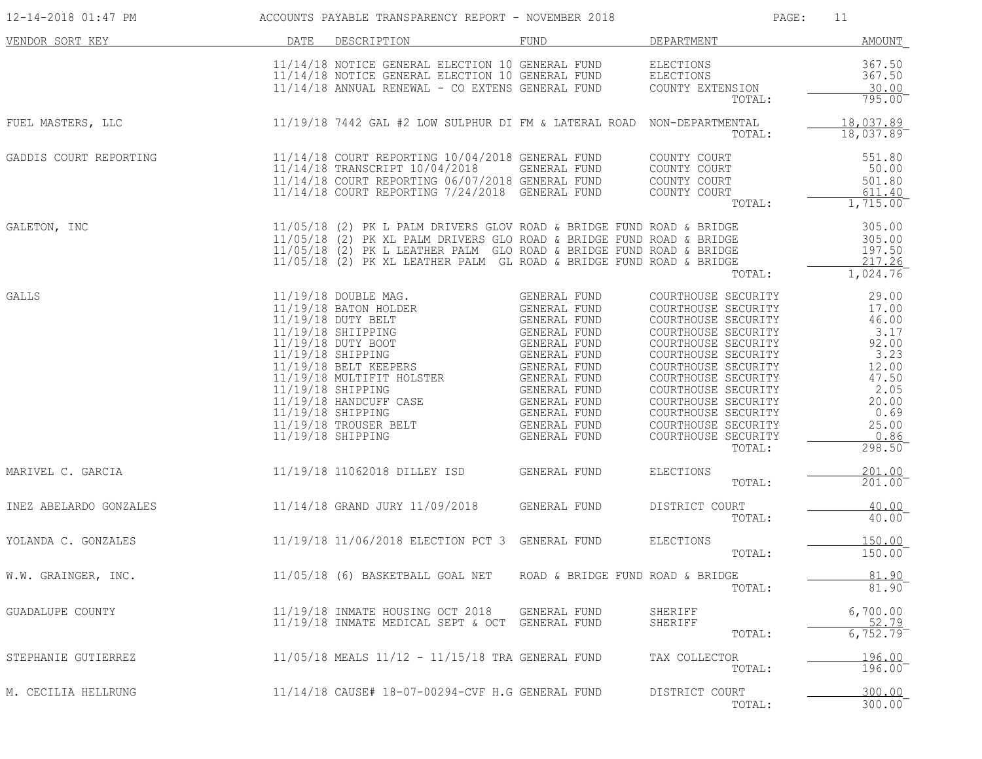| 12-14-2018 01:47 PM    |      | ACCOUNTS PAYABLE TRANSPARENCY REPORT - NOVEMBER 2018                                                                                                                                                                                                                                                                                                                                                              |                                                                                                              | PAGE:                                                                                                                                                                                                                                                                                                             | 11                                                                                                                     |
|------------------------|------|-------------------------------------------------------------------------------------------------------------------------------------------------------------------------------------------------------------------------------------------------------------------------------------------------------------------------------------------------------------------------------------------------------------------|--------------------------------------------------------------------------------------------------------------|-------------------------------------------------------------------------------------------------------------------------------------------------------------------------------------------------------------------------------------------------------------------------------------------------------------------|------------------------------------------------------------------------------------------------------------------------|
| VENDOR SORT KEY        | DATE | DESCRIPTION                                                                                                                                                                                                                                                                                                                                                                                                       | FUND                                                                                                         | DEPARTMENT                                                                                                                                                                                                                                                                                                        | AMOUNT                                                                                                                 |
|                        |      | 11/14/18 NOTICE GENERAL ELECTION 10 GENERAL FUND<br>11/14/18 NOTICE GENERAL ELECTION 10 GENERAL FUND<br>11/14/18 ANNUAL RENEWAL - CO EXTENS GENERAL FUND                                                                                                                                                                                                                                                          |                                                                                                              | ELECTIONS<br>ELECTIONS<br>COUNTY EXTENSION<br>TOTAL:                                                                                                                                                                                                                                                              | 367.50<br>367.50<br>30.00<br>795.00                                                                                    |
| FUEL MASTERS, LLC      |      | 11/19/18 7442 GAL #2 LOW SULPHUR DI FM & LATERAL ROAD NON-DEPARTMENTAL                                                                                                                                                                                                                                                                                                                                            |                                                                                                              | TOTAL:                                                                                                                                                                                                                                                                                                            | 18,037.89<br>18,037.89                                                                                                 |
| GADDIS COURT REPORTING |      | $11/14/18$ COURT REPORTING $10/04/2018$ GENERAL FUND<br>11/14/18 TRANSCRIPT 10/04/2018<br>11/14/18 COURT REPORTING 06/07/2018 GENERAL FUND<br>11/14/18 COURT REPORTING 7/24/2018 GENERAL FUND                                                                                                                                                                                                                     | GENERAL FUND<br>GENERAL FUND                                                                                 | COUNTY COURT<br>COUNTY COURT<br>COUNTY COURT<br>COUNTY COURT<br>TOTAL:                                                                                                                                                                                                                                            | 551.80<br>50.00<br>501.80<br>611.40<br>1,715.00                                                                        |
| GALETON, INC           |      | 11/05/18 (2) PK L PALM DRIVERS GLOV ROAD & BRIDGE FUND ROAD & BRIDGE<br>11/05/18 (2) PK XL PALM DRIVERS GLO ROAD & BRIDGE FUND ROAD & BRIDGE<br>11/05/18 (2) PK L LEATHER PALM GLO ROAD & BRIDGE FUND ROAD & BRIDGE<br>11/05/18 (2) PK XL LEATHER PALM GL ROAD & BRIDGE FUND ROAD & BRIDGE                                                                                                                        |                                                                                                              | TOTAL:                                                                                                                                                                                                                                                                                                            | 305.00<br>305.00<br>197.50<br>217.26<br>1,024.76                                                                       |
| GALLS                  |      | 11/19/18 DOUBLE MAG.<br>11/19/18 BATON HOLDER<br>11/19/18 DUTY BELT<br>11/19/18 DUTY BELT<br>11/19/18 DUTY BOOT GENERAL FUND<br>11/19/18 DUTY BOOT GENERAL FUND<br>11/19/18 BELT KEEPERS GENERAL FUND<br>11/19/18 BELT KEEPERS GENERAL FUND<br>11/19/18 MULTIFIT HOLSTER GENERAL FUND<br>11/1<br>11/19/18 SHIPPING<br>11/19/18 HANDCUFF CASE<br>11/19/18 SHIPPING<br>$11/19/18$ TROUSER BELT<br>11/19/18 SHIPPING | GENERAL FUND<br>GENERAL FUND<br>GENERAL FUND<br>GENERAL FUND<br>GENERAL FUND<br>GENERAL FUND<br>GENERAL FUND | COURTHOUSE SECURITY<br>COURTHOUSE SECURITY<br>COURTHOUSE SECURITY<br>COURTHOUSE SECURITY<br>COURTHOUSE SECURITY<br>COURTHOUSE SECURITY<br>COURTHOUSE SECURITY<br>COURTHOUSE SECURITY<br>COURTHOUSE SECURITY<br>COURTHOUSE SECURITY<br>COURTHOUSE SECURITY<br>COURTHOUSE SECURITY<br>COURTHOUSE SECURITY<br>TOTAL: | 29.00<br>17.00<br>46.00<br>3.17<br>92.00<br>3.23<br>12.00<br>47.50<br>2.05<br>20.00<br>0.69<br>25.00<br>0.86<br>298.50 |
| MARIVEL C. GARCIA      |      | 11/19/18 11062018 DILLEY ISD                                                                                                                                                                                                                                                                                                                                                                                      | GENERAL FUND                                                                                                 | ELECTIONS<br>TOTAL:                                                                                                                                                                                                                                                                                               | 201.00<br>$201.00^-$                                                                                                   |
| INEZ ABELARDO GONZALES |      | 11/14/18 GRAND JURY 11/09/2018                                                                                                                                                                                                                                                                                                                                                                                    | GENERAL FUND                                                                                                 | DISTRICT COURT<br>TOTAL:                                                                                                                                                                                                                                                                                          | 40.00<br>40.00                                                                                                         |
| YOLANDA C. GONZALES    |      | 11/19/18 11/06/2018 ELECTION PCT 3 GENERAL FUND                                                                                                                                                                                                                                                                                                                                                                   |                                                                                                              | <b>ELECTIONS</b><br>TOTAL:                                                                                                                                                                                                                                                                                        | 150.00<br>$150.00^{-}$                                                                                                 |
| W.W. GRAINGER, INC.    |      | $11/05/18$ (6) BASKETBALL GOAL NET                                                                                                                                                                                                                                                                                                                                                                                | ROAD & BRIDGE FUND ROAD & BRIDGE                                                                             | TOTAL:                                                                                                                                                                                                                                                                                                            | 81.90<br>81.90                                                                                                         |
| GUADALUPE COUNTY       |      | 11/19/18 INMATE HOUSING OCT 2018<br>11/19/18 INMATE MEDICAL SEPT & OCT GENERAL FUND                                                                                                                                                                                                                                                                                                                               | GENERAL FUND                                                                                                 | SHERIFF<br>SHERIFF<br>TOTAL:                                                                                                                                                                                                                                                                                      | 6,700.00<br>52.79<br>6,752.79                                                                                          |
| STEPHANIE GUTIERREZ    |      | $11/05/18$ MEALS $11/12 - 11/15/18$ TRA GENERAL FUND                                                                                                                                                                                                                                                                                                                                                              |                                                                                                              | TAX COLLECTOR<br>TOTAL:                                                                                                                                                                                                                                                                                           | 196.00<br>196.00                                                                                                       |
| M. CECILIA HELLRUNG    |      | 11/14/18 CAUSE# 18-07-00294-CVF H.G GENERAL FUND                                                                                                                                                                                                                                                                                                                                                                  |                                                                                                              | DISTRICT COURT<br>TOTAL:                                                                                                                                                                                                                                                                                          | 300.00<br>300.00                                                                                                       |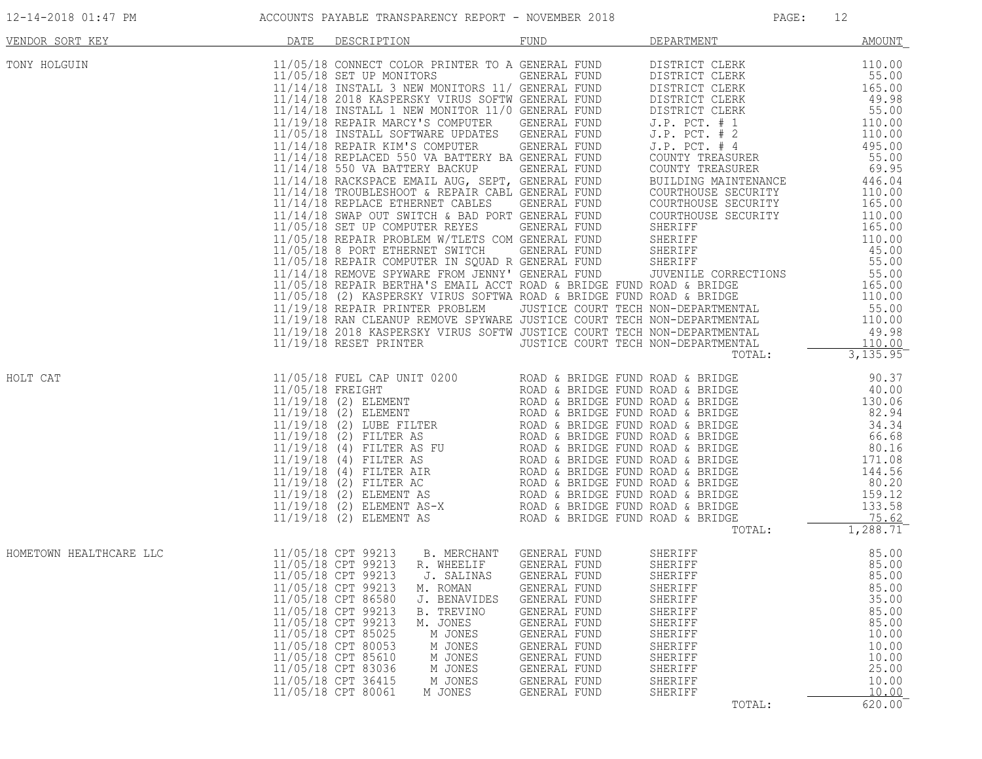| 12-14-2018 01:47 PM |  |
|---------------------|--|
|                     |  |

| VENDOR SORT KEY         | <u>DATE</u> | DESCRIPTION                                                                                                                                                                                                                                                                                                                                                                                                                                                                                                                                                                                        |                                                                                                                                              | FUND DEPARTMENT AMOUNT                                                                                               |                                                                                                  |
|-------------------------|-------------|----------------------------------------------------------------------------------------------------------------------------------------------------------------------------------------------------------------------------------------------------------------------------------------------------------------------------------------------------------------------------------------------------------------------------------------------------------------------------------------------------------------------------------------------------------------------------------------------------|----------------------------------------------------------------------------------------------------------------------------------------------|----------------------------------------------------------------------------------------------------------------------|--------------------------------------------------------------------------------------------------|
| TONY HOLGUIN            |             |                                                                                                                                                                                                                                                                                                                                                                                                                                                                                                                                                                                                    |                                                                                                                                              |                                                                                                                      |                                                                                                  |
| HOLT CAT                |             |                                                                                                                                                                                                                                                                                                                                                                                                                                                                                                                                                                                                    |                                                                                                                                              |                                                                                                                      |                                                                                                  |
| HOMETOWN HEALTHCARE LLC |             | 11/05/18 CPT 99213 B. MERCHANT GENERAL FUND SHERIFF<br>11/05/18 CPT 99213 R. WHEELIF GENERAL FUND SHERIFF (SEREIFF 85.00)<br>11/05/18 CPT 99213 J. SALINAS GENERAL FUND SHERIFF (S. 11/05/18 CPT 99213 J. SALINAS GENERAL FUND SHERI<br>11/05/18 CPT 99213 M. ROMAN GENERAL FUND<br>11/05/18 CPT 86580<br>J. BENAVIDES<br>11/05/18 CPT 99213<br>B. TREVINO<br>11/05/18 CPT 99213<br>M. JONES<br>11/05/18 CPT 85025<br>M JONES<br>11/05/18 CPT 80053<br>M JONES<br>11/05/18 CPT 85610<br>M JONES<br>11/05/18 CPT 83036<br>M JONES<br>11/05/18 CPT 36415<br>M JONES<br>11/05/18 CPT 80061<br>M JONES | GENERAL FUND<br>GENERAL FUND<br>GENERAL FUND<br>GENERAL FUND<br>GENERAL FUND<br>GENERAL FUND<br>GENERAL FUND<br>GENERAL FUND<br>GENERAL FUND | SHERIFF<br>SHERIFF<br>SHERIFF<br>SHERIFF<br>SHERIFF<br>SHERIFF<br>SHERIFF<br>SHERIFF<br>SHERIFF<br>SHERIFF<br>TOTAL: | 85.00<br>35.00<br>85.00<br>85.00<br>10.00<br>10.00<br>10.00<br>25.00<br>10.00<br>10.00<br>620.00 |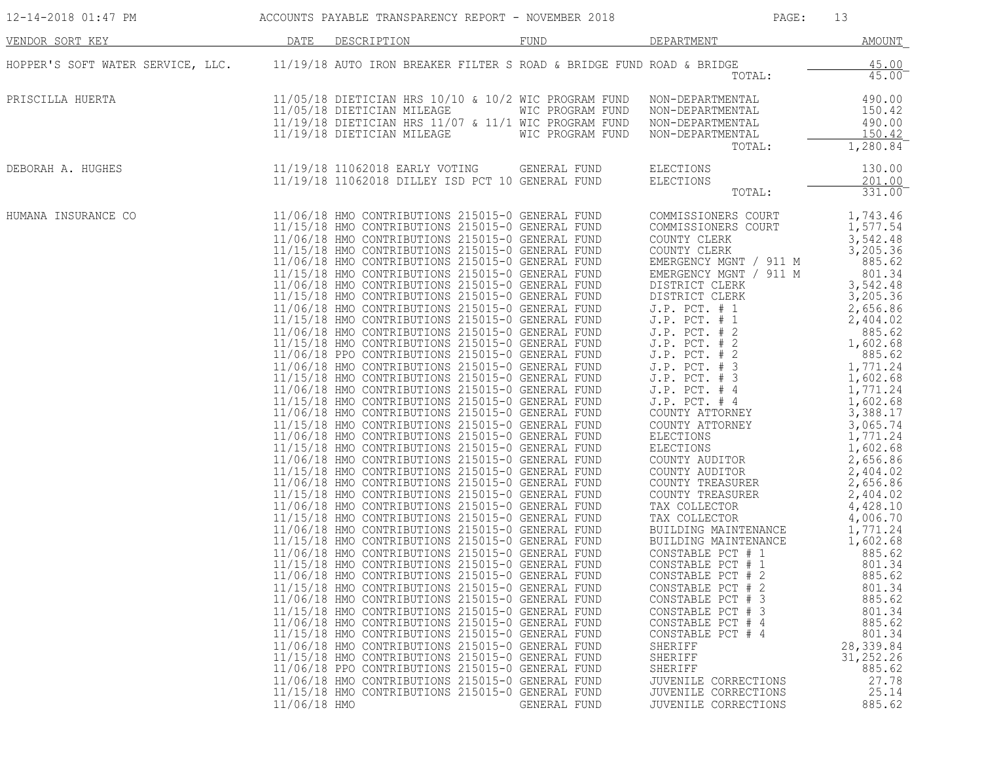| 12-14-2018 01:47 PM                                                                                    |              | ACCOUNTS PAYABLE TRANSPARENCY REPORT - NOVEMBER 2018                                                                                                                                                                                                                                                                                                                                                                                                                                                                                                                                                                                                                                                                                                                                                                                                                                                                                                                                                                                                                                                                                                                                                                                                                                                                                                                                                                                                                                                                                                                                                                                                                                                                                                                                                                                                                                                                                                                                                                                                                                                                                                                                                                                                                                            |                  | PAGE:                                                                                                                                                                                                                                                                                                                                                                                                                                                                                                                                                                                                                                                                                                                                                                                                  | 13                                                                                                                                                                                                                                                                                                                                                                                                                                                                                                     |
|--------------------------------------------------------------------------------------------------------|--------------|-------------------------------------------------------------------------------------------------------------------------------------------------------------------------------------------------------------------------------------------------------------------------------------------------------------------------------------------------------------------------------------------------------------------------------------------------------------------------------------------------------------------------------------------------------------------------------------------------------------------------------------------------------------------------------------------------------------------------------------------------------------------------------------------------------------------------------------------------------------------------------------------------------------------------------------------------------------------------------------------------------------------------------------------------------------------------------------------------------------------------------------------------------------------------------------------------------------------------------------------------------------------------------------------------------------------------------------------------------------------------------------------------------------------------------------------------------------------------------------------------------------------------------------------------------------------------------------------------------------------------------------------------------------------------------------------------------------------------------------------------------------------------------------------------------------------------------------------------------------------------------------------------------------------------------------------------------------------------------------------------------------------------------------------------------------------------------------------------------------------------------------------------------------------------------------------------------------------------------------------------------------------------------------------------|------------------|--------------------------------------------------------------------------------------------------------------------------------------------------------------------------------------------------------------------------------------------------------------------------------------------------------------------------------------------------------------------------------------------------------------------------------------------------------------------------------------------------------------------------------------------------------------------------------------------------------------------------------------------------------------------------------------------------------------------------------------------------------------------------------------------------------|--------------------------------------------------------------------------------------------------------------------------------------------------------------------------------------------------------------------------------------------------------------------------------------------------------------------------------------------------------------------------------------------------------------------------------------------------------------------------------------------------------|
| VENDOR SORT KEY                                                                                        | DATE         | DESCRIPTION                                                                                                                                                                                                                                                                                                                                                                                                                                                                                                                                                                                                                                                                                                                                                                                                                                                                                                                                                                                                                                                                                                                                                                                                                                                                                                                                                                                                                                                                                                                                                                                                                                                                                                                                                                                                                                                                                                                                                                                                                                                                                                                                                                                                                                                                                     | FUND             | DEPARTMENT                                                                                                                                                                                                                                                                                                                                                                                                                                                                                                                                                                                                                                                                                                                                                                                             | <b>AMOUNT</b>                                                                                                                                                                                                                                                                                                                                                                                                                                                                                          |
| HOPPER'S SOFT WATER SERVICE, LLC. 11/19/18 AUTO IRON BREAKER FILTER S ROAD & BRIDGE FUND ROAD & BRIDGE |              |                                                                                                                                                                                                                                                                                                                                                                                                                                                                                                                                                                                                                                                                                                                                                                                                                                                                                                                                                                                                                                                                                                                                                                                                                                                                                                                                                                                                                                                                                                                                                                                                                                                                                                                                                                                                                                                                                                                                                                                                                                                                                                                                                                                                                                                                                                 |                  | TOTAL:                                                                                                                                                                                                                                                                                                                                                                                                                                                                                                                                                                                                                                                                                                                                                                                                 | 45.00<br>45.00                                                                                                                                                                                                                                                                                                                                                                                                                                                                                         |
| PRISCILLA HUERTA                                                                                       |              | $11/05/18$ DIETICIAN HRS $10/10$ & $10/2$ WIC PROGRAM FUND<br>11/05/18 DIETICIAN MILEAGE<br>$11/19/18$ DIETICIAN HRS $11/07$ & $11/1$ WIC PROGRAM FUND<br>11/19/18 DIETICIAN MILEAGE WIC PROGRAM FUND                                                                                                                                                                                                                                                                                                                                                                                                                                                                                                                                                                                                                                                                                                                                                                                                                                                                                                                                                                                                                                                                                                                                                                                                                                                                                                                                                                                                                                                                                                                                                                                                                                                                                                                                                                                                                                                                                                                                                                                                                                                                                           | WIC PROGRAM FUND | NON-DEPARTMENTAL<br>NON-DEPARTMENTAL<br>NON-DEPARTMENTAL<br>NON-DEPARTMENTAL<br>TOTAL:                                                                                                                                                                                                                                                                                                                                                                                                                                                                                                                                                                                                                                                                                                                 | 490.00<br>150.42<br>490.00<br>150.42<br>1,280.84                                                                                                                                                                                                                                                                                                                                                                                                                                                       |
| DEBORAH A. HUGHES                                                                                      |              | 11/19/18 11062018 EARLY VOTING GENERAL FUND<br>11/19/18 11062018 DILLEY ISD PCT 10 GENERAL FUND                                                                                                                                                                                                                                                                                                                                                                                                                                                                                                                                                                                                                                                                                                                                                                                                                                                                                                                                                                                                                                                                                                                                                                                                                                                                                                                                                                                                                                                                                                                                                                                                                                                                                                                                                                                                                                                                                                                                                                                                                                                                                                                                                                                                 |                  | ELECTIONS<br>ELECTIONS<br>TOTAL:                                                                                                                                                                                                                                                                                                                                                                                                                                                                                                                                                                                                                                                                                                                                                                       | 130.00<br>201.00<br>331.00                                                                                                                                                                                                                                                                                                                                                                                                                                                                             |
| HUMANA INSURANCE CO                                                                                    | 11/06/18 HMO | 11/06/18 HMO CONTRIBUTIONS 215015-0 GENERAL FUND<br>11/15/18 HMO CONTRIBUTIONS 215015-0 GENERAL FUND<br>11/06/18 HMO CONTRIBUTIONS 215015-0 GENERAL FUND<br>11/15/18 HMO CONTRIBUTIONS 215015-0 GENERAL FUND<br>11/06/18 HMO CONTRIBUTIONS 215015-0 GENERAL FUND<br>11/15/18 HMO CONTRIBUTIONS 215015-0 GENERAL FUND<br>11/06/18 HMO CONTRIBUTIONS 215015-0 GENERAL FUND DISTRICT CLERK<br>11/15/18 HMO CONTRIBUTIONS 215015-0 GENERAL FUND DISTRICT CL<br>11/06/18 HMO CONTRIBUTIONS 215015-0 GENERAL FUND<br>11/15/18 HMO CONTRIBUTIONS 215015-0 GENERAL FUND<br>11/06/18 HMO CONTRIBUTIONS 215015-0 GENERAL FUND<br>11/15/18 HMO CONTRIBUTIONS 215015-0 GENERAL FUND<br>11/06/18 PPO CONTRIBUTIONS 215015-0 GENERAL FUND<br>11/06/18 HMO CONTRIBUTIONS 215015-0 GENERAL FUND<br>11/15/18 HMO CONTRIBUTIONS 215015-0 GENERAL FUND<br>11/06/18 HMO CONTRIBUTIONS 215015-0 GENERAL FUND<br>11/15/18 HMO CONTRIBUTIONS 215015-0 GENERAL FUND<br>11/06/18 HMO CONTRIBUTIONS 215015-0 GENERAL FUND<br>11/15/18 HMO CONTRIBUTIONS 215015-0 GENERAL FUND<br>11/06/18 HMO CONTRIBUTIONS 215015-0 GENERAL FUND<br>11/15/18 HMO CONTRIBUTIONS 215015-0 GENERAL FUND<br>11/06/18 HMO CONTRIBUTIONS 215015-0 GENERAL FUND<br>11/15/18 HMO CONTRIBUTIONS 215015-0 GENERAL FUND<br>11/06/18 HMO CONTRIBUTIONS 215015-0 GENERAL FUND<br>11/15/18 HMO CONTRIBUTIONS 215015-0 GENERAL FUND<br>11/06/18 HMO CONTRIBUTIONS 215015-0 GENERAL FUND<br>11/15/18 HMO CONTRIBUTIONS 215015-0 GENERAL FUND<br>11/06/18 HMO CONTRIBUTIONS 215015-0 GENERAL FUND<br>11/15/18 HMO CONTRIBUTIONS 215015-0 GENERAL FUND<br>11/06/18 HMO CONTRIBUTIONS 215015-0 GENERAL FUND<br>11/15/18 HMO CONTRIBUTIONS 215015-0 GENERAL FUND<br>11/06/18 HMO CONTRIBUTIONS 215015-0 GENERAL FUND<br>11/15/18 HMO CONTRIBUTIONS 215015-0 GENERAL FUND<br>11/06/18 HMO CONTRIBUTIONS 215015-0 GENERAL FUND<br>11/15/18 HMO CONTRIBUTIONS 215015-0 GENERAL FUND<br>11/06/18 HMO CONTRIBUTIONS 215015-0 GENERAL FUND<br>11/15/18 HMO CONTRIBUTIONS 215015-0 GENERAL FUND<br>11/06/18 HMO CONTRIBUTIONS 215015-0 GENERAL FUND<br>11/15/18 HMO CONTRIBUTIONS 215015-0 GENERAL FUND<br>11/06/18 PPO CONTRIBUTIONS 215015-0 GENERAL FUND<br>11/06/18 HMO CONTRIBUTIONS 215015-0 GENERAL FUND<br>11/15/18 HMO CONTRIBUTIONS 215015-0 GENERAL FUND | GENERAL FUND     | COMMISSIONERS COURT<br>COMMISSIONERS COURT<br>COUNTY CLERK<br>COUNTY CLERK<br>EMERGENCY MGNT / 911 M<br>EMERGENCY MGNT / 911 M<br>J.P. PCT. # 1<br>J.P. PCT. # 2<br>J.P. PCT. # 2<br>J.P. PCT. # 2<br>J.P. PCT. # 2<br>J.P. PCT. # 3<br>J.P. PCT. # 4<br>J.P. PCT. # 4<br>J.P. PCT. # 4<br>COUNTY ATTORMEY<br>COUNTY ATTORNEY<br>ELECTIONS<br>ELECTIONS<br>COUNTY AUDITOR<br>COUNTY AUDITOR<br>COUNTY TREASURER<br>COUNTY TREASURER<br>TAX COLLECTOR<br>TAX COLLECTOR<br>BUILDING MAINTENANCE<br>BUILDING MAINTENANCE<br>CONSTABLE PCT # 1<br>CONSTABLE PCT # 1<br>CONSTABLE PCT # 2<br>CONSTABLE PCT # 2<br>CONSTABLE PCT # 3<br>CONSTABLE PCT # 3<br>CONSTABLE PCT # 4<br>CONSTABLE PCT # 4<br>SHERIFF<br>SHERIFF<br>SHERIFF<br>JUVENILE CORRECTIONS<br>JUVENILE CORRECTIONS<br>JUVENILE CORRECTIONS | 1,743.46<br>1,577.54<br>3,542.48<br>3,205.36<br>885.62<br>801.34<br>3,542.48<br>3,205.36<br>2,656.86<br>2,404.02<br>885.62<br>1,602.68<br>885.62<br>$1,771.24$<br>$1,602.68$<br>1,771.24<br>1,602.68<br>3,388.17<br>3,065.74<br>1,771.24<br>1,602.68<br>2,656.86<br>2,404.02<br>2,656.86<br>2,404.02<br>4,428.10<br>4,006.70<br>1,771.24<br>1,602.68<br>885.62<br>801.34<br>885.62<br>801.34<br>885.62<br>801.34<br>885.62<br>801.34<br>28, 339.84<br>31, 252.26<br>885.62<br>27.78<br>25.14<br>885.62 |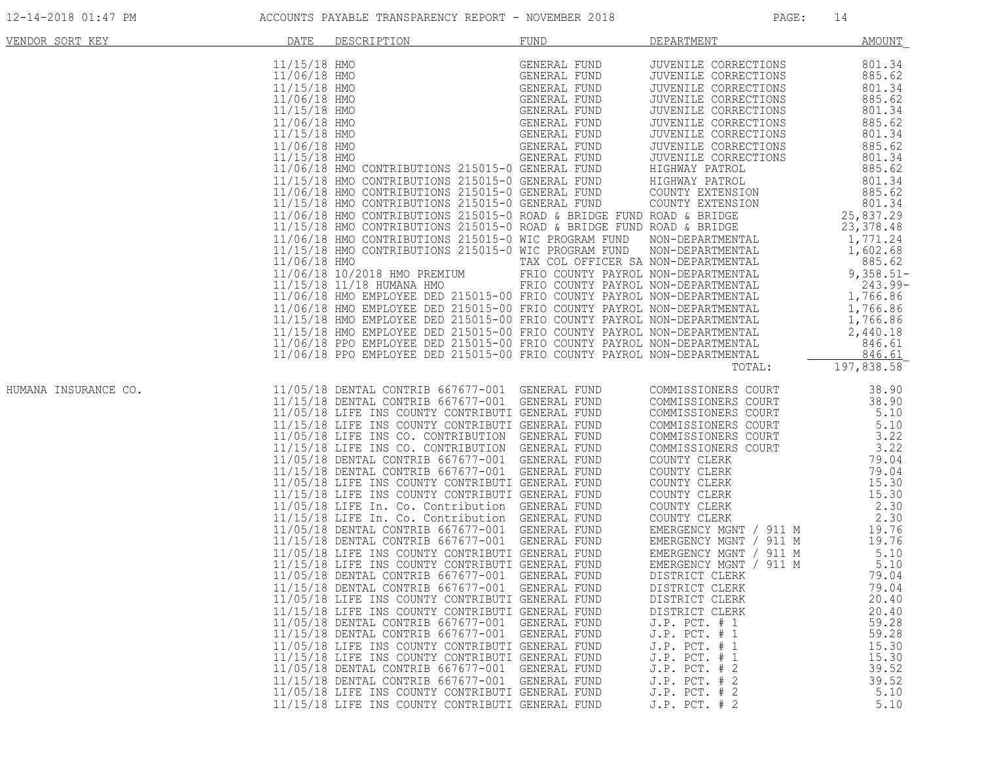| 12-14-2018 01:47 PM |
|---------------------|
|---------------------|

| 11/15/18 HMO<br>GENERAL FUND<br>GENERAL FUND<br>GENERAL FUND<br>GENERAL FUND<br>GENERAL FUND<br>GENERAL FUND<br>GENERAL FUND<br>GENERAL FUND<br>GENERAL FUND<br>GENERAL FUND<br>GENERAL FUND<br>GENERAL FUND<br>801.34<br>JUVENILE CORRECTIONS<br>11/06/18 HMO<br>JUVENILE CORRECTIONS<br>885.62<br>11/15/18 HMO<br>JUVENILE CORRECTIONS<br>801.34<br>11/06/18 HMO<br>885.62<br>JUVENILE CORRECTIONS<br>11/15/18 HMO<br>JUVENILE CORRECTIONS<br>801.34<br>11/06/18 HMO<br>885.62<br>JUVENILE CORRECTIONS<br>801.34<br>885.62<br>$\begin{tabular}{lllllllllllllllllllllllllllllllllll} \textbf{11/15/18 HMO} & \textbf{GENERAL FUND} & \textbf{JUVENILE CORRECTIONS} \\ \textbf{11/06/18 HMO} & \textbf{GENERAL FUND} & \textbf{JUVENILE CORRECTIONS} \\ \textbf{11/5/18 HMO} & \textbf{GENERAL FUND} & \textbf{JUVENILE CORRECTIONS} \\ \textbf{11/5/18 HMO CONTRIBUTIONS} & \textbf{215015-0} & \textbf{GENERAL FUND} & \textbf{HIGHWAY PATROL} \\ \textbf{11/5/18 HMO CONTRIBUT$<br>801.34<br>885.62<br>801.34<br>885.62<br>801.34<br>25,837.29<br>23, 378.48<br>197,838.58<br>TOTAL:<br>11/05/18 DENTAL CONTRIB 667677-001 GENERAL FUND<br>38.90<br>COMMISSIONERS COURT<br>11/15/18 DENTAL CONTRIB 667677-001 GENERAL FUND<br>COMMISSIONERS COURT<br>38.90<br>11/05/18 LIFE INS COUNTY CONTRIBUTI GENERAL FUND<br>5.10<br>COMMISSIONERS COURT<br>11/15/18 LIFE INS COUNTY CONTRIBUTI GENERAL FUND<br>5.10<br>COMMISSIONERS COURT<br>11/05/18 LIFE INS CO. CONTRIBUTION GENERAL FUND<br>3.22<br>COMMISSIONERS COURT<br>11/15/18 LIFE INS CO. CONTRIBUTION GENERAL FUND<br>3.22<br>COMMISSIONERS COURT<br>11/05/18 DENTAL CONTRIB 667677-001 GENERAL FUND<br>79.04<br>COUNTY CLERK<br>11/15/18 DENTAL CONTRIB 667677-001 GENERAL FUND<br>79.04<br>COUNTY CLERK<br>11/05/18 LIFE INS COUNTY CONTRIBUTI GENERAL FUND<br>15.30<br>COUNTY CLERK<br>11/15/18 LIFE INS COUNTY CONTRIBUTI GENERAL FUND<br>15.30<br>COUNTY CLERK<br>11/05/18 LIFE In. Co. Contribution GENERAL FUND<br>COUNTY CLERK<br>2.30<br>2.30<br>11/15/18 LIFE In. Co. Contribution GENERAL FUND<br>COUNTY CLERK<br>11/05/18 DENTAL CONTRIB 667677-001 GENERAL FUND<br>EMERGENCY MGNT / 911 M<br>19.76<br>11/15/18 DENTAL CONTRIB 667677-001 GENERAL FUND<br>EMERGENCY MGNT / 911 M<br>19.76<br>11/05/18 LIFE INS COUNTY CONTRIBUTI GENERAL FUND<br>5.10<br>EMERGENCY MGNT / 911 M<br>11/15/18 LIFE INS COUNTY CONTRIBUTI GENERAL FUND<br>EMERGENCY MGNT / 911 M<br>5.10<br>11/05/18 DENTAL CONTRIB 667677-001 GENERAL FUND<br>79.04<br>DISTRICT CLERK<br>11/15/18 DENTAL CONTRIB 667677-001 GENERAL FUND<br>DISTRICT CLERK<br>79.04<br>20.40<br>11/05/18 LIFE INS COUNTY CONTRIBUTI GENERAL FUND<br>DISTRICT CLERK<br>11/15/18 LIFE INS COUNTY CONTRIBUTI GENERAL FUND<br>20.40<br>DISTRICT CLERK<br>11/05/18 DENTAL CONTRIB 667677-001 GENERAL FUND<br>59.28<br>$J.P.$ PCT. $# 1$<br>11/15/18 DENTAL CONTRIB 667677-001 GENERAL FUND<br>59.28<br>$J.P.$ PCT. $# 1$<br>15.30<br>11/05/18 LIFE INS COUNTY CONTRIBUTI GENERAL FUND<br>$J.P.$ PCT. $# 1$<br>11/15/18 LIFE INS COUNTY CONTRIBUTI GENERAL FUND<br>J.P. PCT. # 1<br>15.30<br>39.52<br>11/05/18 DENTAL CONTRIB 667677-001 GENERAL FUND<br>$J.P.$ PCT. $# 2$<br>11/15/18 DENTAL CONTRIB 667677-001 GENERAL FUND<br>$J.P.$ PCT. $# 2$<br>39.52<br>11/05/18 LIFE INS COUNTY CONTRIBUTI GENERAL FUND<br>5.10<br>$J.P.$ PCT. $# 2$<br>5.10<br>11/15/18 LIFE INS COUNTY CONTRIBUTI GENERAL FUND<br>J.P. PCT. # 2 | VENDOR SORT KEY      | DATE | DESCRIPTION | FUND | DEPARTMENT | <b>AMOUNT</b> |
|-------------------------------------------------------------------------------------------------------------------------------------------------------------------------------------------------------------------------------------------------------------------------------------------------------------------------------------------------------------------------------------------------------------------------------------------------------------------------------------------------------------------------------------------------------------------------------------------------------------------------------------------------------------------------------------------------------------------------------------------------------------------------------------------------------------------------------------------------------------------------------------------------------------------------------------------------------------------------------------------------------------------------------------------------------------------------------------------------------------------------------------------------------------------------------------------------------------------------------------------------------------------------------------------------------------------------------------------------------------------------------------------------------------------------------------------------------------------------------------------------------------------------------------------------------------------------------------------------------------------------------------------------------------------------------------------------------------------------------------------------------------------------------------------------------------------------------------------------------------------------------------------------------------------------------------------------------------------------------------------------------------------------------------------------------------------------------------------------------------------------------------------------------------------------------------------------------------------------------------------------------------------------------------------------------------------------------------------------------------------------------------------------------------------------------------------------------------------------------------------------------------------------------------------------------------------------------------------------------------------------------------------------------------------------------------------------------------------------------------------------------------------------------------------------------------------------------------------------------------------------------------------------------------------------------------------------------------------------------------------------------------------------------------------------------------------------------------------------------------------------------------------------------------------------------------------------------------------------------------------------------------------------------------------------------------------------------------------------------------------------------------------------------------------------------------|----------------------|------|-------------|------|------------|---------------|
|                                                                                                                                                                                                                                                                                                                                                                                                                                                                                                                                                                                                                                                                                                                                                                                                                                                                                                                                                                                                                                                                                                                                                                                                                                                                                                                                                                                                                                                                                                                                                                                                                                                                                                                                                                                                                                                                                                                                                                                                                                                                                                                                                                                                                                                                                                                                                                                                                                                                                                                                                                                                                                                                                                                                                                                                                                                                                                                                                                                                                                                                                                                                                                                                                                                                                                                                                                                                                                     |                      |      |             |      |            |               |
|                                                                                                                                                                                                                                                                                                                                                                                                                                                                                                                                                                                                                                                                                                                                                                                                                                                                                                                                                                                                                                                                                                                                                                                                                                                                                                                                                                                                                                                                                                                                                                                                                                                                                                                                                                                                                                                                                                                                                                                                                                                                                                                                                                                                                                                                                                                                                                                                                                                                                                                                                                                                                                                                                                                                                                                                                                                                                                                                                                                                                                                                                                                                                                                                                                                                                                                                                                                                                                     |                      |      |             |      |            |               |
|                                                                                                                                                                                                                                                                                                                                                                                                                                                                                                                                                                                                                                                                                                                                                                                                                                                                                                                                                                                                                                                                                                                                                                                                                                                                                                                                                                                                                                                                                                                                                                                                                                                                                                                                                                                                                                                                                                                                                                                                                                                                                                                                                                                                                                                                                                                                                                                                                                                                                                                                                                                                                                                                                                                                                                                                                                                                                                                                                                                                                                                                                                                                                                                                                                                                                                                                                                                                                                     |                      |      |             |      |            |               |
|                                                                                                                                                                                                                                                                                                                                                                                                                                                                                                                                                                                                                                                                                                                                                                                                                                                                                                                                                                                                                                                                                                                                                                                                                                                                                                                                                                                                                                                                                                                                                                                                                                                                                                                                                                                                                                                                                                                                                                                                                                                                                                                                                                                                                                                                                                                                                                                                                                                                                                                                                                                                                                                                                                                                                                                                                                                                                                                                                                                                                                                                                                                                                                                                                                                                                                                                                                                                                                     |                      |      |             |      |            |               |
|                                                                                                                                                                                                                                                                                                                                                                                                                                                                                                                                                                                                                                                                                                                                                                                                                                                                                                                                                                                                                                                                                                                                                                                                                                                                                                                                                                                                                                                                                                                                                                                                                                                                                                                                                                                                                                                                                                                                                                                                                                                                                                                                                                                                                                                                                                                                                                                                                                                                                                                                                                                                                                                                                                                                                                                                                                                                                                                                                                                                                                                                                                                                                                                                                                                                                                                                                                                                                                     |                      |      |             |      |            |               |
|                                                                                                                                                                                                                                                                                                                                                                                                                                                                                                                                                                                                                                                                                                                                                                                                                                                                                                                                                                                                                                                                                                                                                                                                                                                                                                                                                                                                                                                                                                                                                                                                                                                                                                                                                                                                                                                                                                                                                                                                                                                                                                                                                                                                                                                                                                                                                                                                                                                                                                                                                                                                                                                                                                                                                                                                                                                                                                                                                                                                                                                                                                                                                                                                                                                                                                                                                                                                                                     |                      |      |             |      |            |               |
|                                                                                                                                                                                                                                                                                                                                                                                                                                                                                                                                                                                                                                                                                                                                                                                                                                                                                                                                                                                                                                                                                                                                                                                                                                                                                                                                                                                                                                                                                                                                                                                                                                                                                                                                                                                                                                                                                                                                                                                                                                                                                                                                                                                                                                                                                                                                                                                                                                                                                                                                                                                                                                                                                                                                                                                                                                                                                                                                                                                                                                                                                                                                                                                                                                                                                                                                                                                                                                     |                      |      |             |      |            |               |
|                                                                                                                                                                                                                                                                                                                                                                                                                                                                                                                                                                                                                                                                                                                                                                                                                                                                                                                                                                                                                                                                                                                                                                                                                                                                                                                                                                                                                                                                                                                                                                                                                                                                                                                                                                                                                                                                                                                                                                                                                                                                                                                                                                                                                                                                                                                                                                                                                                                                                                                                                                                                                                                                                                                                                                                                                                                                                                                                                                                                                                                                                                                                                                                                                                                                                                                                                                                                                                     |                      |      |             |      |            |               |
|                                                                                                                                                                                                                                                                                                                                                                                                                                                                                                                                                                                                                                                                                                                                                                                                                                                                                                                                                                                                                                                                                                                                                                                                                                                                                                                                                                                                                                                                                                                                                                                                                                                                                                                                                                                                                                                                                                                                                                                                                                                                                                                                                                                                                                                                                                                                                                                                                                                                                                                                                                                                                                                                                                                                                                                                                                                                                                                                                                                                                                                                                                                                                                                                                                                                                                                                                                                                                                     |                      |      |             |      |            |               |
|                                                                                                                                                                                                                                                                                                                                                                                                                                                                                                                                                                                                                                                                                                                                                                                                                                                                                                                                                                                                                                                                                                                                                                                                                                                                                                                                                                                                                                                                                                                                                                                                                                                                                                                                                                                                                                                                                                                                                                                                                                                                                                                                                                                                                                                                                                                                                                                                                                                                                                                                                                                                                                                                                                                                                                                                                                                                                                                                                                                                                                                                                                                                                                                                                                                                                                                                                                                                                                     |                      |      |             |      |            |               |
|                                                                                                                                                                                                                                                                                                                                                                                                                                                                                                                                                                                                                                                                                                                                                                                                                                                                                                                                                                                                                                                                                                                                                                                                                                                                                                                                                                                                                                                                                                                                                                                                                                                                                                                                                                                                                                                                                                                                                                                                                                                                                                                                                                                                                                                                                                                                                                                                                                                                                                                                                                                                                                                                                                                                                                                                                                                                                                                                                                                                                                                                                                                                                                                                                                                                                                                                                                                                                                     |                      |      |             |      |            |               |
|                                                                                                                                                                                                                                                                                                                                                                                                                                                                                                                                                                                                                                                                                                                                                                                                                                                                                                                                                                                                                                                                                                                                                                                                                                                                                                                                                                                                                                                                                                                                                                                                                                                                                                                                                                                                                                                                                                                                                                                                                                                                                                                                                                                                                                                                                                                                                                                                                                                                                                                                                                                                                                                                                                                                                                                                                                                                                                                                                                                                                                                                                                                                                                                                                                                                                                                                                                                                                                     |                      |      |             |      |            |               |
|                                                                                                                                                                                                                                                                                                                                                                                                                                                                                                                                                                                                                                                                                                                                                                                                                                                                                                                                                                                                                                                                                                                                                                                                                                                                                                                                                                                                                                                                                                                                                                                                                                                                                                                                                                                                                                                                                                                                                                                                                                                                                                                                                                                                                                                                                                                                                                                                                                                                                                                                                                                                                                                                                                                                                                                                                                                                                                                                                                                                                                                                                                                                                                                                                                                                                                                                                                                                                                     |                      |      |             |      |            |               |
|                                                                                                                                                                                                                                                                                                                                                                                                                                                                                                                                                                                                                                                                                                                                                                                                                                                                                                                                                                                                                                                                                                                                                                                                                                                                                                                                                                                                                                                                                                                                                                                                                                                                                                                                                                                                                                                                                                                                                                                                                                                                                                                                                                                                                                                                                                                                                                                                                                                                                                                                                                                                                                                                                                                                                                                                                                                                                                                                                                                                                                                                                                                                                                                                                                                                                                                                                                                                                                     |                      |      |             |      |            |               |
|                                                                                                                                                                                                                                                                                                                                                                                                                                                                                                                                                                                                                                                                                                                                                                                                                                                                                                                                                                                                                                                                                                                                                                                                                                                                                                                                                                                                                                                                                                                                                                                                                                                                                                                                                                                                                                                                                                                                                                                                                                                                                                                                                                                                                                                                                                                                                                                                                                                                                                                                                                                                                                                                                                                                                                                                                                                                                                                                                                                                                                                                                                                                                                                                                                                                                                                                                                                                                                     |                      |      |             |      |            |               |
|                                                                                                                                                                                                                                                                                                                                                                                                                                                                                                                                                                                                                                                                                                                                                                                                                                                                                                                                                                                                                                                                                                                                                                                                                                                                                                                                                                                                                                                                                                                                                                                                                                                                                                                                                                                                                                                                                                                                                                                                                                                                                                                                                                                                                                                                                                                                                                                                                                                                                                                                                                                                                                                                                                                                                                                                                                                                                                                                                                                                                                                                                                                                                                                                                                                                                                                                                                                                                                     |                      |      |             |      |            |               |
|                                                                                                                                                                                                                                                                                                                                                                                                                                                                                                                                                                                                                                                                                                                                                                                                                                                                                                                                                                                                                                                                                                                                                                                                                                                                                                                                                                                                                                                                                                                                                                                                                                                                                                                                                                                                                                                                                                                                                                                                                                                                                                                                                                                                                                                                                                                                                                                                                                                                                                                                                                                                                                                                                                                                                                                                                                                                                                                                                                                                                                                                                                                                                                                                                                                                                                                                                                                                                                     |                      |      |             |      |            |               |
|                                                                                                                                                                                                                                                                                                                                                                                                                                                                                                                                                                                                                                                                                                                                                                                                                                                                                                                                                                                                                                                                                                                                                                                                                                                                                                                                                                                                                                                                                                                                                                                                                                                                                                                                                                                                                                                                                                                                                                                                                                                                                                                                                                                                                                                                                                                                                                                                                                                                                                                                                                                                                                                                                                                                                                                                                                                                                                                                                                                                                                                                                                                                                                                                                                                                                                                                                                                                                                     |                      |      |             |      |            |               |
|                                                                                                                                                                                                                                                                                                                                                                                                                                                                                                                                                                                                                                                                                                                                                                                                                                                                                                                                                                                                                                                                                                                                                                                                                                                                                                                                                                                                                                                                                                                                                                                                                                                                                                                                                                                                                                                                                                                                                                                                                                                                                                                                                                                                                                                                                                                                                                                                                                                                                                                                                                                                                                                                                                                                                                                                                                                                                                                                                                                                                                                                                                                                                                                                                                                                                                                                                                                                                                     |                      |      |             |      |            |               |
|                                                                                                                                                                                                                                                                                                                                                                                                                                                                                                                                                                                                                                                                                                                                                                                                                                                                                                                                                                                                                                                                                                                                                                                                                                                                                                                                                                                                                                                                                                                                                                                                                                                                                                                                                                                                                                                                                                                                                                                                                                                                                                                                                                                                                                                                                                                                                                                                                                                                                                                                                                                                                                                                                                                                                                                                                                                                                                                                                                                                                                                                                                                                                                                                                                                                                                                                                                                                                                     |                      |      |             |      |            |               |
|                                                                                                                                                                                                                                                                                                                                                                                                                                                                                                                                                                                                                                                                                                                                                                                                                                                                                                                                                                                                                                                                                                                                                                                                                                                                                                                                                                                                                                                                                                                                                                                                                                                                                                                                                                                                                                                                                                                                                                                                                                                                                                                                                                                                                                                                                                                                                                                                                                                                                                                                                                                                                                                                                                                                                                                                                                                                                                                                                                                                                                                                                                                                                                                                                                                                                                                                                                                                                                     |                      |      |             |      |            |               |
|                                                                                                                                                                                                                                                                                                                                                                                                                                                                                                                                                                                                                                                                                                                                                                                                                                                                                                                                                                                                                                                                                                                                                                                                                                                                                                                                                                                                                                                                                                                                                                                                                                                                                                                                                                                                                                                                                                                                                                                                                                                                                                                                                                                                                                                                                                                                                                                                                                                                                                                                                                                                                                                                                                                                                                                                                                                                                                                                                                                                                                                                                                                                                                                                                                                                                                                                                                                                                                     | HUMANA INSURANCE CO. |      |             |      |            |               |
|                                                                                                                                                                                                                                                                                                                                                                                                                                                                                                                                                                                                                                                                                                                                                                                                                                                                                                                                                                                                                                                                                                                                                                                                                                                                                                                                                                                                                                                                                                                                                                                                                                                                                                                                                                                                                                                                                                                                                                                                                                                                                                                                                                                                                                                                                                                                                                                                                                                                                                                                                                                                                                                                                                                                                                                                                                                                                                                                                                                                                                                                                                                                                                                                                                                                                                                                                                                                                                     |                      |      |             |      |            |               |
|                                                                                                                                                                                                                                                                                                                                                                                                                                                                                                                                                                                                                                                                                                                                                                                                                                                                                                                                                                                                                                                                                                                                                                                                                                                                                                                                                                                                                                                                                                                                                                                                                                                                                                                                                                                                                                                                                                                                                                                                                                                                                                                                                                                                                                                                                                                                                                                                                                                                                                                                                                                                                                                                                                                                                                                                                                                                                                                                                                                                                                                                                                                                                                                                                                                                                                                                                                                                                                     |                      |      |             |      |            |               |
|                                                                                                                                                                                                                                                                                                                                                                                                                                                                                                                                                                                                                                                                                                                                                                                                                                                                                                                                                                                                                                                                                                                                                                                                                                                                                                                                                                                                                                                                                                                                                                                                                                                                                                                                                                                                                                                                                                                                                                                                                                                                                                                                                                                                                                                                                                                                                                                                                                                                                                                                                                                                                                                                                                                                                                                                                                                                                                                                                                                                                                                                                                                                                                                                                                                                                                                                                                                                                                     |                      |      |             |      |            |               |
|                                                                                                                                                                                                                                                                                                                                                                                                                                                                                                                                                                                                                                                                                                                                                                                                                                                                                                                                                                                                                                                                                                                                                                                                                                                                                                                                                                                                                                                                                                                                                                                                                                                                                                                                                                                                                                                                                                                                                                                                                                                                                                                                                                                                                                                                                                                                                                                                                                                                                                                                                                                                                                                                                                                                                                                                                                                                                                                                                                                                                                                                                                                                                                                                                                                                                                                                                                                                                                     |                      |      |             |      |            |               |
|                                                                                                                                                                                                                                                                                                                                                                                                                                                                                                                                                                                                                                                                                                                                                                                                                                                                                                                                                                                                                                                                                                                                                                                                                                                                                                                                                                                                                                                                                                                                                                                                                                                                                                                                                                                                                                                                                                                                                                                                                                                                                                                                                                                                                                                                                                                                                                                                                                                                                                                                                                                                                                                                                                                                                                                                                                                                                                                                                                                                                                                                                                                                                                                                                                                                                                                                                                                                                                     |                      |      |             |      |            |               |
|                                                                                                                                                                                                                                                                                                                                                                                                                                                                                                                                                                                                                                                                                                                                                                                                                                                                                                                                                                                                                                                                                                                                                                                                                                                                                                                                                                                                                                                                                                                                                                                                                                                                                                                                                                                                                                                                                                                                                                                                                                                                                                                                                                                                                                                                                                                                                                                                                                                                                                                                                                                                                                                                                                                                                                                                                                                                                                                                                                                                                                                                                                                                                                                                                                                                                                                                                                                                                                     |                      |      |             |      |            |               |
|                                                                                                                                                                                                                                                                                                                                                                                                                                                                                                                                                                                                                                                                                                                                                                                                                                                                                                                                                                                                                                                                                                                                                                                                                                                                                                                                                                                                                                                                                                                                                                                                                                                                                                                                                                                                                                                                                                                                                                                                                                                                                                                                                                                                                                                                                                                                                                                                                                                                                                                                                                                                                                                                                                                                                                                                                                                                                                                                                                                                                                                                                                                                                                                                                                                                                                                                                                                                                                     |                      |      |             |      |            |               |
|                                                                                                                                                                                                                                                                                                                                                                                                                                                                                                                                                                                                                                                                                                                                                                                                                                                                                                                                                                                                                                                                                                                                                                                                                                                                                                                                                                                                                                                                                                                                                                                                                                                                                                                                                                                                                                                                                                                                                                                                                                                                                                                                                                                                                                                                                                                                                                                                                                                                                                                                                                                                                                                                                                                                                                                                                                                                                                                                                                                                                                                                                                                                                                                                                                                                                                                                                                                                                                     |                      |      |             |      |            |               |
|                                                                                                                                                                                                                                                                                                                                                                                                                                                                                                                                                                                                                                                                                                                                                                                                                                                                                                                                                                                                                                                                                                                                                                                                                                                                                                                                                                                                                                                                                                                                                                                                                                                                                                                                                                                                                                                                                                                                                                                                                                                                                                                                                                                                                                                                                                                                                                                                                                                                                                                                                                                                                                                                                                                                                                                                                                                                                                                                                                                                                                                                                                                                                                                                                                                                                                                                                                                                                                     |                      |      |             |      |            |               |
|                                                                                                                                                                                                                                                                                                                                                                                                                                                                                                                                                                                                                                                                                                                                                                                                                                                                                                                                                                                                                                                                                                                                                                                                                                                                                                                                                                                                                                                                                                                                                                                                                                                                                                                                                                                                                                                                                                                                                                                                                                                                                                                                                                                                                                                                                                                                                                                                                                                                                                                                                                                                                                                                                                                                                                                                                                                                                                                                                                                                                                                                                                                                                                                                                                                                                                                                                                                                                                     |                      |      |             |      |            |               |
|                                                                                                                                                                                                                                                                                                                                                                                                                                                                                                                                                                                                                                                                                                                                                                                                                                                                                                                                                                                                                                                                                                                                                                                                                                                                                                                                                                                                                                                                                                                                                                                                                                                                                                                                                                                                                                                                                                                                                                                                                                                                                                                                                                                                                                                                                                                                                                                                                                                                                                                                                                                                                                                                                                                                                                                                                                                                                                                                                                                                                                                                                                                                                                                                                                                                                                                                                                                                                                     |                      |      |             |      |            |               |
|                                                                                                                                                                                                                                                                                                                                                                                                                                                                                                                                                                                                                                                                                                                                                                                                                                                                                                                                                                                                                                                                                                                                                                                                                                                                                                                                                                                                                                                                                                                                                                                                                                                                                                                                                                                                                                                                                                                                                                                                                                                                                                                                                                                                                                                                                                                                                                                                                                                                                                                                                                                                                                                                                                                                                                                                                                                                                                                                                                                                                                                                                                                                                                                                                                                                                                                                                                                                                                     |                      |      |             |      |            |               |
|                                                                                                                                                                                                                                                                                                                                                                                                                                                                                                                                                                                                                                                                                                                                                                                                                                                                                                                                                                                                                                                                                                                                                                                                                                                                                                                                                                                                                                                                                                                                                                                                                                                                                                                                                                                                                                                                                                                                                                                                                                                                                                                                                                                                                                                                                                                                                                                                                                                                                                                                                                                                                                                                                                                                                                                                                                                                                                                                                                                                                                                                                                                                                                                                                                                                                                                                                                                                                                     |                      |      |             |      |            |               |
|                                                                                                                                                                                                                                                                                                                                                                                                                                                                                                                                                                                                                                                                                                                                                                                                                                                                                                                                                                                                                                                                                                                                                                                                                                                                                                                                                                                                                                                                                                                                                                                                                                                                                                                                                                                                                                                                                                                                                                                                                                                                                                                                                                                                                                                                                                                                                                                                                                                                                                                                                                                                                                                                                                                                                                                                                                                                                                                                                                                                                                                                                                                                                                                                                                                                                                                                                                                                                                     |                      |      |             |      |            |               |
|                                                                                                                                                                                                                                                                                                                                                                                                                                                                                                                                                                                                                                                                                                                                                                                                                                                                                                                                                                                                                                                                                                                                                                                                                                                                                                                                                                                                                                                                                                                                                                                                                                                                                                                                                                                                                                                                                                                                                                                                                                                                                                                                                                                                                                                                                                                                                                                                                                                                                                                                                                                                                                                                                                                                                                                                                                                                                                                                                                                                                                                                                                                                                                                                                                                                                                                                                                                                                                     |                      |      |             |      |            |               |
|                                                                                                                                                                                                                                                                                                                                                                                                                                                                                                                                                                                                                                                                                                                                                                                                                                                                                                                                                                                                                                                                                                                                                                                                                                                                                                                                                                                                                                                                                                                                                                                                                                                                                                                                                                                                                                                                                                                                                                                                                                                                                                                                                                                                                                                                                                                                                                                                                                                                                                                                                                                                                                                                                                                                                                                                                                                                                                                                                                                                                                                                                                                                                                                                                                                                                                                                                                                                                                     |                      |      |             |      |            |               |
|                                                                                                                                                                                                                                                                                                                                                                                                                                                                                                                                                                                                                                                                                                                                                                                                                                                                                                                                                                                                                                                                                                                                                                                                                                                                                                                                                                                                                                                                                                                                                                                                                                                                                                                                                                                                                                                                                                                                                                                                                                                                                                                                                                                                                                                                                                                                                                                                                                                                                                                                                                                                                                                                                                                                                                                                                                                                                                                                                                                                                                                                                                                                                                                                                                                                                                                                                                                                                                     |                      |      |             |      |            |               |
|                                                                                                                                                                                                                                                                                                                                                                                                                                                                                                                                                                                                                                                                                                                                                                                                                                                                                                                                                                                                                                                                                                                                                                                                                                                                                                                                                                                                                                                                                                                                                                                                                                                                                                                                                                                                                                                                                                                                                                                                                                                                                                                                                                                                                                                                                                                                                                                                                                                                                                                                                                                                                                                                                                                                                                                                                                                                                                                                                                                                                                                                                                                                                                                                                                                                                                                                                                                                                                     |                      |      |             |      |            |               |
|                                                                                                                                                                                                                                                                                                                                                                                                                                                                                                                                                                                                                                                                                                                                                                                                                                                                                                                                                                                                                                                                                                                                                                                                                                                                                                                                                                                                                                                                                                                                                                                                                                                                                                                                                                                                                                                                                                                                                                                                                                                                                                                                                                                                                                                                                                                                                                                                                                                                                                                                                                                                                                                                                                                                                                                                                                                                                                                                                                                                                                                                                                                                                                                                                                                                                                                                                                                                                                     |                      |      |             |      |            |               |
|                                                                                                                                                                                                                                                                                                                                                                                                                                                                                                                                                                                                                                                                                                                                                                                                                                                                                                                                                                                                                                                                                                                                                                                                                                                                                                                                                                                                                                                                                                                                                                                                                                                                                                                                                                                                                                                                                                                                                                                                                                                                                                                                                                                                                                                                                                                                                                                                                                                                                                                                                                                                                                                                                                                                                                                                                                                                                                                                                                                                                                                                                                                                                                                                                                                                                                                                                                                                                                     |                      |      |             |      |            |               |
|                                                                                                                                                                                                                                                                                                                                                                                                                                                                                                                                                                                                                                                                                                                                                                                                                                                                                                                                                                                                                                                                                                                                                                                                                                                                                                                                                                                                                                                                                                                                                                                                                                                                                                                                                                                                                                                                                                                                                                                                                                                                                                                                                                                                                                                                                                                                                                                                                                                                                                                                                                                                                                                                                                                                                                                                                                                                                                                                                                                                                                                                                                                                                                                                                                                                                                                                                                                                                                     |                      |      |             |      |            |               |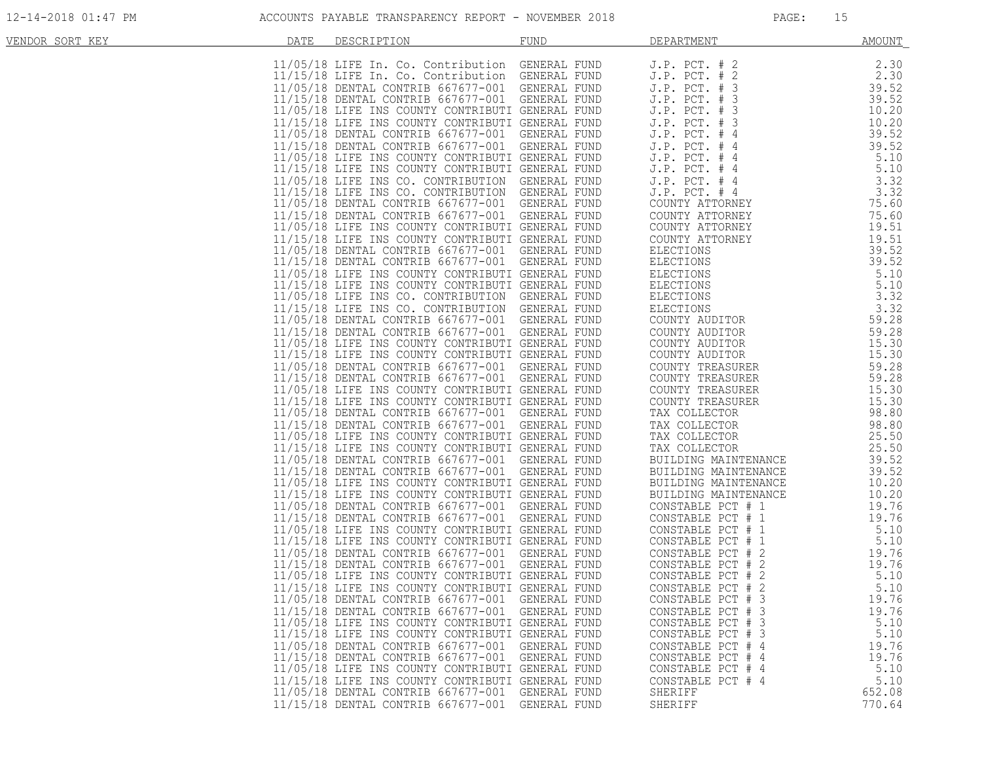| VENDOR SORT KEY | DATE | DESCRIPTION                                      | FUND         | DEPARTMENT                                                                                        | AMOUNT |
|-----------------|------|--------------------------------------------------|--------------|---------------------------------------------------------------------------------------------------|--------|
|                 |      | 11/05/18 LIFE In. Co. Contribution GENERAL FUND  |              | $J.P.$ PCT. $# 2$                                                                                 | 2.30   |
|                 |      | 11/15/18 LIFE In. Co. Contribution GENERAL FUND  |              | J.P. PCT. # 2                                                                                     | 2.30   |
|                 |      | 11/05/18 DENTAL CONTRIB 667677-001 GENERAL FUND  |              | $J.P.$ PCT. $#$<br>3                                                                              | 39.52  |
|                 |      | 11/15/18 DENTAL CONTRIB 667677-001 GENERAL FUND  |              | J.P. PCT. # 3                                                                                     | 39.52  |
|                 |      | 11/05/18 LIFE INS COUNTY CONTRIBUTI GENERAL FUND |              | J.P. PCT. # 3                                                                                     | 10.20  |
|                 |      | 11/15/18 LIFE INS COUNTY CONTRIBUTI GENERAL FUND |              | J.P. PCT. # 3                                                                                     | 10.20  |
|                 |      | 11/05/18 DENTAL CONTRIB 667677-001 GENERAL FUND  |              | $J.P.$ PCT. $#4$                                                                                  | 39.52  |
|                 |      | 11/15/18 DENTAL CONTRIB 667677-001 GENERAL FUND  |              | J.P. PCT. # 4                                                                                     | 39.52  |
|                 |      | 11/05/18 LIFE INS COUNTY CONTRIBUTI GENERAL FUND |              | $J.P.$ PCT. $#4$                                                                                  | 5.10   |
|                 |      | 11/15/18 LIFE INS COUNTY CONTRIBUTI GENERAL FUND |              | $J.P.$ PCT. $#4$                                                                                  | 5.10   |
|                 |      | 11/05/18 LIFE INS CO. CONTRIBUTION GENERAL FUND  |              | J.P. PCT. # 4                                                                                     | 3.32   |
|                 |      | 11/15/18 LIFE INS CO. CONTRIBUTION GENERAL FUND  |              | $J.P.$ PCT. $#4$                                                                                  | 3.32   |
|                 |      | 11/05/18 DENTAL CONTRIB 667677-001 GENERAL FUND  |              | COUNTY ATTORNEY                                                                                   | 75.60  |
|                 |      | 11/15/18 DENTAL CONTRIB 667677-001 GENERAL FUND  |              | COUNTY ATTORNEY                                                                                   | 75.60  |
|                 |      | 11/05/18 LIFE INS COUNTY CONTRIBUTI GENERAL FUND |              | COUNTY ATTORNEY                                                                                   | 19.51  |
|                 |      | 11/15/18 LIFE INS COUNTY CONTRIBUTI GENERAL FUND |              | COUNTY ATTORNEY                                                                                   | 19.51  |
|                 |      | 11/05/18 DENTAL CONTRIB 667677-001 GENERAL FUND  |              | <b>ELECTIONS</b>                                                                                  | 39.52  |
|                 |      | 11/15/18 DENTAL CONTRIB 667677-001 GENERAL FUND  |              |                                                                                                   | 39.52  |
|                 |      | 11/05/18 LIFE INS COUNTY CONTRIBUTI GENERAL FUND |              |                                                                                                   | 5.10   |
|                 |      | 11/15/18 LIFE INS COUNTY CONTRIBUTI GENERAL FUND |              |                                                                                                   | 5.10   |
|                 |      | 11/05/18 LIFE INS CO. CONTRIBUTION GENERAL FUND  |              | ELECTIONS<br>ELECTIONS<br>ELECTIONS<br>ELECTIONS<br>ELECTIONS<br>COUNTY AUDITOR<br>COUNTY AUDITOR | 3.32   |
|                 |      | 11/15/18 LIFE INS CO. CONTRIBUTION GENERAL FUND  |              |                                                                                                   | 3.32   |
|                 |      | 11/05/18 DENTAL CONTRIB 667677-001 GENERAL FUND  |              |                                                                                                   | 59.28  |
|                 |      | 11/15/18 DENTAL CONTRIB 667677-001 GENERAL FUND  |              | COUNTY AUDITOR                                                                                    | 59.28  |
|                 |      | 11/05/18 LIFE INS COUNTY CONTRIBUTI GENERAL FUND |              | COUNTY AUDITOR                                                                                    | 15.30  |
|                 |      | 11/15/18 LIFE INS COUNTY CONTRIBUTI GENERAL FUND |              | COUNTY AUDITOR                                                                                    | 15.30  |
|                 |      | 11/05/18 DENTAL CONTRIB 667677-001 GENERAL FUND  |              | COUNTY TREASURER                                                                                  | 59.28  |
|                 |      | 11/15/18 DENTAL CONTRIB 667677-001 GENERAL FUND  |              | COUNTY TREASURER                                                                                  | 59.28  |
|                 |      | 11/05/18 LIFE INS COUNTY CONTRIBUTI GENERAL FUND |              | COUNTY TREASURER                                                                                  | 15.30  |
|                 |      | 11/15/18 LIFE INS COUNTY CONTRIBUTI GENERAL FUND |              | COUNTY TREASURER                                                                                  | 15.30  |
|                 |      | 11/05/18 DENTAL CONTRIB 667677-001 GENERAL FUND  |              | TAX COLLECTOR                                                                                     | 98.80  |
|                 |      | 11/15/18 DENTAL CONTRIB 667677-001 GENERAL FUND  |              | TAX COLLECTOR                                                                                     | 98.80  |
|                 |      | 11/05/18 LIFE INS COUNTY CONTRIBUTI GENERAL FUND |              | TAX COLLECTOR                                                                                     | 25.50  |
|                 |      | 11/15/18 LIFE INS COUNTY CONTRIBUTI GENERAL FUND |              | TAX COLLECTOR                                                                                     | 25.50  |
|                 |      | 11/05/18 DENTAL CONTRIB 667677-001 GENERAL FUND  |              | BUILDING MAINTENANCE                                                                              | 39.52  |
|                 |      | 11/15/18 DENTAL CONTRIB 667677-001 GENERAL FUND  |              | BUILDING MAINTENANCE                                                                              | 39.52  |
|                 |      | 11/05/18 LIFE INS COUNTY CONTRIBUTI GENERAL FUND |              | BUILDING MAINTENANCE                                                                              | 10.20  |
|                 |      | 11/15/18 LIFE INS COUNTY CONTRIBUTI GENERAL FUND |              | BUILDING MAINTENANCE                                                                              | 10.20  |
|                 |      | 11/05/18 DENTAL CONTRIB 667677-001 GENERAL FUND  |              | CONSTABLE PCT # 1                                                                                 | 19.76  |
|                 |      | 11/15/18 DENTAL CONTRIB 667677-001 GENERAL FUND  |              | CONSTABLE PCT # 1                                                                                 | 19.76  |
|                 |      | 11/05/18 LIFE INS COUNTY CONTRIBUTI GENERAL FUND |              | CONSTABLE PCT # 1                                                                                 | 5.10   |
|                 |      | 11/15/18 LIFE INS COUNTY CONTRIBUTI GENERAL FUND |              | CONSTABLE PCT # 1                                                                                 | 5.10   |
|                 |      | 11/05/18 DENTAL CONTRIB 667677-001 GENERAL FUND  |              | CONSTABLE PCT # 2                                                                                 | 19.76  |
|                 |      | 11/15/18 DENTAL CONTRIB 667677-001 GENERAL FUND  |              | CONSTABLE PCT # 2                                                                                 | 19.76  |
|                 |      | 11/05/18 LIFE INS COUNTY CONTRIBUTI GENERAL FUND |              | CONSTABLE PCT # 2                                                                                 | 5.10   |
|                 |      | 11/15/18 LIFE INS COUNTY CONTRIBUTI GENERAL FUND |              | 2<br>CONSTABLE PCT #                                                                              | 5.10   |
|                 |      | 11/05/18 DENTAL CONTRIB 667677-001 GENERAL FUND  |              | CONSTABLE PCT # 3                                                                                 | 19.76  |
|                 |      | 11/15/18 DENTAL CONTRIB 667677-001 GENERAL FUND  |              | CONSTABLE PCT # 3                                                                                 | 19.76  |
|                 |      | 11/05/18 LIFE INS COUNTY CONTRIBUTI GENERAL FUND |              | CONSTABLE PCT # 3                                                                                 | 5.10   |
|                 |      | 11/15/18 LIFE INS COUNTY CONTRIBUTI GENERAL FUND |              | CONSTABLE PCT # 3                                                                                 | 5.10   |
|                 |      | 11/05/18 DENTAL CONTRIB 667677-001 GENERAL FUND  |              | CONSTABLE PCT # 4                                                                                 | 19.76  |
|                 |      | 11/15/18 DENTAL CONTRIB 667677-001 GENERAL FUND  |              | CONSTABLE PCT # 4                                                                                 | 19.76  |
|                 |      | 11/05/18 LIFE INS COUNTY CONTRIBUTI GENERAL FUND |              | CONSTABLE PCT # 4                                                                                 | 5.10   |
|                 |      | 11/15/18 LIFE INS COUNTY CONTRIBUTI GENERAL FUND |              | CONSTABLE PCT # 4                                                                                 | 5.10   |
|                 |      | 11/05/18 DENTAL CONTRIB 667677-001               | GENERAL FUND | SHERIFF                                                                                           | 652.08 |
|                 |      | 11/15/18 DENTAL CONTRIB 667677-001 GENERAL FUND  |              | SHERIFF                                                                                           | 770.64 |
|                 |      |                                                  |              |                                                                                                   |        |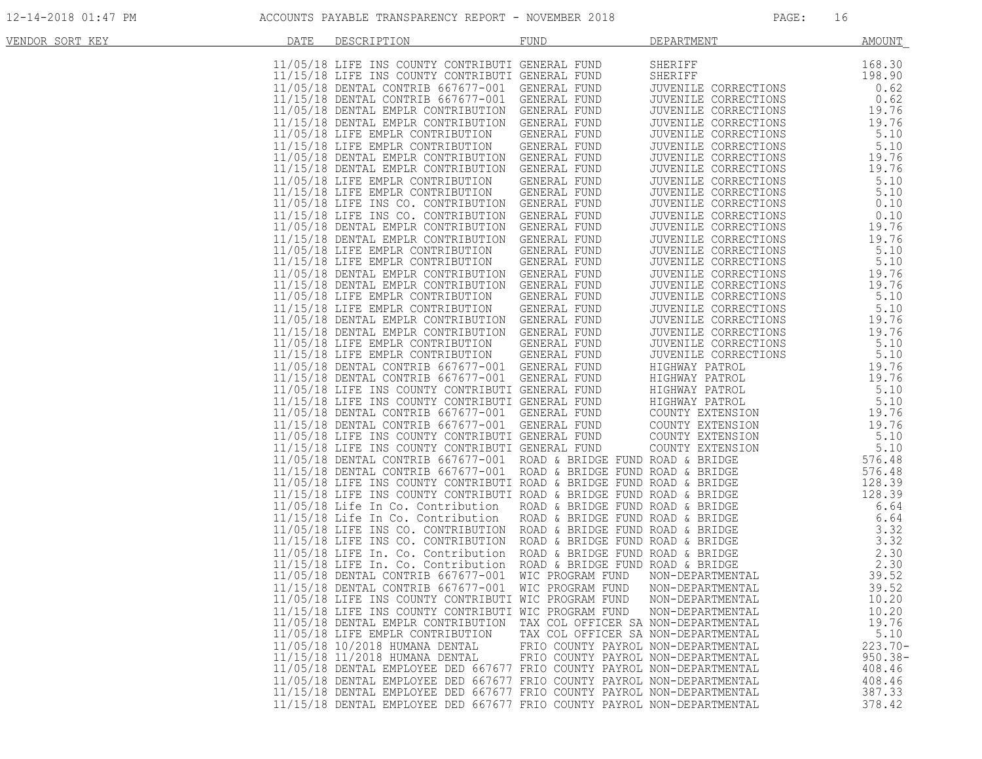| VENDOR SORT KEY | DATE | DESCRIPTION                                                                                                                                                                                                                            | <b>FUND</b>                         | DEPARTMENT                                                                                                          | <b>AMOUNT</b> |
|-----------------|------|----------------------------------------------------------------------------------------------------------------------------------------------------------------------------------------------------------------------------------------|-------------------------------------|---------------------------------------------------------------------------------------------------------------------|---------------|
|                 |      |                                                                                                                                                                                                                                        |                                     |                                                                                                                     |               |
|                 |      | 11/05/18 LIFE INS COUNTY CONTRIBUTI GENERAL FUND                                                                                                                                                                                       |                                     | SHERIFF                                                                                                             | 168.30        |
|                 |      | 11/15/18 LIFE INS COUNTY CONTRIBUTI GENERAL FUND                                                                                                                                                                                       |                                     | SHERIFF                                                                                                             | 198.90        |
|                 |      | 11/05/18 DENTAL CONTRIB 667677-001 GENERAL FUND                                                                                                                                                                                        |                                     |                                                                                                                     | 0.62          |
|                 |      | 11/15/18 DENTAL CONTRIB 667677-001 GENERAL FUND                                                                                                                                                                                        |                                     |                                                                                                                     | 0.62          |
|                 |      | 11/05/18 DENTAL EMPLR CONTRIBUTION GENERAL FUND                                                                                                                                                                                        |                                     | JUENILE CORRECTIONS<br>JUVENILE CORRECTIONS<br>JUVENILE CORRECTIONS<br>JUVENILE CORRECTIONS<br>TUVENILE CORRECTIONS | 19.76         |
|                 |      | 11/15/18 DENTAL EMPLR CONTRIBUTION GENERAL FUND                                                                                                                                                                                        |                                     |                                                                                                                     | 19.76         |
|                 |      | 11/05/18 LIFE EMPLR CONTRIBUTION                                                                                                                                                                                                       | GENERAL FUND                        |                                                                                                                     | 5.10          |
|                 |      | 11/15/18 LIFE EMPLR CONTRIBUTION GENERAL FUND                                                                                                                                                                                          |                                     |                                                                                                                     | 5.10          |
|                 |      | 11/05/18 DENTAL EMPLR CONTRIBUTION GENERAL FUND                                                                                                                                                                                        |                                     | JUVENILE CORRECTIONS                                                                                                | 19.76         |
|                 |      | 11/15/18 DENTAL EMPLR CONTRIBUTION GENERAL FUND                                                                                                                                                                                        |                                     | JUVENILE CORRECTIONS                                                                                                | 19.76         |
|                 |      | 11/05/18 LIFE EMPLR CONTRIBUTION                                                                                                                                                                                                       | GENERAL FUND                        | JUVENILE CORRECTIONS                                                                                                | 5.10          |
|                 |      | 11/15/18 LIFE EMPLR CONTRIBUTION GENERAL FUND                                                                                                                                                                                          |                                     | JUVENILE CORRECTIONS                                                                                                | 5.10          |
|                 |      | 11/05/18 LIFE INS CO. CONTRIBUTION GENERAL FUND                                                                                                                                                                                        |                                     | JUVENILE CORRECTIONS                                                                                                | 0.10          |
|                 |      | 11/15/18 LIFE INS CO. CONTRIBUTION GENERAL FUND                                                                                                                                                                                        |                                     | JUVENILE CORRECTIONS                                                                                                | 0.10          |
|                 |      | 11/05/18 DENTAL EMPLR CONTRIBUTION GENERAL FUND                                                                                                                                                                                        |                                     | JUVENILE CORRECTIONS                                                                                                | 19.76         |
|                 |      | 11/15/18 DENTAL EMPLR CONTRIBUTION GENERAL FUND                                                                                                                                                                                        |                                     | JUVENILE CORRECTIONS                                                                                                | 19.76         |
|                 |      | 11/05/18 LIFE EMPLR CONTRIBUTION GENERAL FUND                                                                                                                                                                                          |                                     | JUVENILE CORRECTIONS                                                                                                | 5.10          |
|                 |      | 11/15/18 LIFE EMPLR CONTRIBUTION                                                                                                                                                                                                       | GENERAL FUND                        | JUVENILE CORRECTIONS                                                                                                | 5.10          |
|                 |      | 11/05/18 DENTAL EMPLR CONTRIBUTION GENERAL FUND                                                                                                                                                                                        |                                     | JUVENILE CORRECTIONS                                                                                                | 19.76         |
|                 |      | 11/15/18 DENTAL EMPLR CONTRIBUTION GENERAL FUND                                                                                                                                                                                        |                                     | JUVENILE CORRECTIONS                                                                                                | 19.76         |
|                 |      | 11/05/18 LIFE EMPLR CONTRIBUTION GENERAL FUND                                                                                                                                                                                          |                                     | JUVENILE CORRECTIONS                                                                                                | 5.10          |
|                 |      | 11/15/18 LIFE EMPLR CONTRIBUTION GENERAL FUND                                                                                                                                                                                          |                                     | JUVENILE CORRECTIONS<br>JUVENILE CORRECTIONS                                                                        | 5.10          |
|                 |      | 11/05/18 DENTAL EMPLR CONTRIBUTION GENERAL FUND                                                                                                                                                                                        |                                     |                                                                                                                     | 19.76         |
|                 |      | 11/15/18 DENTAL EMPLR CONTRIBUTION GENERAL FUND                                                                                                                                                                                        |                                     |                                                                                                                     | 19.76         |
|                 |      | 11/05/18 LIFE EMPLR CONTRIBUTION GENERAL FUND                                                                                                                                                                                          |                                     | JUVENILE CORRECTIONS<br>JUVENILE CORRECTIONS<br>JUVENILE CORRECTIONS                                                | 5.10          |
|                 |      | 11/15/18 LIFE EMPLR CONTRIBUTION GENERAL FUND                                                                                                                                                                                          |                                     | JUVENILE CORRECTIONS                                                                                                | 5.10          |
|                 |      |                                                                                                                                                                                                                                        |                                     | HIGHWAY PATROL                                                                                                      | 19.76         |
|                 |      |                                                                                                                                                                                                                                        |                                     |                                                                                                                     | 19.76         |
|                 |      | CRIP INS COUNTY CONTRIBUTI GENERAL FUND<br>11/15/18 LIFE INS COUNTY CONTRIBUTI GENERAL FUND<br>11/05/18 DENTAL CONTRIB 667677-001 GENERAL FUND<br>11/05/18 DENTAL CONTRIB 667677-001 GENERAL FUND<br>11/05/18 DENTAL CONTRIB 667677-00 |                                     | HIGHWAY PATROL<br>HIGHWAY PATROL<br>HIGHWAY PATROL<br>COUNTY EXTENSION                                              | 5.10          |
|                 |      |                                                                                                                                                                                                                                        |                                     |                                                                                                                     | 5.10          |
|                 |      |                                                                                                                                                                                                                                        |                                     |                                                                                                                     | 19.76         |
|                 |      |                                                                                                                                                                                                                                        |                                     |                                                                                                                     | 19.76         |
|                 |      |                                                                                                                                                                                                                                        |                                     | COUNTY EXTENSION                                                                                                    |               |
|                 |      |                                                                                                                                                                                                                                        |                                     |                                                                                                                     | 5.10          |
|                 |      |                                                                                                                                                                                                                                        |                                     |                                                                                                                     | 5.10          |
|                 |      | 11/15/18 DENTAL CONTRIB 667677-001 GENERAL FUND COUNTY EXTENSION<br>11/05/18 LIFE INS COUNTY CONTRIBUTI GENERAL FUND COUNTY EXTENSION<br>11/15/18 LIFE INS COUNTY CONTRIBUTI GENERAL FUND COUNTY EXTENSION<br>11/15/18 DENTAL CONTRIB  |                                     |                                                                                                                     | 576.48        |
|                 |      |                                                                                                                                                                                                                                        |                                     |                                                                                                                     | 576.48        |
|                 |      |                                                                                                                                                                                                                                        |                                     |                                                                                                                     | 128.39        |
|                 |      |                                                                                                                                                                                                                                        |                                     |                                                                                                                     | 128.39        |
|                 |      |                                                                                                                                                                                                                                        |                                     |                                                                                                                     | 6.64          |
|                 |      |                                                                                                                                                                                                                                        |                                     |                                                                                                                     | 6.64          |
|                 |      |                                                                                                                                                                                                                                        |                                     |                                                                                                                     | 3.32          |
|                 |      |                                                                                                                                                                                                                                        |                                     |                                                                                                                     | 3.32          |
|                 |      |                                                                                                                                                                                                                                        |                                     |                                                                                                                     | 2.30          |
|                 |      |                                                                                                                                                                                                                                        |                                     |                                                                                                                     | 2.30          |
|                 |      |                                                                                                                                                                                                                                        |                                     |                                                                                                                     | 39.52         |
|                 |      |                                                                                                                                                                                                                                        |                                     |                                                                                                                     | 39.52         |
|                 |      | 11/05/18 LIFE INS COUNTY CONTRIBUTI WIC PROGRAM FUND                                                                                                                                                                                   |                                     | NON-DEPARTMENTAL                                                                                                    | 10.20         |
|                 |      | 11/15/18 LIFE INS COUNTY CONTRIBUTI WIC PROGRAM FUND                                                                                                                                                                                   |                                     | NON-DEPARTMENTAL                                                                                                    | 10.20         |
|                 |      | 11/05/18 DENTAL EMPLR CONTRIBUTION TAX COL OFFICER SA NON-DEPARTMENTAL                                                                                                                                                                 |                                     |                                                                                                                     | 19.76         |
|                 |      | 11/05/18 LIFE EMPLR CONTRIBUTION                                                                                                                                                                                                       | TAX COL OFFICER SA NON-DEPARTMENTAL |                                                                                                                     | 5.10          |
|                 |      | 11/05/18 10/2018 HUMANA DENTAL                                                                                                                                                                                                         | FRIO COUNTY PAYROL NON-DEPARTMENTAL |                                                                                                                     | $223.70-$     |
|                 |      | 11/15/18 11/2018 HUMANA DENTAL                                                                                                                                                                                                         | FRIO COUNTY PAYROL NON-DEPARTMENTAL |                                                                                                                     | $950.38 -$    |
|                 |      | 11/05/18 DENTAL EMPLOYEE DED 667677 FRIO COUNTY PAYROL NON-DEPARTMENTAL                                                                                                                                                                |                                     |                                                                                                                     | 408.46        |
|                 |      | 11/05/18 DENTAL EMPLOYEE DED 667677 FRIO COUNTY PAYROL NON-DEPARTMENTAL                                                                                                                                                                |                                     |                                                                                                                     | 408.46        |
|                 |      | 11/15/18 DENTAL EMPLOYEE DED 667677 FRIO COUNTY PAYROL NON-DEPARTMENTAL                                                                                                                                                                |                                     |                                                                                                                     | 387.33        |
|                 |      | 11/15/18 DENTAL EMPLOYEE DED 667677 FRIO COUNTY PAYROL NON-DEPARTMENTAL                                                                                                                                                                |                                     |                                                                                                                     | 378.42        |
|                 |      |                                                                                                                                                                                                                                        |                                     |                                                                                                                     |               |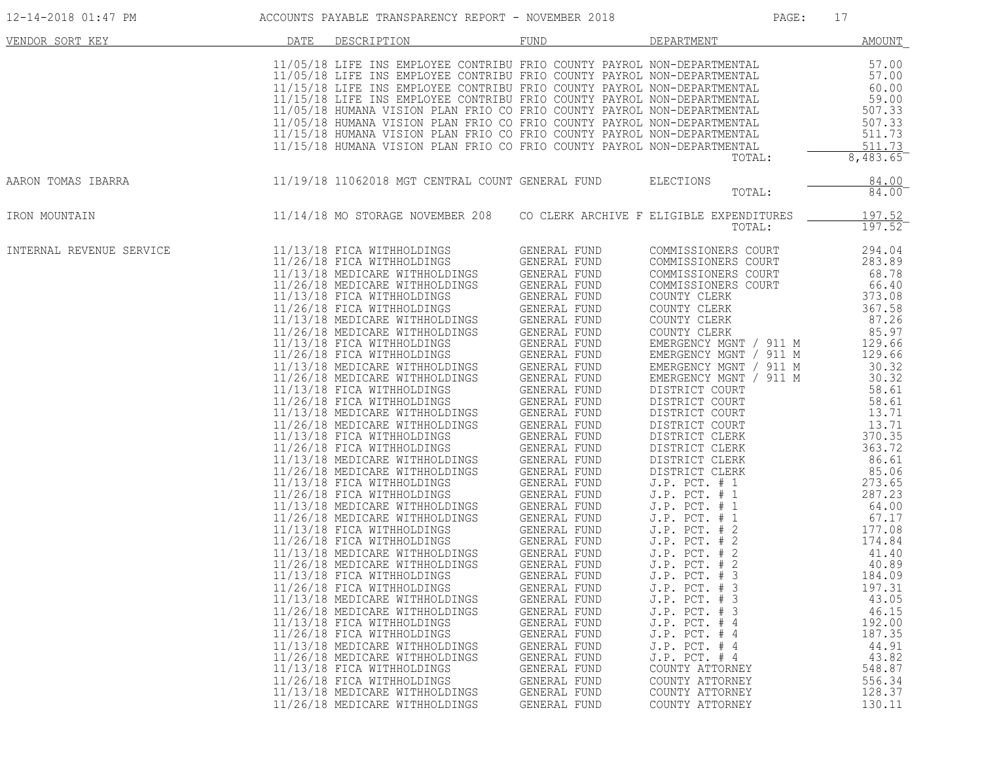| 12-14-2018 01:47 PM      |      | ACCOUNTS PAYABLE TRANSPARENCY REPORT - NOVEMBER 2018                                                                                                                                                                                                                                                                                                                                                                                                                                                                                                                                                                                                                                                                                                                                                                                                                                                                                                                                                                                                                                                                                                                                                                                                                                                                                                                                                                                                                                                                                                                                                                                             |                                                                                                                                                                                                                                                                                                                            | PAGE:                                                                                                                                                                                                                                                                                                                                                                                                                                                                                                                                                                                                                                                                                                                                                | 17                                                                                                                                                                                                                                                                                                                                                                                       |
|--------------------------|------|--------------------------------------------------------------------------------------------------------------------------------------------------------------------------------------------------------------------------------------------------------------------------------------------------------------------------------------------------------------------------------------------------------------------------------------------------------------------------------------------------------------------------------------------------------------------------------------------------------------------------------------------------------------------------------------------------------------------------------------------------------------------------------------------------------------------------------------------------------------------------------------------------------------------------------------------------------------------------------------------------------------------------------------------------------------------------------------------------------------------------------------------------------------------------------------------------------------------------------------------------------------------------------------------------------------------------------------------------------------------------------------------------------------------------------------------------------------------------------------------------------------------------------------------------------------------------------------------------------------------------------------------------|----------------------------------------------------------------------------------------------------------------------------------------------------------------------------------------------------------------------------------------------------------------------------------------------------------------------------|------------------------------------------------------------------------------------------------------------------------------------------------------------------------------------------------------------------------------------------------------------------------------------------------------------------------------------------------------------------------------------------------------------------------------------------------------------------------------------------------------------------------------------------------------------------------------------------------------------------------------------------------------------------------------------------------------------------------------------------------------|------------------------------------------------------------------------------------------------------------------------------------------------------------------------------------------------------------------------------------------------------------------------------------------------------------------------------------------------------------------------------------------|
| VENDOR SORT KEY          | DATE | DESCRIPTION                                                                                                                                                                                                                                                                                                                                                                                                                                                                                                                                                                                                                                                                                                                                                                                                                                                                                                                                                                                                                                                                                                                                                                                                                                                                                                                                                                                                                                                                                                                                                                                                                                      | FUND                                                                                                                                                                                                                                                                                                                       | DEPARTMENT                                                                                                                                                                                                                                                                                                                                                                                                                                                                                                                                                                                                                                                                                                                                           | AMOUNT                                                                                                                                                                                                                                                                                                                                                                                   |
|                          |      | 11/05/18 LIFE INS EMPLOYEE CONTRIBU FRIO COUNTY PAYROL NON-DEPARTMENTAL<br>11/05/18 LIFE INS EMPLOYEE CONTRIBU FRIO COUNTY PAYROL NON-DEPARTMENTAL<br>11/15/18 LIFE INS EMPLOYEE CONTRIBU FRIO COUNTY PAYROL NON-DEPARTMENTAL<br>11/15/18 LIFE INS EMPLOYEE CONTRIBU FRIO COUNTY PAYROL NON-DEPARTMENTAL<br>11/05/<br>11/05/18 HUMANA VISION PLAN FRIO CO FRIO COUNTY PAYROL NON-DEPARTMENTAL<br>11/15/18 HUMANA VISION PLAN FRIO CO FRIO COUNTY PAYROL NON-DEPARTMENTAL<br>11/15/18 HUMANA VISION PLAN FRIO CO FRIO COUNTY PAYROL NON-DEPARTMENTAL                                                                                                                                                                                                                                                                                                                                                                                                                                                                                                                                                                                                                                                                                                                                                                                                                                                                                                                                                                                                                                                                                              |                                                                                                                                                                                                                                                                                                                            | TOTAL:                                                                                                                                                                                                                                                                                                                                                                                                                                                                                                                                                                                                                                                                                                                                               | 57.00<br>57.00<br>60.00<br>59.00<br>507.33<br>507.33<br>511.73<br>511.73<br>8,483.65                                                                                                                                                                                                                                                                                                     |
| AARON TOMAS IBARRA       |      | 11/19/18 11062018 MGT CENTRAL COUNT GENERAL FUND                                                                                                                                                                                                                                                                                                                                                                                                                                                                                                                                                                                                                                                                                                                                                                                                                                                                                                                                                                                                                                                                                                                                                                                                                                                                                                                                                                                                                                                                                                                                                                                                 |                                                                                                                                                                                                                                                                                                                            | <b>ELECTIONS</b><br>TOTAL:                                                                                                                                                                                                                                                                                                                                                                                                                                                                                                                                                                                                                                                                                                                           | 84.00<br>84.00                                                                                                                                                                                                                                                                                                                                                                           |
| IRON MOUNTAIN            |      | 11/14/18 MO STORAGE NOVEMBER 208 CO CLERK ARCHIVE F ELIGIBLE EXPENDITURES                                                                                                                                                                                                                                                                                                                                                                                                                                                                                                                                                                                                                                                                                                                                                                                                                                                                                                                                                                                                                                                                                                                                                                                                                                                                                                                                                                                                                                                                                                                                                                        |                                                                                                                                                                                                                                                                                                                            | TOTAL:                                                                                                                                                                                                                                                                                                                                                                                                                                                                                                                                                                                                                                                                                                                                               | 197.52<br>$197.52^{-}$                                                                                                                                                                                                                                                                                                                                                                   |
| INTERNAL REVENUE SERVICE |      | 11/13/18 FICA WITHHOLDINGS<br>11/26/18 FICA WITHHOLDINGS GENERAL FUND<br>11/13/18 MEDICARE WITHHOLDINGS GENERAL FUND<br>11/26/18 MEDICARE WITHHOLDINGS GENERAL FUND<br>11/13/18 FICA WITHHOLDINGS GENERAL FUND<br>11/26/18 FICA WITHHOLDINGS GENERAL FUND<br>11/13/18 MEDICARE WITHHOLDINGS GENERAL FUND<br>11/26/18 MEDICARE WITHHOLDINGS<br>11/13/18 FICA WITHHOLDINGS GENERAL FUND<br>11/26/18 FICA WITHHOLDINGS GENERAL FUND<br>11/13/18 MEDICARE WITHHOLDINGS GENERAL FUND<br>11/26/18 MEDICARE WITHHOLDINGS GENERAL FUND<br>11/26/18 MEDICARE WITHOLDINGS<br>11/13/18 FICA WITHHOLDINGS GENERAL FUND<br>11/26/18 FICA WITHHOLDINGS GENERAL FUND<br>11/26/18 MEDICARE WITHHOLDINGS GENERAL FUND<br>11/26/18 MEDICARE WITHHOLDINGS GENERAL FUND<br>11/13/18 FICA WITHHOLDINGS GENERAL FUND<br>11/26/18 FICA WITHHOLDINGS GENERAL FUND<br>11/13/18 MEDICARE WITHHOLDINGS GENERAL FUND<br>11/26/18 MEDICARE WITHHOLDINGS GENERAL FUND<br>11/13/18 FICA WITHHOLDINGS GENERAL FUND<br>11/26/18 FICA WITHHOLDINGS<br>11/13/18 MEDICARE WITHHOLDINGS<br>11/26/18 MEDICARE WITHHOLDINGS<br>$11/13/18$ FICA WITHHOLDINGS GENERAL FUND<br>11/26/18 FICA WITHHOLDINGS GENERAL FUND<br>11/13/18 MEDICARE WITHHOLDINGS<br>11/26/18 MEDICARE WITHHOLDINGS<br>11/13/18 FICA WITHHOLDINGS<br>11/26/18 FICA WITHHOLDINGS<br>11/13/18 MEDICARE WITHHOLDINGS<br>11/26/18 MEDICARE WITHHOLDINGS<br>11/13/18 FICA WITHHOLDINGS<br>11/26/18 FICA WITHHOLDINGS<br>11/13/18 MEDICARE WITHHOLDINGS<br>11/26/18 MEDICARE WITHHOLDINGS<br>11/13/18 FICA WITHHOLDINGS<br>11/26/18 FICA WITHHOLDINGS<br>11/13/18 MEDICARE WITHHOLDINGS<br>11/26/18 MEDICARE WITHHOLDINGS | GENERAL FUND<br><b>GENERAL FUND</b><br>GENERAL FUND<br>GENERAL FUND<br><b>GENERAL FUND</b><br>GENERAL FUND<br>GENERAL FUND<br>GENERAL FUND<br>GENERAL FUND<br>GENERAL FUND<br>GENERAL FUND<br>GENERAL FUND<br>GENERAL FUND<br>GENERAL FUND<br>GENERAL FUND<br>GENERAL FUND<br>GENERAL FUND<br>GENERAL FUND<br>GENERAL FUND | COMMISSIONERS COURT<br>COMMISSIONERS COURT<br>COMMISSIONERS COURT<br>COMMISSIONERS COURT<br>COUNTY CLERK<br>COUNTY CLERK<br>COUNTY CLERK<br>COUNTY CLERK<br>EMERGENCY MGNT / 911 M<br>EMERGENCY MGNT / 911 M<br>EMERGENCY MGNT / 911 M<br>EMERGENCY MGNT / 911 M<br>DISTRICT COURT<br>DISTRICT COURT<br>DISTRICT COURT<br>DISTRICT COURT<br>DISTRICT CLERK<br>DISTRICT CLERK<br>DISTRICT CLERK<br>DISTRICT CLERK<br>J.P. PCT. # 1<br>$J.P.$ PCT. $# 1$<br>P. PCT.<br>J.P. PCT. # 1<br>J.P. PCT. # 2<br>T P. PCT. # 2<br>T + 2<br>J.P. PCT. # 3<br>J.P. PCT. # 3<br>J.P. PCT. # 3<br>J.P. PCT. # 3<br>J.P. PCT. # 4<br>J.P. PCT. # 4<br>J.P. PCT. # 4<br>$J.P.$ PCT. $#4$<br>COUNTY ATTORNEY<br>COUNTY ATTORNEY<br>COUNTY ATTORNEY<br>COUNTY ATTORNEY | 294.04<br>283.89<br>68.78<br>66.40<br>373.08<br>367.58<br>87.26<br>85.97<br>129.66<br>129.66<br>30.32<br>30.32<br>58.61<br>58.61<br>13.71<br>13.71<br>370.35<br>363.72<br>86.61<br>85.06<br>273.65<br>287.23<br>64.00<br>67.17<br>177.08<br>174.84<br>41.40<br>40.89<br>184.09<br>197.31<br>43.05<br>46.15<br>192.00<br>187.35<br>44.91<br>43.82<br>548.87<br>556.34<br>128.37<br>130.11 |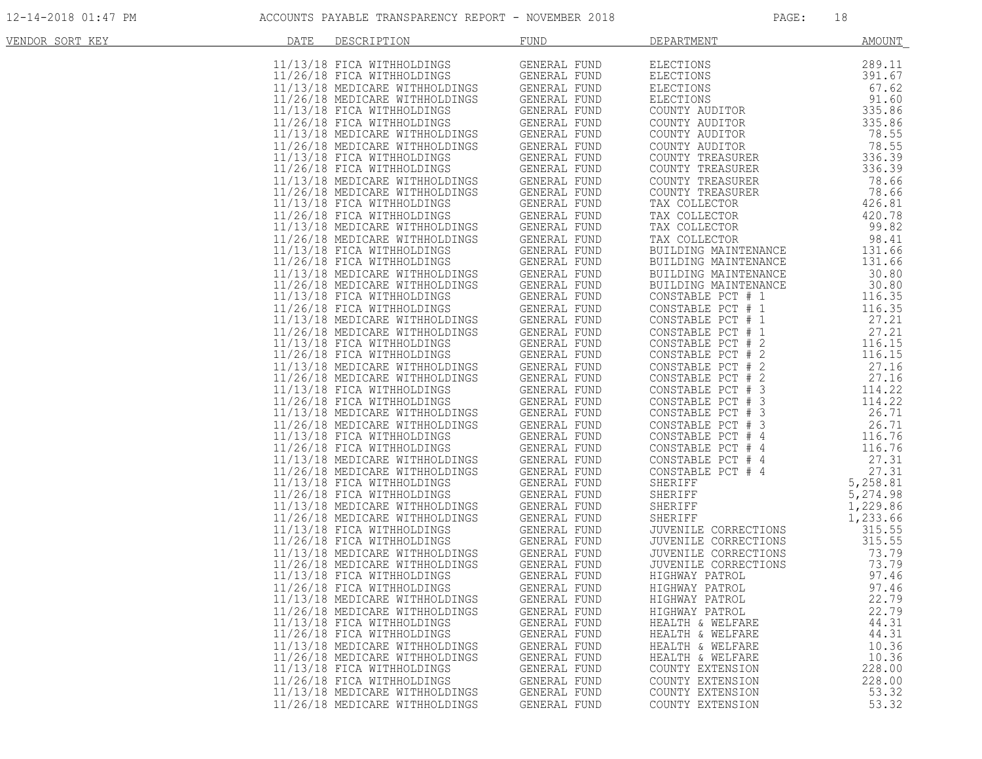| VENDOR SORT KEY | DATE | DESCRIPTION                                                                                                                                                                                                                                   | <b>FUND</b>                  | DEPARTMENT                                                                       | AMOUNT               |
|-----------------|------|-----------------------------------------------------------------------------------------------------------------------------------------------------------------------------------------------------------------------------------------------|------------------------------|----------------------------------------------------------------------------------|----------------------|
|                 |      | 11/13/18 FICA WITHHOLDINGS<br>11/26/18 FICA WITHHOLDINGS<br>11/13/18 MEDICARE WITHHOLDINGS GENERAL FUND<br>11/26/18 MEDICARE WITHHOLDINGS GENERAL FUND<br>11/13/18 FICA WITHHOLDINGS GENERAL FUND<br>11/26/18 FICA WITHHOLDINGS GENERAL       |                              | ELECTIONS                                                                        | 289.11               |
|                 |      |                                                                                                                                                                                                                                               |                              | ELECTIONS<br>ELECTIONS<br>ELECTIONS<br>COUNTY AUDITOR                            | 391.67               |
|                 |      |                                                                                                                                                                                                                                               |                              |                                                                                  | 67.62                |
|                 |      |                                                                                                                                                                                                                                               |                              |                                                                                  | 91.60                |
|                 |      |                                                                                                                                                                                                                                               |                              | COUNTY AUDITOR                                                                   | 335.86<br>335.86     |
|                 |      |                                                                                                                                                                                                                                               |                              | COUNTY AUDITOR                                                                   | 78.55                |
|                 |      |                                                                                                                                                                                                                                               |                              | COUNTY AUDITOR                                                                   | 78.55                |
|                 |      |                                                                                                                                                                                                                                               |                              | COUNTY TREASURER                                                                 | 336.39               |
|                 |      |                                                                                                                                                                                                                                               |                              | COUNTY TREASURER                                                                 | 336.39               |
|                 |      |                                                                                                                                                                                                                                               |                              | COUNTY TREASURER<br>COUNTY TREASURER                                             | 78.66<br>78.66       |
|                 |      |                                                                                                                                                                                                                                               |                              | TAX COLLECTOR                                                                    | 426.81               |
|                 |      | 11/13/18 FICA WITHHOLDINGS GENERAL FUND<br>11/26/18 FICA WITHHOLDINGS GENERAL FUND<br>11/13/18 MEDICARE WITHHOLDINGS GENERAL FUND<br>11/26/18 MEDICARE WITHHOLDINGS GENERAL FUND<br>11/26/18 FICA WITHHOLDINGS GENERAL FUND<br>11/26/18 FICA  |                              | TAX COLLECTOR                                                                    | 420.78               |
|                 |      | 11/26/18 FICA WITHHOLDINGS GENERAL FUND<br>11/13/18 MEDICARE WITHHOLDINGS GENERAL FUND<br>11/26/18 MEDICARE WITHHOLDINGS GENERAL FUND                                                                                                         |                              | TAX COLLECTOR                                                                    | 99.82                |
|                 |      |                                                                                                                                                                                                                                               | GENERAL FUND                 | TAX COLLECTOR                                                                    | 98.41                |
|                 |      | 11/13/18 FICA WITHHOLDINGS<br>11/26/18 FICA WITHHOLDINGS                                                                                                                                                                                      | GENERAL FUND<br>GENERAL FUND | BUILDING MAINTENANCE<br>BUILDING MAINTENANCE                                     | 131.66<br>131.66     |
|                 |      |                                                                                                                                                                                                                                               | GENERAL FUND                 | BUILDING MAINTENANCE                                                             | 30.80                |
|                 |      |                                                                                                                                                                                                                                               | GENERAL FUND                 | BUILDING MAINTENANCE                                                             | 30.80                |
|                 |      | 11/13/18 MEDICARE WITHHOLDINGS<br>11/26/18 MEDICARE WITHHOLDINGS<br>11/13/18 FICA WITHHOLDINGS<br>11/26/18 FICA WITHHOLDINGS                                                                                                                  | GENERAL FUND                 | CONSTABLE PCT # 1                                                                | 116.35               |
|                 |      | NGS<br>.<br>11/26/18 FICA WITHHOLDINGS                                                                                                                                                                                                        | GENERAL FUND                 | CONSTABLE PCT # 1                                                                | 116.35               |
|                 |      | 11/13/18 MEDICARE WITHHOLDINGS                                                                                                                                                                                                                | GENERAL FUND                 | CONSTABLE PCT # 1<br>CONSTABLE PCT # 1                                           | 27.21<br>27.21       |
|                 |      |                                                                                                                                                                                                                                               |                              | CONSTABLE PCT # 2                                                                | 116.15               |
|                 |      |                                                                                                                                                                                                                                               |                              | CONSTABLE PCT # 2                                                                | 116.15               |
|                 |      | 11/13/18 MEDICARE WITHHOLDINGS<br>11/26/18 MEDICARE WITHHOLDINGS<br>11/13/18 FICA WITHHOLDINGS GENERAL FUND<br>11/26/18 FICA WITHHOLDINGS GENERAL FUND<br>11/13/18 MEDICARE WITHHOLDINGS GENERAL FUND<br>11/26/18 MEDICARE WITHHOLDINGS GENER |                              | CONSTABLE PCT # 2<br>CONSTABLE PCT # 2<br>CONSTABLE PCT # 3<br>CONSTABLE PCT # 3 | 27.16                |
|                 |      |                                                                                                                                                                                                                                               |                              |                                                                                  | 27.16<br>114.22      |
|                 |      |                                                                                                                                                                                                                                               |                              | CONSTABLE PCT # 3                                                                | 114.22               |
|                 |      |                                                                                                                                                                                                                                               |                              | CONSTABLE PCT # 3                                                                | 26.71                |
|                 |      |                                                                                                                                                                                                                                               |                              | CONSTABLE PCT # 3                                                                | 26.71                |
|                 |      | INGS<br>INGS<br>NGS<br>NGS<br>11/13/18 FICA WITHHOLDINGS<br>11/26/18 FICA WITHHOLDINGS                                                                                                                                                        | GENERAL FUND<br>GENERAL FUND | CONSTABLE PCT # 4                                                                | 116.76<br>116.76     |
|                 |      | 11/13/18 MEDICARE WITHHOLDINGS                                                                                                                                                                                                                | GENERAL FUND                 | CONSTABLE PCT # 4<br>CONSTABLE PCT # 4<br>CONSTABLE PCT "                        | 27.31                |
|                 |      | 11/26/18 MEDICARE WITHHOLDINGS                                                                                                                                                                                                                | GENERAL FUND                 | CONSTABLE PCT # 4                                                                | 27.31                |
|                 |      | 11/13/18 FICA WITHHOLDINGS                                                                                                                                                                                                                    | GENERAL FUND                 | SHERIFF                                                                          | 5,258.81             |
|                 |      | 11/26/18 FICA WITHHOLDINGS                                                                                                                                                                                                                    | GENERAL FUND                 | SHERIFF<br>SHERIFF<br>SHERIFF                                                    | 5,274.98             |
|                 |      | 11/13/18 MEDICARE WITHHOLDINGS                                                                                                                                                                                                                | GENERAL FUND<br>GENERAL FUND |                                                                                  | 1,229.86<br>1,233.66 |
|                 |      |                                                                                                                                                                                                                                               | GENERAL FUND                 |                                                                                  | 315.55               |
|                 |      | 11/13/18 MEDICARE WITHHOLDINGS<br>11/13/18 FICA WITHHOLDINGS G<br>11/26/18 FICA WITHHOLDINGS (                                                                                                                                                | GENERAL FUND                 | JUVENILE CORRECTIONS<br>JUVENILE CORRECTIONS                                     | 315.55               |
|                 |      |                                                                                                                                                                                                                                               | GENERAL FUND                 | JUVENILE CORRECTIONS                                                             | 73.79                |
|                 |      |                                                                                                                                                                                                                                               | GENERAL FUND                 | JUVENILE CORRECTIONS                                                             | 73.79                |
|                 |      | 11/13/18 FICA WITHHOLDINGS<br>11/26/18 FICA WITHHOLDINGS                                                                                                                                                                                      | GENERAL FUND<br>GENERAL FUND | HIGHWAY PATROL<br>HIGHWAY PATROL                                                 | 97.46<br>97.46       |
|                 |      | 11/13/18 MEDICARE WITHHOLDINGS                                                                                                                                                                                                                | GENERAL FUND                 | HIGHWAY PATROL                                                                   | 22.79                |
|                 |      | 11/26/18 MEDICARE WITHHOLDINGS                                                                                                                                                                                                                | GENERAL FUND                 | HIGHWAY PATROL                                                                   | 22.79                |
|                 |      | 11/13/18 FICA WITHHOLDINGS                                                                                                                                                                                                                    | <b>GENERAL FUND</b>          | HEALTH & WELFARE                                                                 | 44.31                |
|                 |      | 11/26/18 FICA WITHHOLDINGS<br>11/13/18 MEDICARE WITHHOLDINGS                                                                                                                                                                                  | GENERAL FUND<br>GENERAL FUND | HEALTH & WELFARE                                                                 | 44.31<br>10.36       |
|                 |      | 11/26/18 MEDICARE WITHHOLDINGS                                                                                                                                                                                                                | GENERAL FUND                 | HEALTH & WELFARE<br>HEALTH & WELFARE                                             | 10.36                |
|                 |      | 11/13/18 FICA WITHHOLDINGS                                                                                                                                                                                                                    | GENERAL FUND                 | COUNTY EXTENSION                                                                 | 228.00               |
|                 |      | 11/26/18 FICA WITHHOLDINGS                                                                                                                                                                                                                    | GENERAL FUND                 | COUNTY EXTENSION                                                                 | 228.00               |
|                 |      | 11/13/18 MEDICARE WITHHOLDINGS                                                                                                                                                                                                                | GENERAL FUND                 | COUNTY EXTENSION                                                                 | 53.32                |
|                 |      | 11/26/18 MEDICARE WITHHOLDINGS                                                                                                                                                                                                                | GENERAL FUND                 | COUNTY EXTENSION                                                                 | 53.32                |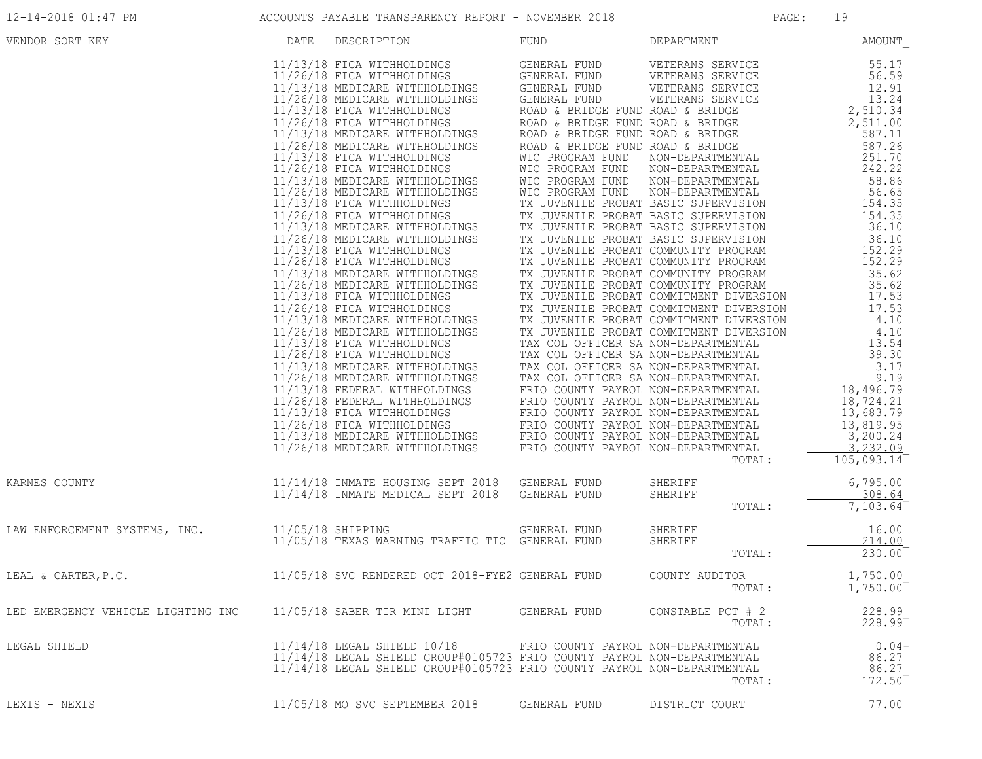| VENDOR SORT KEY                    | DATE | DESCRIPTION                                                                                                                                                                                                                                                                                                                                                                                                                                                                                                                                                                                                                                                                                                                                                                                                                                                                                                                                                                                                                                                                                                                                  | <b>FUND</b>                                                                                                                                                                                                                                                                                                                                                                                                                                                             | DEPARTMENT                                                                                                                                                                                                                                                                                                                                                                         | AMOUNT                                                                                                                                                                                                                                                                                                                                                                                                    |
|------------------------------------|------|----------------------------------------------------------------------------------------------------------------------------------------------------------------------------------------------------------------------------------------------------------------------------------------------------------------------------------------------------------------------------------------------------------------------------------------------------------------------------------------------------------------------------------------------------------------------------------------------------------------------------------------------------------------------------------------------------------------------------------------------------------------------------------------------------------------------------------------------------------------------------------------------------------------------------------------------------------------------------------------------------------------------------------------------------------------------------------------------------------------------------------------------|-------------------------------------------------------------------------------------------------------------------------------------------------------------------------------------------------------------------------------------------------------------------------------------------------------------------------------------------------------------------------------------------------------------------------------------------------------------------------|------------------------------------------------------------------------------------------------------------------------------------------------------------------------------------------------------------------------------------------------------------------------------------------------------------------------------------------------------------------------------------|-----------------------------------------------------------------------------------------------------------------------------------------------------------------------------------------------------------------------------------------------------------------------------------------------------------------------------------------------------------------------------------------------------------|
|                                    |      | 11/13/18 FICA WITHHOLDINGS<br>11/13/18 FICA WITHHOLDINGS<br>11/26/18 FICA WITHHOLDINGS<br>11/26/18 MEDICARE WITHHOLDINGS<br>11/26/18 MEDICARE WITHHOLDINGS<br>11/13/18 FICA WITHHOLDINGS<br>11/13/18 MEDICARE WITHHOLDINGS<br>11/26/18 MEDICARE WITHHOLDINGS<br>11/13/18 FICA WITHHOLDINGS<br>11/26/18 FICA WITHHOLDINGS<br>11/13/18 MEDICARE WITHHOLDINGS<br>11/26/18 MEDICARE WITHHOLDINGS<br>11/13/18 FICA WITHHOLDINGS<br>11/26/18 FICA WITHHOLDINGS<br>11/13/18 MEDICARE WITHHOLDINGS<br>11/26/18 MEDICARE WITHHOLDINGS<br>11/13/18 FICA WITHHOLDINGS<br>11/26/18 FICA WITHHOLDINGS<br>11/13/18 MEDICARE WITHHOLDINGS<br>11/26/18 MEDICARE WITHHOLDINGS<br>11/13/18 FICA WITHHOLDINGS<br><b>NGS</b><br>11/26/18 FICA WITHHOLDINGS<br>11/13/18 MEDICARE WITHHOLDINGS<br>11/26/18 MEDICARE WITHHOLDINGS<br>11/13/18 FICA WITHHOLDINGS<br>11/26/18 FICA WITHHOLDINGS<br>11/13/18 MEDICARE WITHHOLDINGS<br>11/26/18 MEDICARE WITHHOLDINGS<br>11/13/18 FEDERAL WITHHOLDINGS<br>11/26/18 FEDERAL WITHHOLDINGS<br>11/13/18 FICA WITHHOLDINGS<br>11/26/18 FICA WITHHOLDINGS<br>11/13/18 MEDICARE WITHHOLDINGS<br>11/26/18 MEDICARE WITHHOLDINGS | GENERAL FUND<br>GENERAL FUND<br>GENERAL FUND<br>GENERAL FUND<br>GENERAL FUND<br>ROAD & BRIDGE FUND ROAD & BRIDGE<br>ROAD & BRIDGE FUND ROAD & BRIDGE<br>ROAD & BRIDGE FUND ROAD & BRIDGE<br>ROAD & BRIDGE FUND ROAD & BRIDGE<br>WIC PROGRAM FUND<br>WIC PROGRAM FUND<br>FRIO COUNTY PAYROL NON-DEPARTMENTAL<br>FRIO COUNTY PAYROL NON-DEPARTMENTAL<br>FRIO COUNTY PAYROL NON-DEPARTMENTAL<br>FRIO COUNTY PAYROL NON-DEPARTMENTAL<br>FRIO COUNTY PAYROL NON-DEPARTMENTAL | VETERANS SERVICE<br>VETERANS SERVICE<br>VETERANS SERVICE<br>VETERANS SERVICE<br>NON-DEPARTMENTAL<br>NON-DEPARTMENTAL<br>WIC PROGRAM FUND NON-DEPARTMENTAL<br>WIC PROGRAM FUND NON-DEPARTMENTAL<br>TX JUVENILE PROBAT BASIC SUPERVIENTAL<br>TX JUVENILE PROBAT BASIC SUPERVISION<br>TX JUVENILE PROBAT BASIC SUPERVISION<br>TX JUVENILE PROBAT BASIC SUPERVISION<br>TX JU<br>TOTAL: | 55.17<br>56.59<br>12.91<br>13.24<br>2,510.34<br>2,511.00<br>587.11<br>587.26<br>251.70<br>242.22<br>58.86<br>56.65<br>$154.35$<br>$25.35$<br>36.10<br>36.10<br>152.29<br>152.29<br>35.62<br>35.62<br>17.53<br>17.53<br>4.10<br>4.10<br>13.54<br>39.30<br>3.17<br>$\begin{array}{c} 3.17 \\ 9.19 \\ 18,496.79 \\ \end{array}$<br>18,724.21<br>13,683.79<br>13,819.95<br>3,200.24<br>3,232.09<br>105,093.14 |
| KARNES COUNTY                      |      | 11/14/18 INMATE HOUSING SEPT 2018 GENERAL FUND<br>11/14/18 INMATE MEDICAL SEPT 2018                                                                                                                                                                                                                                                                                                                                                                                                                                                                                                                                                                                                                                                                                                                                                                                                                                                                                                                                                                                                                                                          | GENERAL FUND                                                                                                                                                                                                                                                                                                                                                                                                                                                            | SHERIFF<br>SHERIFF<br>TOTAL:                                                                                                                                                                                                                                                                                                                                                       | 6,795.00<br>308.64<br>7,103.64                                                                                                                                                                                                                                                                                                                                                                            |
| LAW ENFORCEMENT SYSTEMS, INC.      |      | 11/05/18 SHIPPING<br>11/05/18 TEXAS WARNING TRAFFIC TIC GENERAL FUND                                                                                                                                                                                                                                                                                                                                                                                                                                                                                                                                                                                                                                                                                                                                                                                                                                                                                                                                                                                                                                                                         | GENERAL FUND                                                                                                                                                                                                                                                                                                                                                                                                                                                            | SHERIFF<br>SHERIFF<br>TOTAL:                                                                                                                                                                                                                                                                                                                                                       | 16.00<br>214.00<br>230.00                                                                                                                                                                                                                                                                                                                                                                                 |
| LEAL & CARTER, P.C.                |      | 11/05/18 SVC RENDERED OCT 2018-FYE2 GENERAL FUND                                                                                                                                                                                                                                                                                                                                                                                                                                                                                                                                                                                                                                                                                                                                                                                                                                                                                                                                                                                                                                                                                             |                                                                                                                                                                                                                                                                                                                                                                                                                                                                         | COUNTY AUDITOR<br>TOTAL:                                                                                                                                                                                                                                                                                                                                                           | 1,750.00<br>1,750.00                                                                                                                                                                                                                                                                                                                                                                                      |
| LED EMERGENCY VEHICLE LIGHTING INC |      | 11/05/18 SABER TIR MINI LIGHT                                                                                                                                                                                                                                                                                                                                                                                                                                                                                                                                                                                                                                                                                                                                                                                                                                                                                                                                                                                                                                                                                                                | GENERAL FUND                                                                                                                                                                                                                                                                                                                                                                                                                                                            | CONSTABLE PCT # 2<br>TOTAL:                                                                                                                                                                                                                                                                                                                                                        | 228.99<br>228.99                                                                                                                                                                                                                                                                                                                                                                                          |
| LEGAL SHIELD                       |      | 11/14/18 LEGAL SHIELD 10/18<br>11/14/18 LEGAL SHIELD GROUP#0105723 FRIO COUNTY PAYROL NON-DEPARTMENTAL<br>11/14/18 LEGAL SHIELD GROUP#0105723 FRIO COUNTY PAYROL NON-DEPARTMENTAL                                                                                                                                                                                                                                                                                                                                                                                                                                                                                                                                                                                                                                                                                                                                                                                                                                                                                                                                                            | FRIO COUNTY PAYROL NON-DEPARTMENTAL                                                                                                                                                                                                                                                                                                                                                                                                                                     | TOTAL:                                                                                                                                                                                                                                                                                                                                                                             | $0.04-$<br>86.27<br>86.27<br>172.50                                                                                                                                                                                                                                                                                                                                                                       |
| LEXIS - NEXIS                      |      | 11/05/18 MO SVC SEPTEMBER 2018                                                                                                                                                                                                                                                                                                                                                                                                                                                                                                                                                                                                                                                                                                                                                                                                                                                                                                                                                                                                                                                                                                               | GENERAL FUND                                                                                                                                                                                                                                                                                                                                                                                                                                                            | DISTRICT COURT                                                                                                                                                                                                                                                                                                                                                                     | 77.00                                                                                                                                                                                                                                                                                                                                                                                                     |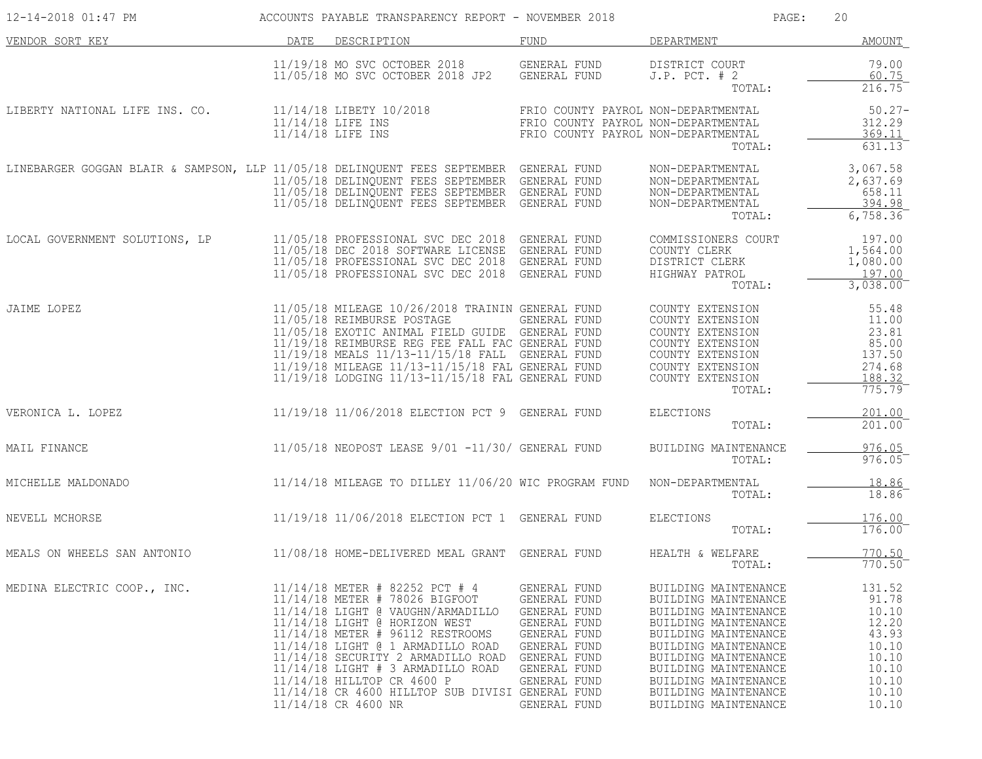| 12-14-2018 01:47 PM                                                                    |      | ACCOUNTS PAYABLE TRANSPARENCY REPORT - NOVEMBER 2018                                                                                                                                                                                                                                                                                                                                                  |                                                                                                                                                              | PAGE:<br>20                                                                                                                                                                                                                                                          |                                                                                                  |
|----------------------------------------------------------------------------------------|------|-------------------------------------------------------------------------------------------------------------------------------------------------------------------------------------------------------------------------------------------------------------------------------------------------------------------------------------------------------------------------------------------------------|--------------------------------------------------------------------------------------------------------------------------------------------------------------|----------------------------------------------------------------------------------------------------------------------------------------------------------------------------------------------------------------------------------------------------------------------|--------------------------------------------------------------------------------------------------|
| VENDOR SORT KEY                                                                        | DATE | DESCRIPTION                                                                                                                                                                                                                                                                                                                                                                                           | FUND                                                                                                                                                         | DEPARTMENT                                                                                                                                                                                                                                                           | AMOUNT                                                                                           |
|                                                                                        |      | 11/19/18 MO SVC OCTOBER 2018<br>11/05/18 MO SVC OCTOBER 2018 JP2                                                                                                                                                                                                                                                                                                                                      | GENERAL FUND<br>GENERAL FUND                                                                                                                                 | DISTRICT COURT<br>$J.P.$ PCT. $# 2$<br>TOTAL:                                                                                                                                                                                                                        | 79.00<br>60.75<br>216.75                                                                         |
| LIBERTY NATIONAL LIFE INS. CO.                                                         |      | 11/14/18 LIBETY 10/2018<br>11/14/18 LIFE INS<br>11/14/18 LIFE INS                                                                                                                                                                                                                                                                                                                                     | FRIO COUNTY PAYROL NON-DEPARTMENTAL<br>FRIO COUNTY PAYROL NON-DEPARTMENTAL<br>FRIO COUNTY PAYROL NON-DEPARTMENTAL                                            | TOTAL:                                                                                                                                                                                                                                                               | $50.27 -$<br>312.29<br>369.11<br>631.13                                                          |
| LINEBARGER GOGGAN BLAIR & SAMPSON, LLP 11/05/18 DELINQUENT FEES SEPTEMBER GENERAL FUND |      | 11/05/18 DELINQUENT FEES SEPTEMBER GENERAL FUND<br>11/05/18 DELINQUENT FEES SEPTEMBER GENERAL FUND<br>11/05/18 DELINQUENT FEES SEPTEMBER GENERAL FUND                                                                                                                                                                                                                                                 |                                                                                                                                                              | NON-DEPARTMENTAL<br>NON-DEPARTMENTAL<br>NON-DEPARTMENTAL<br>NON-DEPARTMENTAL<br>TOTAL:                                                                                                                                                                               | 3,067.58<br>2,637.69<br>658.11<br>394.98<br>6,758.36                                             |
| LOCAL GOVERNMENT SOLUTIONS, LP                                                         |      | 11/05/18 PROFESSIONAL SVC DEC 2018 GENERAL FUND<br>11/05/18 DEC 2018 SOFTWARE LICENSE GENERAL FUND<br>11/05/18 PROFESSIONAL SVC DEC 2018 GENERAL FUND<br>11/05/18 PROFESSIONAL SVC DEC 2018 GENERAL FUND                                                                                                                                                                                              |                                                                                                                                                              | COMMISSIONERS COURT<br>COUNTY CLERK<br>DISTRICT CLERK<br>HIGHWAY PATROL<br>TOTAL:                                                                                                                                                                                    | 197.00<br>1,564.00<br>1,080.00<br>197.00<br>3,038.00                                             |
| JAIME LOPEZ                                                                            |      | 11/05/18 MILEAGE 10/26/2018 TRAININ GENERAL FUND<br>11/05/18 REIMBURSE POSTAGE<br>11/05/18 EXOTIC ANIMAL FIELD GUIDE GENERAL FUND<br>11/19/18 REIMBURSE REG FEE FALL FAC GENERAL FUND<br>11/19/18 MEALS 11/13-11/15/18 FALL GENERAL FUND<br>11/19/18 MILEAGE 11/13-11/15/18 FAL GENERAL FUND<br>11/19/18 LODGING 11/13-11/15/18 FAL GENERAL FUND                                                      | GENERAL FUND                                                                                                                                                 | COUNTY EXTENSION<br>COUNTY EXTENSION<br>COUNTY EXTENSION<br>COUNTY EXTENSION<br>COUNTY EXTENSION<br>COUNTY EXTENSION<br>COUNTY EXTENSION<br>TOTAL:                                                                                                                   | 55.48<br>11.00<br>23.81<br>85.00<br>137.50<br>274.68<br>188.32<br>775.79                         |
| VERONICA L. LOPEZ                                                                      |      | 11/19/18 11/06/2018 ELECTION PCT 9 GENERAL FUND                                                                                                                                                                                                                                                                                                                                                       |                                                                                                                                                              | <b>ELECTIONS</b><br>TOTAL:                                                                                                                                                                                                                                           | 201.00<br>201.00                                                                                 |
| MAIL FINANCE                                                                           |      | 11/05/18 NEOPOST LEASE 9/01 -11/30/ GENERAL FUND                                                                                                                                                                                                                                                                                                                                                      |                                                                                                                                                              | BUILDING MAINTENANCE<br>TOTAL:                                                                                                                                                                                                                                       | 976.05<br>976.05                                                                                 |
| MICHELLE MALDONADO                                                                     |      | $11/14/18$ MILEAGE TO DILLEY $11/06/20$ WIC PROGRAM FUND                                                                                                                                                                                                                                                                                                                                              |                                                                                                                                                              | NON-DEPARTMENTAL<br>TOTAL:                                                                                                                                                                                                                                           | 18.86<br>18.86                                                                                   |
| NEVELL MCHORSE                                                                         |      | 11/19/18 11/06/2018 ELECTION PCT 1 GENERAL FUND                                                                                                                                                                                                                                                                                                                                                       |                                                                                                                                                              | ELECTIONS<br>TOTAL:                                                                                                                                                                                                                                                  | 176.00<br>176.00                                                                                 |
| MEALS ON WHEELS SAN ANTONIO                                                            |      | 11/08/18 HOME-DELIVERED MEAL GRANT GENERAL FUND                                                                                                                                                                                                                                                                                                                                                       |                                                                                                                                                              | HEALTH & WELFARE<br>TOTAL:                                                                                                                                                                                                                                           | 770.50<br>770.50                                                                                 |
| MEDINA ELECTRIC COOP., INC.                                                            |      | 11/14/18 METER # 82252 PCT # 4<br>11/14/18 METER # 78026 BIGFOOT<br>11/14/18 LIGHT @ VAUGHN/ARMADILLO<br>11/14/18 LIGHT @ HORIZON WEST<br>11/14/18 METER # 96112 RESTROOMS<br>11/14/18 LIGHT @ 1 ARMADILLO ROAD<br>11/14/18 SECURITY 2 ARMADILLO ROAD<br>$11/14/18$ LIGHT # 3 ARMADILLO ROAD<br>11/14/18 HILLTOP CR 4600 P<br>11/14/18 CR 4600 HILLTOP SUB DIVISI GENERAL FUND<br>11/14/18 CR 4600 NR | GENERAL FUND<br>GENERAL FUND<br>GENERAL FUND<br>GENERAL FUND<br>GENERAL FUND<br>GENERAL FUND<br>GENERAL FUND<br>GENERAL FUND<br>GENERAL FUND<br>GENERAL FUND | BUILDING MAINTENANCE<br>BUILDING MAINTENANCE<br>BUILDING MAINTENANCE<br>BUILDING MAINTENANCE<br>BUILDING MAINTENANCE<br>BUILDING MAINTENANCE<br>BUILDING MAINTENANCE<br>BUILDING MAINTENANCE<br>BUILDING MAINTENANCE<br>BUILDING MAINTENANCE<br>BUILDING MAINTENANCE | 131.52<br>91.78<br>10.10<br>12.20<br>43.93<br>10.10<br>10.10<br>10.10<br>10.10<br>10.10<br>10.10 |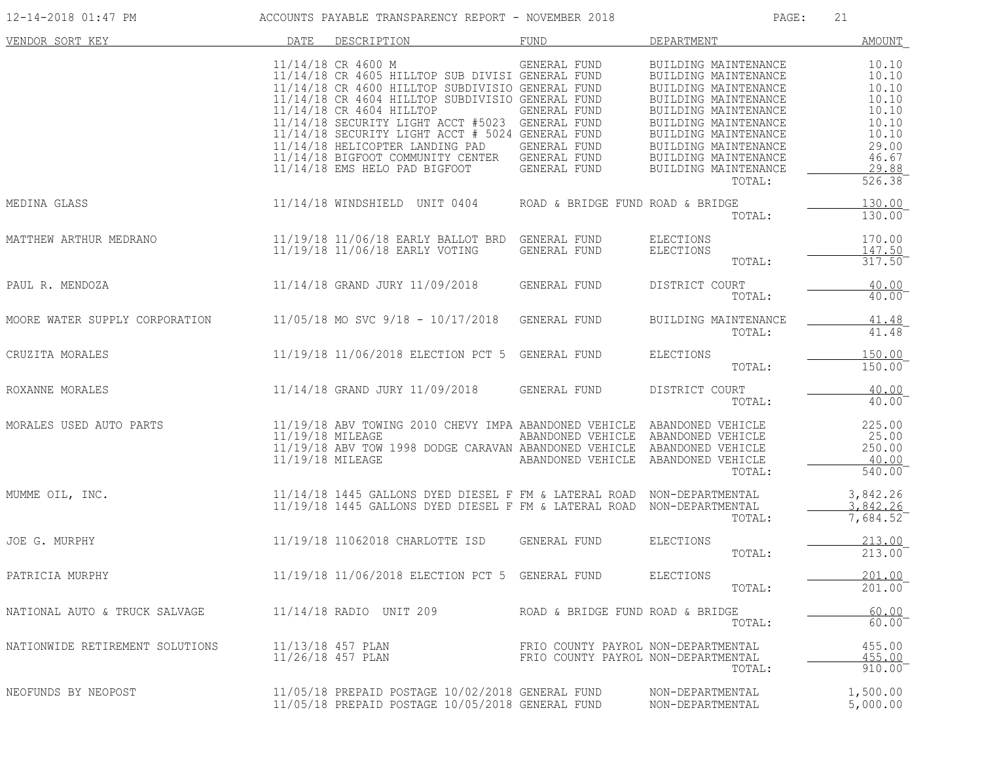| 12-14-2018 01:47 PM             |      | ACCOUNTS PAYABLE TRANSPARENCY REPORT - NOVEMBER 2018                                                                                                                                                                                                                                                                                                                                                                                                 |                                                                            | PAGE:                                                                                                                                                                                                                                                  | 21                                                                                               |
|---------------------------------|------|------------------------------------------------------------------------------------------------------------------------------------------------------------------------------------------------------------------------------------------------------------------------------------------------------------------------------------------------------------------------------------------------------------------------------------------------------|----------------------------------------------------------------------------|--------------------------------------------------------------------------------------------------------------------------------------------------------------------------------------------------------------------------------------------------------|--------------------------------------------------------------------------------------------------|
| VENDOR SORT KEY                 | DATE | DESCRIPTION                                                                                                                                                                                                                                                                                                                                                                                                                                          | FUND                                                                       | DEPARTMENT                                                                                                                                                                                                                                             | AMOUNT                                                                                           |
|                                 |      | 11/14/18 CR 4600 M<br>11/14/18 CR 4605 HILLTOP SUB DIVISI GENERAL FUND<br>11/14/18 CR 4600 HILLTOP SUBDIVISIO GENERAL FUND<br>11/14/18 CR 4604 HILLTOP SUBDIVISIO GENERAL FUND<br>11/14/18 CR 4604 HILLTOP<br>11/14/18 SECURITY LIGHT ACCT #5023 GENERAL FUND<br>11/14/18 SECURITY LIGHT ACCT # 5024 GENERAL FUND<br>11/14/18 HELICOPTER LANDING PAD<br>11/14/18 BIGFOOT COMMUNITY CENTER GENERAL FUND<br>11/14/18 EMS HELO PAD BIGFOOT GENERAL FUND | GENERAL FUND<br>GENERAL FUND<br>GENERAL FUND                               | BUILDING MAINTENANCE<br>BUILDING MAINTENANCE<br>BUILDING MAINTENANCE<br>BUILDING MAINTENANCE<br>BUILDING MAINTENANCE<br>BUILDING MAINTENANCE<br>BUILDING MAINTENANCE<br>BUILDING MAINTENANCE<br>BUILDING MAINTENANCE<br>BUILDING MAINTENANCE<br>TOTAL: | 10.10<br>10.10<br>10.10<br>10.10<br>10.10<br>10.10<br>10.10<br>29.00<br>46.67<br>29.88<br>526.38 |
| MEDINA GLASS                    |      | 11/14/18 WINDSHIELD UNIT 0404 ROAD & BRIDGE FUND ROAD & BRIDGE                                                                                                                                                                                                                                                                                                                                                                                       |                                                                            | TOTAL:                                                                                                                                                                                                                                                 | 130.00<br>130.00                                                                                 |
| MATTHEW ARTHUR MEDRANO          |      | 11/19/18  11/06/18  EARLY BALLOT BRD  GENERAL FUND<br>11/19/18  11/06/18  EARLY VOTING  GENERAL FUND<br>11/19/18 11/06/18 EARLY VOTING                                                                                                                                                                                                                                                                                                               | GENERAL FUND                                                               | ELECTIONS<br>ELECTIONS<br>TOTAL:                                                                                                                                                                                                                       | 170.00<br>147.50<br>317.50                                                                       |
| PAUL R. MENDOZA                 |      | 11/14/18 GRAND JURY 11/09/2018 GENERAL FUND                                                                                                                                                                                                                                                                                                                                                                                                          |                                                                            | DISTRICT COURT<br>TOTAL:                                                                                                                                                                                                                               | 40.00<br>$40.00$ <sup>-</sup>                                                                    |
| MOORE WATER SUPPLY CORPORATION  |      | 11/05/18 MO SVC 9/18 - 10/17/2018 GENERAL FUND                                                                                                                                                                                                                                                                                                                                                                                                       |                                                                            | BUILDING MAINTENANCE<br>TOTAL:                                                                                                                                                                                                                         | 41.48<br>41.48                                                                                   |
| CRUZITA MORALES                 |      | 11/19/18 11/06/2018 ELECTION PCT 5 GENERAL FUND                                                                                                                                                                                                                                                                                                                                                                                                      |                                                                            | ELECTIONS<br>TOTAL:                                                                                                                                                                                                                                    | 150.00<br>150.00                                                                                 |
| ROXANNE MORALES                 |      | 11/14/18 GRAND JURY 11/09/2018 GENERAL FUND                                                                                                                                                                                                                                                                                                                                                                                                          |                                                                            | DISTRICT COURT<br>TOTAL:                                                                                                                                                                                                                               | 40.00<br>40.00                                                                                   |
| MORALES USED AUTO PARTS         |      | 11/19/18 ABV TOWING 2010 CHEVY IMPA ABANDONED VEHICLE ABANDONED VEHICLE<br>11/19/18 MILEAGE<br>11/19/18 ABV TOW 1998 DODGE CARAVAN ABANDONED VEHICLE ABANDONED VEHICLE<br>11/19/18 MILEAGE                                                                                                                                                                                                                                                           | ABANDONED VEHICLE ABANDONED VEHICLE<br>ABANDONED VEHICLE ABANDONED VEHICLE | TOTAL:                                                                                                                                                                                                                                                 | 225.00<br>25.00<br>250.00<br>40.00<br>540.00                                                     |
| MUMME OIL, INC.                 |      | 11/14/18 1445 GALLONS DYED DIESEL F FM & LATERAL ROAD NON-DEPARTMENTAL<br>11/19/18 1445 GALLONS DYED DIESEL F FM & LATERAL ROAD NON-DEPARTMENTAL<br>11/19/18 1445 GALLONS DYED DIESEL F FM & LATERAL ROAD NON-DEPARTMENTAL                                                                                                                                                                                                                           |                                                                            | TOTAL:                                                                                                                                                                                                                                                 | 3,842.26<br>3,842.26<br>7,684.52                                                                 |
| JOE G. MURPHY                   |      | 11/19/18 11062018 CHARLOTTE ISD GENERAL FUND                                                                                                                                                                                                                                                                                                                                                                                                         |                                                                            | ELECTIONS<br>TOTAL:                                                                                                                                                                                                                                    | 213.00<br>213.00                                                                                 |
| PATRICIA MURPHY                 |      | 11/19/18 11/06/2018 ELECTION PCT 5 GENERAL FUND                                                                                                                                                                                                                                                                                                                                                                                                      |                                                                            | <b>ELECTIONS</b><br>TOTAL:                                                                                                                                                                                                                             | 201.00<br>201.00                                                                                 |
| NATIONAL AUTO & TRUCK SALVAGE   |      | 11/14/18 RADIO UNIT 209                                                                                                                                                                                                                                                                                                                                                                                                                              | ROAD & BRIDGE FUND ROAD & BRIDGE                                           | TOTAL:                                                                                                                                                                                                                                                 | 60.00<br>$60.00^{-}$                                                                             |
| NATIONWIDE RETIREMENT SOLUTIONS |      | 11/13/18 457 PLAN<br>11/26/18 457 PLAN                                                                                                                                                                                                                                                                                                                                                                                                               | FRIO COUNTY PAYROL NON-DEPARTMENTAL<br>FRIO COUNTY PAYROL NON-DEPARTMENTAL | TOTAL:                                                                                                                                                                                                                                                 | 455.00<br>455.00<br>910.00                                                                       |
| NEOFUNDS BY NEOPOST             |      | 11/05/18 PREPAID POSTAGE 10/02/2018 GENERAL FUND<br>11/05/18 PREPAID POSTAGE 10/05/2018 GENERAL FUND                                                                                                                                                                                                                                                                                                                                                 |                                                                            | NON-DEPARTMENTAL<br>NON-DEPARTMENTAL                                                                                                                                                                                                                   | 1,500.00<br>5,000.00                                                                             |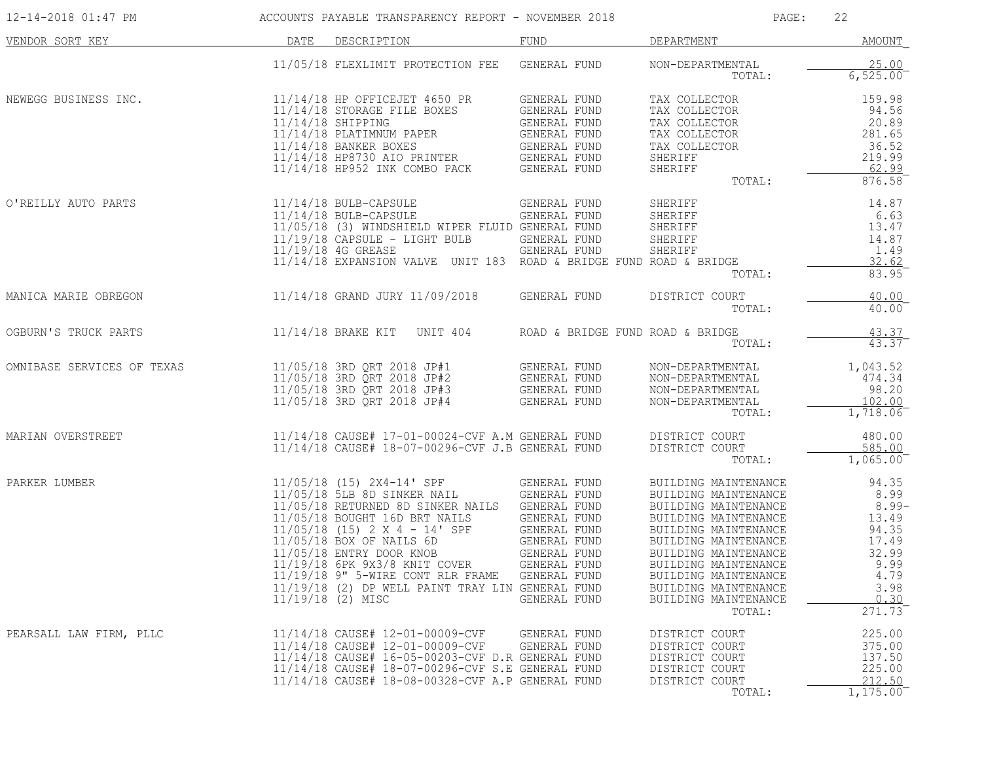| 12-14-2018 01:47 PM        |      | ACCOUNTS PAYABLE TRANSPARENCY REPORT - NOVEMBER 2018                                                                                                                                                                                                                                                                                                                                                     |                                                                                                                                                                     | PAGE:                                                                                                                                                                                                                                                                          | 22                                                                                                     |
|----------------------------|------|----------------------------------------------------------------------------------------------------------------------------------------------------------------------------------------------------------------------------------------------------------------------------------------------------------------------------------------------------------------------------------------------------------|---------------------------------------------------------------------------------------------------------------------------------------------------------------------|--------------------------------------------------------------------------------------------------------------------------------------------------------------------------------------------------------------------------------------------------------------------------------|--------------------------------------------------------------------------------------------------------|
| VENDOR SORT KEY            | DATE | DESCRIPTION                                                                                                                                                                                                                                                                                                                                                                                              | FUND                                                                                                                                                                | DEPARTMENT                                                                                                                                                                                                                                                                     | AMOUNT                                                                                                 |
|                            |      | 11/05/18 FLEXLIMIT PROTECTION FEE GENERAL FUND                                                                                                                                                                                                                                                                                                                                                           |                                                                                                                                                                     | NON-DEPARTMENTAL<br>TOTAL:                                                                                                                                                                                                                                                     | 25.00<br>6,525.00                                                                                      |
| NEWEGG BUSINESS INC.       |      | 11/14/18 HP OFFICEJET 4650 PR<br>11/14/18 STORAGE FILE BOXES<br>$11/14/18$ SHIPPING<br>11/14/18 PLATIMNUM PAPER<br>11/14/18 BANKER BOXES<br>11/14/18 HP8730 AIO PRINTER<br>11/14/18 HP952 INK COMBO PACK                                                                                                                                                                                                 | GENERAL FUND<br>GENERAL FUND<br>GENERAL FUND<br>GENERAL FUND<br>GENERAL FUND<br>GENERAL FUND<br>GENERAL FUND                                                        | TAX COLLECTOR<br>TAX COLLECTOR<br>TAX COLLECTOR<br>TAX COLLECTOR<br>TAX COLLECTOR<br>SHERIFF<br>SHERIFF<br>TOTAL:                                                                                                                                                              | 159.98<br>94.56<br>20.89<br>281.65<br>36.52<br>219.99<br>62.99<br>876.58                               |
| O'REILLY AUTO PARTS        |      | $11/14/18$ BULB-CAPSULE<br>11/14/18 BULB-CAPSULE<br>11/05/18 (3) WINDSHIELD WIPER FLUID GENERAL FUND<br>$11/19/18$ CAPSULE - LIGHT BULB<br>11/19/18 4G GREASE<br>11/14/18 EXPANSION VALVE UNIT 183 ROAD & BRIDGE FUND ROAD & BRIDGE                                                                                                                                                                      | GENERAL FUND<br>GENERAL FUND<br>GENERAL FUND<br>GENERAL FUND                                                                                                        | SHERIFF<br>SHERIFF<br>SHERIFF<br>SHERIFF<br>SHERIFF<br>TOTAL:                                                                                                                                                                                                                  | 14.87<br>6.63<br>13.47<br>14.87<br>1.49<br>32.62<br>83.95                                              |
| MANICA MARIE OBREGON       |      | 11/14/18 GRAND JURY 11/09/2018                                                                                                                                                                                                                                                                                                                                                                           | GENERAL FUND                                                                                                                                                        | DISTRICT COURT<br>TOTAL:                                                                                                                                                                                                                                                       | 40.00<br>40.00                                                                                         |
| OGBURN'S TRUCK PARTS       |      | 11/14/18 BRAKE KIT<br>UNIT 404                                                                                                                                                                                                                                                                                                                                                                           | ROAD & BRIDGE FUND ROAD & BRIDGE                                                                                                                                    | TOTAL:                                                                                                                                                                                                                                                                         | 43.37<br>43.37                                                                                         |
| OMNIBASE SERVICES OF TEXAS |      | 11/05/18 3RD QRT 2018 JP#4                                                                                                                                                                                                                                                                                                                                                                               | <b>GENERAL FUND</b>                                                                                                                                                 | NON-DEPARTMENTAL<br>NON-DEPARTMENTAL<br>NON-DEPARTMENTAL<br>NON-DEPARTMENTAL<br>TOTAL:                                                                                                                                                                                         | 1,043.52<br>474.34<br>98.20<br>102.00<br>1,718.06                                                      |
| MARIAN OVERSTREET          |      | 11/14/18 CAUSE# 17-01-00024-CVF A.M GENERAL FUND<br>11/14/18 CAUSE# 18-07-00296-CVF J.B GENERAL FUND                                                                                                                                                                                                                                                                                                     |                                                                                                                                                                     | DISTRICT COURT<br>DISTRICT COURT<br>TOTAL:                                                                                                                                                                                                                                     | 480.00<br>585.00<br>1,065.00                                                                           |
| PARKER LUMBER              |      | $11/05/18$ (15) $2X4-14'$ SPF<br>11/05/18 5LB 8D SINKER NAIL<br>11/05/18 RETURNED 8D SINKER NAILS<br>11/05/18 BOUGHT 16D BRT NAILS<br>$11/05/18$ (15) 2 X 4 - 14' SPF<br>11/05/18 BOX OF NAILS 6D<br>11/05/18 ENTRY DOOR KNOB<br>11/05/18 ENTRY DOOR KNOB<br>11/19/18 6PK 9X3/8 KNIT COVER<br>11/19/18 9" 5-WIRE CONT RLR FRAME<br>11/19/18 (2) DP WELL PAINT TRAY LIN GENERAL FUND<br>11/19/18 (2) MISC | GENERAL FUND<br>GENERAL FUND<br>GENERAL FUND<br>GENERAL FUND<br><b>GENERAL FUND</b><br>GENERAL FUND<br>GENERAL FUND<br>GENERAL FUND<br>GENERAL FUND<br>GENERAL FUND | BUILDING MAINTENANCE<br>BUILDING MAINTENANCE<br>BUILDING MAINTENANCE<br>BUILDING MAINTENANCE<br>BUILDING MAINTENANCE<br>BUILDING MAINTENANCE<br>BUILDING MAINTENANCE<br>BUILDING MAINTENANCE<br>BUILDING MAINTENANCE<br>BUILDING MAINTENANCE<br>BUILDING MAINTENANCE<br>TOTAL: | 94.35<br>8.99<br>$8.99-$<br>13.49<br>94.35<br>17.49<br>32.99<br>9.99<br>4.79<br>3.98<br>0.30<br>271.73 |
| PEARSALL LAW FIRM, PLLC    |      | 11/14/18 CAUSE# 12-01-00009-CVF<br>11/14/18 CAUSE# 12-01-00009-CVF<br>11/14/18 CAUSE# 16-05-00203-CVF D.R GENERAL FUND<br>11/14/18 CAUSE# 18-07-00296-CVF S.E GENERAL FUND<br>11/14/18 CAUSE# 18-08-00328-CVF A.P GENERAL FUND                                                                                                                                                                           | GENERAL FUND<br>GENERAL FUND                                                                                                                                        | DISTRICT COURT<br>DISTRICT COURT<br>DISTRICT COURT<br>DISTRICT COURT<br>DISTRICT COURT<br>TOTAL:                                                                                                                                                                               | 225.00<br>375.00<br>137.50<br>225.00<br>212.50<br>1,175.00                                             |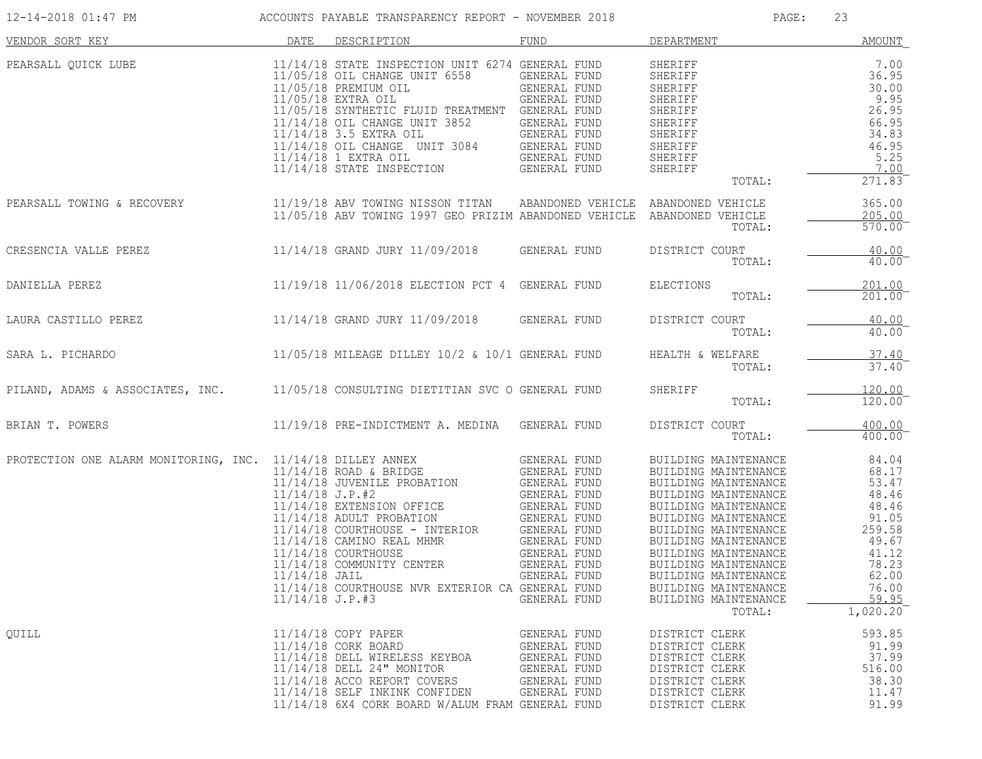| 12-14-2018 01:47 PM        | ACCOUNTS PAYABLE TRANSPARENCY REPORT - NOVEMBER 2018                                                                                                                                                                                                                                                                                                                                                                                                                                                                              |                                                                                                     | PAGE:                                                                                                                                                                                                                                                                                                                          | 23                                                                                                                             |
|----------------------------|-----------------------------------------------------------------------------------------------------------------------------------------------------------------------------------------------------------------------------------------------------------------------------------------------------------------------------------------------------------------------------------------------------------------------------------------------------------------------------------------------------------------------------------|-----------------------------------------------------------------------------------------------------|--------------------------------------------------------------------------------------------------------------------------------------------------------------------------------------------------------------------------------------------------------------------------------------------------------------------------------|--------------------------------------------------------------------------------------------------------------------------------|
| VENDOR SORT KEY            | DATE DESCRIPTION                                                                                                                                                                                                                                                                                                                                                                                                                                                                                                                  | FUND                                                                                                | DEPARTMENT                                                                                                                                                                                                                                                                                                                     | AMOUNT                                                                                                                         |
| PEARSALL QUICK LUBE        | 11/14/18 STATE INSPECTION UNIT 6274 GENERAL FUND<br>11/05/18 OIL CHANGE UNIT 6558<br>$11/05/18$ PREMIUM OIL<br>IL GENERAL FUND<br>GENERAL FUND<br>11/05/18 EXTRA OIL<br>11/05/18 SYNTHETIC FLUID TREATMENT GENERAL FUND<br>11/14/18 OIL CHANGE UNIT 3852 GENERAL FUND<br>11/14/18 3.5 EXTRA OIL<br>11/14/18 OIL CHANGE UNIT 3084                                                                                                                                                                                                  | GENERAL FUND<br>GENERAL FUND<br>IT 3084 GENERAL FUND                                                | SHERIFF<br>SHERIFF<br>SHERIFF<br>SHERIFF<br>SHERIFF<br>SHERIFF<br>SHERIFF<br>SHERIFF<br>SHERIFF<br>SHERIFF<br>TOTAL:                                                                                                                                                                                                           | 7.00<br>36.95<br>30.00<br>9.95<br>26.95<br>66.95<br>34.83<br>46.95<br>5.25<br>7.00<br>$\overline{2}71.83$ <sup>-</sup>         |
| PEARSALL TOWING & RECOVERY | 11/19/18 ABV TOWING NISSON TITAN ABANDONED VEHICLE ABANDONED VEHICLE<br>11/05/18 ABV TOWING 1997 GEO PRIZIM ABANDONED VEHICLE ABANDONED VEHICLE                                                                                                                                                                                                                                                                                                                                                                                   |                                                                                                     | TOTAL:                                                                                                                                                                                                                                                                                                                         | 365.00<br>205.00<br>570.00                                                                                                     |
| CRESENCIA VALLE PEREZ      | 11/14/18 GRAND JURY 11/09/2018 GENERAL FUND                                                                                                                                                                                                                                                                                                                                                                                                                                                                                       |                                                                                                     | DISTRICT COURT<br>TOTAL:                                                                                                                                                                                                                                                                                                       | 40.00<br>$40.00^{-}$                                                                                                           |
| DANIELLA PEREZ             | 11/19/18 11/06/2018 ELECTION PCT 4 GENERAL FUND                                                                                                                                                                                                                                                                                                                                                                                                                                                                                   |                                                                                                     | ELECTIONS<br>TOTAL:                                                                                                                                                                                                                                                                                                            | 201.00<br>$201.00$ <sup>-</sup>                                                                                                |
|                            | LAURA CASTILLO PEREZ 11/14/18 GRAND JURY 11/09/2018 GENERAL FUND                                                                                                                                                                                                                                                                                                                                                                                                                                                                  |                                                                                                     | DISTRICT COURT<br>TOTAL:                                                                                                                                                                                                                                                                                                       | 40.00<br>40.00                                                                                                                 |
| SARA L. PICHARDO           | 11/05/18 MILEAGE DILLEY 10/2 & 10/1 GENERAL FUND                                                                                                                                                                                                                                                                                                                                                                                                                                                                                  |                                                                                                     | HEALTH & WELFARE<br>TOTAL:                                                                                                                                                                                                                                                                                                     | 37.40<br>$37.40$ <sup>-</sup>                                                                                                  |
|                            | PILAND, ADAMS & ASSOCIATES, INC. 11/05/18 CONSULTING DIETITIAN SVC O GENERAL FUND                                                                                                                                                                                                                                                                                                                                                                                                                                                 |                                                                                                     | SHERIFF<br>TOTAL:                                                                                                                                                                                                                                                                                                              | 120.00<br>120.00                                                                                                               |
| BRIAN T. POWERS            | 11/19/18 PRE-INDICTMENT A. MEDINA GENERAL FUND                                                                                                                                                                                                                                                                                                                                                                                                                                                                                    |                                                                                                     | DISTRICT COURT<br>TOTAL:                                                                                                                                                                                                                                                                                                       | 400.00<br>$400.00^{-}$                                                                                                         |
|                            | PROTECTION ONE ALARM MONITORING, INC. $11/14/18$ DILLEY ANNEX GENERAL FUND $11/14/18$ ROAD & BRIDGE GENERAL FUND<br>11/14/18 JUVENILE PROBATION<br>$11/14/18$ J.P.#2<br>11/14/18 EXTENSION OFFICE GENERAL FUND<br>$11/14/18$ ADULT PROBATION GENERAL FUND<br>11/14/18 COURTHOUSE - INTERIOR GENERAL FUND<br>11/14/18 COURTHOUSE - 1881-1882-1883<br>11/14/18 CAMINO REAL MHMR GENERAL FUND<br>GENERAL FUND<br>11/14/18 COMMUNITY CENTER<br>11/14/18 JAIL<br>11/14/18 COURTHOUSE NVR EXTERIOR CA GENERAL FUND<br>$11/14/18$ J.P.#3 | <b>GENERAL FUND</b><br>GENERAL FUND<br>GENERAL FUND<br>GENERAL FUND<br>GENERAL FUND                 | BUILDING MAINTENANCE<br>BUILDING MAINTENANCE<br>BUILDING MAINTENANCE<br>BUILDING MAINTENANCE<br>BUILDING MAINTENANCE<br>BUILDING MAINTENANCE<br>BUILDING MAINTENANCE<br>BUILDING MAINTENANCE<br>BUILDING MAINTENANCE<br>BUILDING MAINTENANCE<br>BUILDING MAINTENANCE<br>BUILDING MAINTENANCE<br>BUILDING MAINTENANCE<br>TOTAL: | 84.04<br>68.17<br>53.47<br>48.46<br>48.46<br>91.05<br>259.58<br>49.67<br>41.12<br>78.23<br>62.00<br>76.00<br>59.95<br>1,020.20 |
| OUILL                      | 11/14/18 COPY PAPER<br>11/14/18 CORK BOARD<br>11/14/18 DELL WIRELESS KEYBOA<br>11/14/18 DELL 24" MONITOR<br>11/14/18 ACCO REPORT COVERS<br>11/14/18 SELF INKINK CONFIDEN<br>11/14/18 6X4 CORK BOARD W/ALUM FRAM GENERAL FUND                                                                                                                                                                                                                                                                                                      | GENERAL FUND<br><b>GENERAL FUND</b><br>GENERAL FUND<br>GENERAL FUND<br>GENERAL FUND<br>GENERAL FUND | DISTRICT CLERK<br>DISTRICT CLERK<br>DISTRICT CLERK<br>DISTRICT CLERK<br>DISTRICT CLERK<br>DISTRICT CLERK<br>DISTRICT CLERK                                                                                                                                                                                                     | 593.85<br>91.99<br>37.99<br>516.00<br>38.30<br>11.47<br>91.99                                                                  |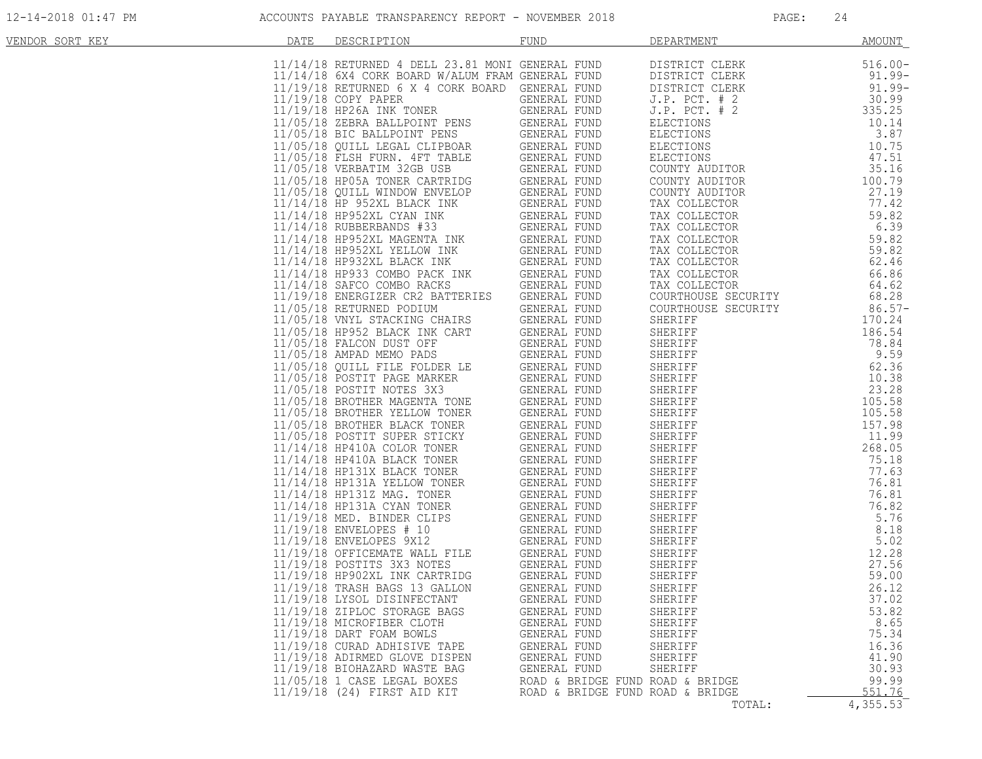| VENDOR SORT KEY | DATE | DESCRIPTION                                                                                                                                                                                                                                | <b>FUND</b>                                                          | DEPARTMENT                                                                                                                                                                                                                                                                                | AMOUNT                     |
|-----------------|------|--------------------------------------------------------------------------------------------------------------------------------------------------------------------------------------------------------------------------------------------|----------------------------------------------------------------------|-------------------------------------------------------------------------------------------------------------------------------------------------------------------------------------------------------------------------------------------------------------------------------------------|----------------------------|
|                 |      | $11/14/18$ RETURNED 4 DELL 23.81 MONI GENERAL FUND<br>$11/14/18$ 6X4 CORK BOARD W/ALUM FRAM GENERAL FUND<br>$11/19/18$ RETURNED 6 X 4 CORK BOARD GENERAL FUND                                                                              |                                                                      | DISTRICT CLERK                                                                                                                                                                                                                                                                            | $516.00 -$                 |
|                 |      |                                                                                                                                                                                                                                            |                                                                      | DISTRICT CLERK                                                                                                                                                                                                                                                                            | 91.99-                     |
|                 |      |                                                                                                                                                                                                                                            |                                                                      | DISTRICT CLERK                                                                                                                                                                                                                                                                            | $91.99 -$                  |
|                 |      | 11/19/18 COPY PAPER                                                                                                                                                                                                                        | GENERAL FUND                                                         | $J.P.$ PCT. $# 2$                                                                                                                                                                                                                                                                         | $30.99$<br>335.25          |
|                 |      | 11/19/18 HP26A INK TONER                                                                                                                                                                                                                   | GENERAL FUND                                                         | J.P. PCT. # 2                                                                                                                                                                                                                                                                             |                            |
|                 |      |                                                                                                                                                                                                                                            |                                                                      |                                                                                                                                                                                                                                                                                           | 10.14<br>3.87              |
|                 |      | 11/19/16 HF26A INN IONER<br>11/05/18 ZEBRA BALLPOINT PENS<br>11/05/18 QUILL LEGAL CLIPBOAR GENERAL FUND<br>11/05/18 QUILL LEGAL CLIPBOAR GENERAL FUND<br>11/05/18 TESH FUND<br>11/05/18 VERBATIM 32GB USB GENERAL FUND<br>11/05/18 QUILL W |                                                                      | J.F. FCI. # 2<br>ELECTIONS<br>ELECTIONS<br>ELECTIONS<br>ELECTIONS<br>COUNTY AUDITOR<br>COUNTY AUDITOR<br>COUNTY AUDITOR<br>TAX COLLECTOR<br>TAX COLLECTOR                                                                                                                                 | 10.75                      |
|                 |      |                                                                                                                                                                                                                                            |                                                                      |                                                                                                                                                                                                                                                                                           | 47.51                      |
|                 |      |                                                                                                                                                                                                                                            |                                                                      |                                                                                                                                                                                                                                                                                           | 35.16                      |
|                 |      |                                                                                                                                                                                                                                            |                                                                      |                                                                                                                                                                                                                                                                                           | 100.79                     |
|                 |      |                                                                                                                                                                                                                                            |                                                                      |                                                                                                                                                                                                                                                                                           | 27.19                      |
|                 |      |                                                                                                                                                                                                                                            |                                                                      |                                                                                                                                                                                                                                                                                           | 77.42                      |
|                 |      | 11/14/18 HP952XL CYAN INK                                                                                                                                                                                                                  | GENERAL FUND                                                         | TAX COLLECTOR<br>TAX COLLECTOR<br>TAX COLLECTOR<br>TAX COLLECTOR<br>TAX COLLECTOR<br>TAX COLLECTOR<br>TAX COLLECTOR<br>TAX COLLECTOR<br>COLLECTOR<br>COLLECTOR                                                                                                                            | 59.82                      |
|                 |      | $11/14/18$ RUBBERBANDS #33                                                                                                                                                                                                                 | GENERAL FUND                                                         |                                                                                                                                                                                                                                                                                           | 6.39                       |
|                 |      |                                                                                                                                                                                                                                            |                                                                      |                                                                                                                                                                                                                                                                                           | 59.82                      |
|                 |      |                                                                                                                                                                                                                                            |                                                                      |                                                                                                                                                                                                                                                                                           | 59.82                      |
|                 |      |                                                                                                                                                                                                                                            |                                                                      |                                                                                                                                                                                                                                                                                           | 62.46                      |
|                 |      | 11/14/18 HP952XL MAGENTA INK GENERAL FUND<br>11/14/18 HP952XL YELLOW INK GENERAL FUND<br>11/14/18 HP932XL BLACK INK GENERAL FUND<br>11/14/18 HP933 COMBO PACK INK GENERAL FUND<br>11/14/18 SAFCO COMBO RACKS GENERAL FUND                  |                                                                      |                                                                                                                                                                                                                                                                                           | 66.86                      |
|                 |      |                                                                                                                                                                                                                                            |                                                                      |                                                                                                                                                                                                                                                                                           | 64.62                      |
|                 |      | 11/19/18 ENERGIZER CR2 BATTERIES GENERAL FUND                                                                                                                                                                                              |                                                                      | COURTHOUSE SECURITY                                                                                                                                                                                                                                                                       | 68.28                      |
|                 |      | 11/05/18 RETURNED PODIUM                                                                                                                                                                                                                   | GENERAL FUND                                                         | COURTHOUSE SECURITY                                                                                                                                                                                                                                                                       | $86.57-$                   |
|                 |      | $11/05/18$ RETURNED PODIUM GENERAL FUND<br>$11/05/18$ HP952 BLACKING CHAIRS GENERAL FUND<br>$11/05/18$ FALCON DUST OFF GENERAL FUND<br>$11/05/18$ AMPAD MEMO PADS GENERAL FUND<br>$11/05/18$ AMPAD MEMO PADS GENERAL FUND<br>$11/05/18$    |                                                                      | SHERIFF<br>CONTRIBERIFF<br>SHERIFF<br>SHERIFF<br>SHERIFF<br>SHERIFF<br>SHERIFF<br>SHERIFF<br>SHERIFF<br>SHERIFF<br>SHERIFF<br>SHERIFF<br>SHERIFF<br>SHERIFF<br>SHERIFF<br>SHERIFF<br>105.58<br>SHERIFF<br>105.58<br>SHERIFF<br>105.58<br>SHERIFF<br>105.58<br>SHERIFF<br>105.58<br>SHERIF | $86.57 - 170.24$<br>186.54 |
|                 |      |                                                                                                                                                                                                                                            |                                                                      |                                                                                                                                                                                                                                                                                           |                            |
|                 |      |                                                                                                                                                                                                                                            |                                                                      |                                                                                                                                                                                                                                                                                           |                            |
|                 |      |                                                                                                                                                                                                                                            |                                                                      |                                                                                                                                                                                                                                                                                           |                            |
|                 |      |                                                                                                                                                                                                                                            |                                                                      |                                                                                                                                                                                                                                                                                           |                            |
|                 |      |                                                                                                                                                                                                                                            |                                                                      |                                                                                                                                                                                                                                                                                           |                            |
|                 |      |                                                                                                                                                                                                                                            |                                                                      |                                                                                                                                                                                                                                                                                           |                            |
|                 |      |                                                                                                                                                                                                                                            |                                                                      |                                                                                                                                                                                                                                                                                           |                            |
|                 |      |                                                                                                                                                                                                                                            |                                                                      |                                                                                                                                                                                                                                                                                           |                            |
|                 |      |                                                                                                                                                                                                                                            |                                                                      |                                                                                                                                                                                                                                                                                           |                            |
|                 |      |                                                                                                                                                                                                                                            |                                                                      |                                                                                                                                                                                                                                                                                           |                            |
|                 |      |                                                                                                                                                                                                                                            |                                                                      |                                                                                                                                                                                                                                                                                           |                            |
|                 |      |                                                                                                                                                                                                                                            |                                                                      |                                                                                                                                                                                                                                                                                           |                            |
|                 |      |                                                                                                                                                                                                                                            |                                                                      |                                                                                                                                                                                                                                                                                           |                            |
|                 |      | 11/14/18 HP131Z MAG. TONER                                                                                                                                                                                                                 | GENERAL FUND                                                         |                                                                                                                                                                                                                                                                                           |                            |
|                 |      | 11/14/18 HP131A CYAN TONER<br>11/19/18 MED. BINDER CLIPS                                                                                                                                                                                   | GENERAL FUND                                                         |                                                                                                                                                                                                                                                                                           |                            |
|                 |      |                                                                                                                                                                                                                                            | GENERAL FUND                                                         |                                                                                                                                                                                                                                                                                           |                            |
|                 |      | 11/19/18 ENVELOPES # 10<br>11/19/18 ENVELOPES 9X12 GENERAL FUND<br>11/19/18 OFFICEMATE WALL FILE GENERAL FUND<br>11/19/18 POSTITS 3X3 NOTES GENERAL FUND                                                                                   |                                                                      |                                                                                                                                                                                                                                                                                           |                            |
|                 |      |                                                                                                                                                                                                                                            |                                                                      |                                                                                                                                                                                                                                                                                           |                            |
|                 |      |                                                                                                                                                                                                                                            |                                                                      |                                                                                                                                                                                                                                                                                           |                            |
|                 |      | 11/19/18 HP902XL INK CARTRIDG                                                                                                                                                                                                              | GENERAL FUND                                                         |                                                                                                                                                                                                                                                                                           |                            |
|                 |      | 11/19/18 TRASH BAGS 13 GALLON                                                                                                                                                                                                              | GENERAL FUND                                                         | SHERIFF                                                                                                                                                                                                                                                                                   | 26.12                      |
|                 |      | 11/19/18 LYSOL DISINFECTANT                                                                                                                                                                                                                | GENERAL FUND                                                         | SHERIFF                                                                                                                                                                                                                                                                                   | 37.02                      |
|                 |      | 11/19/18 ZIPLOC STORAGE BAGS                                                                                                                                                                                                               | GENERAL FUND                                                         | SHERIFF                                                                                                                                                                                                                                                                                   | 53.82                      |
|                 |      | 11/19/18 MICROFIBER CLOTH                                                                                                                                                                                                                  | GENERAL FUND                                                         | SHERIFF                                                                                                                                                                                                                                                                                   | 8.65                       |
|                 |      | 11/19/18 DART FOAM BOWLS                                                                                                                                                                                                                   | GENERAL FUND                                                         | SHERIFF                                                                                                                                                                                                                                                                                   | 75.34                      |
|                 |      | 11/19/18 CURAD ADHISIVE TAPE                                                                                                                                                                                                               | GENERAL FUND                                                         | SHERIFF                                                                                                                                                                                                                                                                                   | 16.36                      |
|                 |      | 11/19/18 ADIRMED GLOVE DISPEN                                                                                                                                                                                                              | GENERAL FUND                                                         | SHERIFF                                                                                                                                                                                                                                                                                   | 41.90                      |
|                 |      | 11/19/18 BIOHAZARD WASTE BAG                                                                                                                                                                                                               | GENERAL FUND                                                         | SHERIFF                                                                                                                                                                                                                                                                                   | 30.93                      |
|                 |      | 11/05/18 1 CASE LEGAL BOXES<br>11/19/18 (24) FIRST AID KIT                                                                                                                                                                                 | ROAD & BRIDGE FUND ROAD & BRIDGE<br>ROAD & BRIDGE FUND ROAD & BRIDGE |                                                                                                                                                                                                                                                                                           | 99.99<br>551.76            |
|                 |      |                                                                                                                                                                                                                                            |                                                                      | TOTAL:                                                                                                                                                                                                                                                                                    | 4,355.53                   |
|                 |      |                                                                                                                                                                                                                                            |                                                                      |                                                                                                                                                                                                                                                                                           |                            |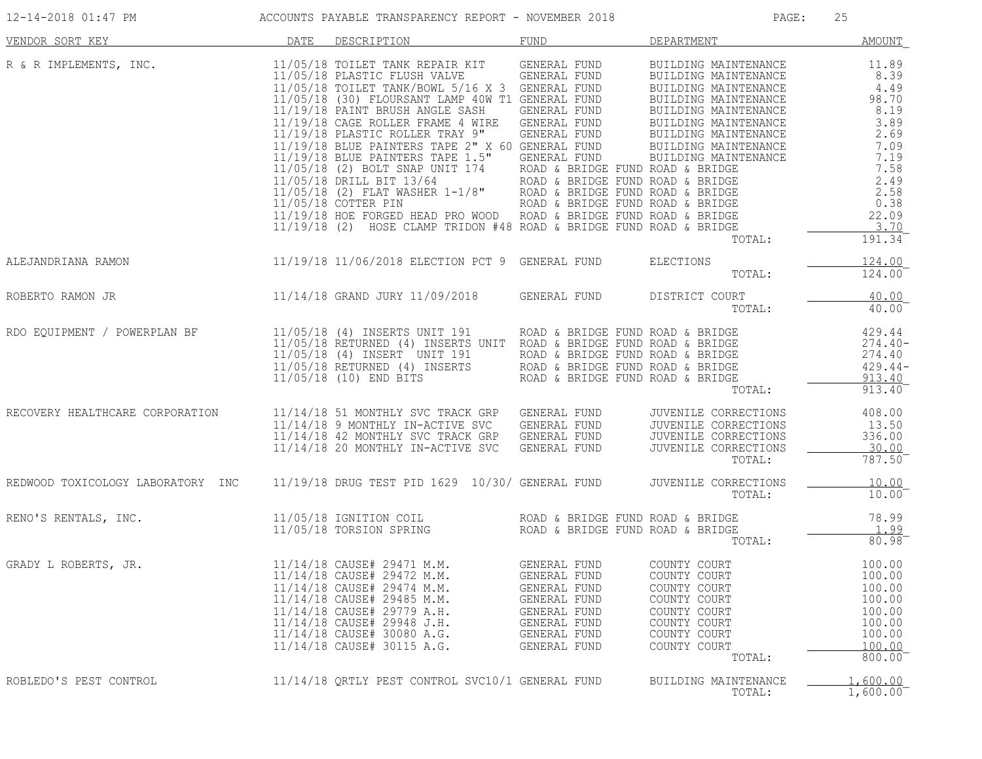| 12-14-2018 01:47 PM                      ACCOUNTS PAYABLE TRANSPARENCY REPORT - NOVEMBER 2018                                                                                                                                                                                                                    |      |                                                                                                                                                                                                                                                                                      |                                                                                                              | PAGE:                                                                                                                  | 25                                                                           |
|------------------------------------------------------------------------------------------------------------------------------------------------------------------------------------------------------------------------------------------------------------------------------------------------------------------|------|--------------------------------------------------------------------------------------------------------------------------------------------------------------------------------------------------------------------------------------------------------------------------------------|--------------------------------------------------------------------------------------------------------------|------------------------------------------------------------------------------------------------------------------------|------------------------------------------------------------------------------|
| VENDOR SORT KEY                                                                                                                                                                                                                                                                                                  | DATE | DESCRIPTION                                                                                                                                                                                                                                                                          |                                                                                                              | FUND DEPARTMENT                                                                                                        | <b>AMOUNT</b>                                                                |
| R & R IMPLEMENTS, INC.                                                                                                                                                                                                                                                                                           |      |                                                                                                                                                                                                                                                                                      |                                                                                                              | TOTAL:                                                                                                                 | $191.34^{-}$                                                                 |
| ALEJANDRIANA RAMON                                                                                                                                                                                                                                                                                               |      | 11/19/18 11/06/2018 ELECTION PCT 9 GENERAL FUND ELECTIONS                                                                                                                                                                                                                            |                                                                                                              | TOTAL:                                                                                                                 | 124.00<br>$124.00^-$                                                         |
| ROBERTO RAMON JR                                                                                                                                                                                                                                                                                                 |      | 11/14/18 GRAND JURY 11/09/2018 GENERAL FUND DISTRICT COURT                                                                                                                                                                                                                           |                                                                                                              | TOTAL:                                                                                                                 | 40.00<br>40.00                                                               |
| $\texttt{RDO EQUIPMENT} \textit{ /} \textit{POWERPLAN BF} \textit{ } \begin{tabular}{l} 4.29.44 \\ 11/05/18 \\ 11/05/18 \\ 11/05/18 \\ 11/05/18 \\ 11/05/18 \\ 11/05/18 \\ 11/05/18 \\ 11/05/18 \\ 11/05/18 \\ 11/05/18 \\ 11/05/18 \\ 11/05/18 \\ 11/05/18 \\ 11/05/18 \\ 11/05/18 \\ 11/05/18 \\ 11/05/18 \\ $ |      |                                                                                                                                                                                                                                                                                      |                                                                                                              |                                                                                                                        |                                                                              |
| RECOVERY HEALTHCARE CORPORATION 11/14/18 51 MONTHLY SVC TRACK GRP GENERAL FUND                                                                                                                                                                                                                                   |      | 11/14/18 9 MONTHLY IN-ACTIVE SVC GENERAL FUND JUVENILE CORRECTIONS<br>11/14/18 42 MONTHLY SVC TRACK GRP GENERAL FUND JUVENILE CORRECTIONS<br>11/14/18 20 MONTHLY IN-ACTIVE SVC GENERAL FUND JUVENILE CORRECTIONS                                                                     |                                                                                                              | JUVENILE CORRECTIONS 408.00<br>TOTAL:                                                                                  | 13.50<br>336.00<br>30.00<br>787.50                                           |
| REDWOOD TOXICOLOGY LABORATORY INC 11/19/18 DRUG TEST PID 1629 10/30/ GENERAL FUND JUVENILE CORRECTIONS                                                                                                                                                                                                           |      |                                                                                                                                                                                                                                                                                      |                                                                                                              | TOTAL:                                                                                                                 | 10.00<br>$10.00^-$                                                           |
| RENO'S RENTALS, INC.<br>11/05/18 IGNITION COIL ROAD & BRIDGE FUND ROAD & BRIDGE 11/05/18 TORSION SPRING<br>80.98                                                                                                                                                                                                 |      |                                                                                                                                                                                                                                                                                      |                                                                                                              |                                                                                                                        |                                                                              |
| GRADY L ROBERTS, JR.                                                                                                                                                                                                                                                                                             |      | 11/14/18 CAUSE# 29471 M.M. GENERAL FUND COUNTY COURT 600000 100.00<br>11/14/18 CAUSE# 29472 M.M.<br>11/14/18 CAUSE# 29474 M.M.<br>11/14/18 CAUSE# 29485 M.M.<br>11/14/18 CAUSE# 29779 A.H.<br>11/14/18 CAUSE# 29948 J.H.<br>11/14/18 CAUSE# 30080 A.G.<br>11/14/18 CAUSE# 30115 A.G. | GENERAL FUND<br>GENERAL FUND<br>GENERAL FUND<br>GENERAL FUND<br>GENERAL FUND<br>GENERAL FUND<br>GENERAL FUND | COUNTY COURT<br>COUNTY COURT<br>COUNTY COURT<br>COUNTY COURT<br>COUNTY COURT<br>COUNTY COURT<br>COUNTY COURT<br>TOTAL: | 100.00<br>100.00<br>100.00<br>100.00<br>100.00<br>100.00<br>100.00<br>800.00 |
| ROBLEDO'S PEST CONTROL                                                                                                                                                                                                                                                                                           |      | 11/14/18 QRTLY PEST CONTROL SVC10/1 GENERAL FUND                                                                                                                                                                                                                                     |                                                                                                              | BUILDING MAINTENANCE<br>TOTAL:                                                                                         | 1,600.00<br>1,600.00                                                         |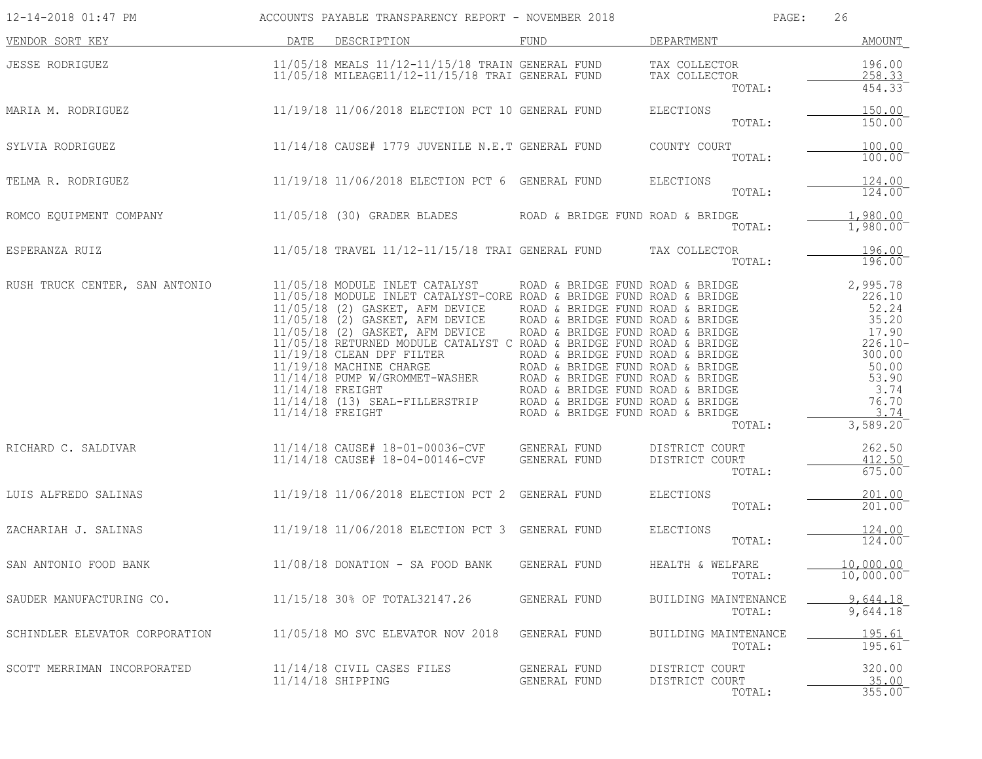| 12-14-2018 01:47 PM            |                                          | ACCOUNTS PAYABLE TRANSPARENCY REPORT - NOVEMBER 2018                                                                                                                                                                                                                                                                                                                                                                                                                                                                                                    |                                                                                                                                                                                                                                                                                              | PAGE:                                                     | 26                                                                                                                           |
|--------------------------------|------------------------------------------|---------------------------------------------------------------------------------------------------------------------------------------------------------------------------------------------------------------------------------------------------------------------------------------------------------------------------------------------------------------------------------------------------------------------------------------------------------------------------------------------------------------------------------------------------------|----------------------------------------------------------------------------------------------------------------------------------------------------------------------------------------------------------------------------------------------------------------------------------------------|-----------------------------------------------------------|------------------------------------------------------------------------------------------------------------------------------|
| VENDOR SORT KEY                | DATE                                     | DESCRIPTION                                                                                                                                                                                                                                                                                                                                                                                                                                                                                                                                             | FUND                                                                                                                                                                                                                                                                                         | DEPARTMENT                                                | <b>AMOUNT</b>                                                                                                                |
| JESSE RODRIGUEZ                |                                          | 11/05/18 MEALS 11/12-11/15/18 TRAIN GENERAL FUND<br>11/05/18 MILEAGE11/12-11/15/18 TRAI GENERAL FUND                                                                                                                                                                                                                                                                                                                                                                                                                                                    |                                                                                                                                                                                                                                                                                              | TAX COLLECTOR<br>TAX COLLECTOR<br>TAX COLLECTOR<br>TOTAL: | 196.00<br>258.33<br>454.33                                                                                                   |
| MARIA M. RODRIGUEZ             |                                          | 11/19/18 11/06/2018 ELECTION PCT 10 GENERAL FUND                                                                                                                                                                                                                                                                                                                                                                                                                                                                                                        |                                                                                                                                                                                                                                                                                              | ELECTIONS<br>TOTAL:                                       | 150.00<br>150.00                                                                                                             |
| SYLVIA RODRIGUEZ               |                                          | 11/14/18 CAUSE# 1779 JUVENILE N.E.T GENERAL FUND                                                                                                                                                                                                                                                                                                                                                                                                                                                                                                        |                                                                                                                                                                                                                                                                                              | COUNTY COURT<br>TOTAL:                                    | 100.00<br>100.00                                                                                                             |
| TELMA R. RODRIGUEZ             |                                          | $11/19/18$ $11/06/2018$ ELECTION PCT 6 GENERAL FUND                                                                                                                                                                                                                                                                                                                                                                                                                                                                                                     |                                                                                                                                                                                                                                                                                              | ELECTIONS<br>TOTAL:                                       | 124.00<br>124.00                                                                                                             |
| ROMCO EQUIPMENT COMPANY        |                                          | 11/05/18 (30) GRADER BLADES                                                                                                                                                                                                                                                                                                                                                                                                                                                                                                                             | ROAD & BRIDGE FUND ROAD & BRIDGE                                                                                                                                                                                                                                                             | TOTAL:                                                    | 1,980.00<br>$1,980.00^{-}$                                                                                                   |
| ESPERANZA RUIZ                 |                                          | 11/05/18 TRAVEL 11/12-11/15/18 TRAI GENERAL FUND                                                                                                                                                                                                                                                                                                                                                                                                                                                                                                        |                                                                                                                                                                                                                                                                                              | TAX COLLECTOR<br>TOTAL:                                   | 196.00<br>196.00                                                                                                             |
| RUSH TRUCK CENTER, SAN ANTONIO | $11/14/18$ FREIGHT<br>$11/14/18$ FREIGHT | 11/05/18 MODULE INLET CATALYST<br>11/05/18 MODULE INLET CATALYST-CORE ROAD & BRIDGE FUND ROAD & BRIDGE<br>$11/05/18$ (2) GASKET, AFM DEVICE<br>$11/05/18$ (2) GASKET, AFM DEVICE<br>11/05/18 (2) GASKET, AFM DEVICE<br>11/05/18 RETURNED MODULE CATALYST C ROAD & BRIDGE FUND ROAD & BRIDGE<br>11/19/18 CLEAN DPF FILTER<br>11/19/18 MACHINE CHARGE<br>11/19/18 PUMP W/GROMMET-WASHER<br>11/14/18 PUMP W/GROMMET-WASHER<br>1200 CORP CONDITIONS TO BELLOCK CHARGE TIMP ROAD & BRIDGE<br>11/14/18 (13) SEAL-FILLERSTRIP ROAD & BRIDGE FUND ROAD & BRIDGE | ROAD & BRIDGE FUND ROAD & BRIDGE<br>ROAD & BRIDGE FUND ROAD & BRIDGE<br>ROAD & BRIDGE FUND ROAD & BRIDGE<br>ROAD & BRIDGE FUND ROAD & BRIDGE<br>ROAD & BRIDGE FUND ROAD & BRIDGE<br>ROAD & BRIDGE FUND ROAD & BRIDGE<br>ROAD & BRIDGE FUND ROAD & BRIDGE<br>ROAD & BRIDGE FUND ROAD & BRIDGE | TOTAL:                                                    | 2,995.78<br>226.10<br>52.24<br>35.20<br>17.90<br>$226.10 -$<br>300.00<br>50.00<br>53.90<br>3.74<br>76.70<br>3.74<br>3,589.20 |
| RICHARD C. SALDIVAR            |                                          | 11/14/18 CAUSE# 18-01-00036-CVF GENERAL FUND<br>11/14/18 CAUSE# 18-04-00146-CVF                                                                                                                                                                                                                                                                                                                                                                                                                                                                         | <b>GENERAL FUND</b>                                                                                                                                                                                                                                                                          | DISTRICT COURT<br>DISTRICT COURT<br>TOTAL:                | 262.50<br>412.50<br>675.00                                                                                                   |
| LUIS ALFREDO SALINAS           |                                          | $11/19/18$ $11/06/2018$ ELECTION PCT 2 GENERAL FUND                                                                                                                                                                                                                                                                                                                                                                                                                                                                                                     |                                                                                                                                                                                                                                                                                              | ELECTIONS<br>TOTAL:                                       | 201.00<br>201.00                                                                                                             |
| ZACHARIAH J. SALINAS           |                                          | 11/19/18 11/06/2018 ELECTION PCT 3 GENERAL FUND                                                                                                                                                                                                                                                                                                                                                                                                                                                                                                         |                                                                                                                                                                                                                                                                                              | ELECTIONS<br>TOTAL:                                       | 124.00<br>124.00                                                                                                             |
| SAN ANTONIO FOOD BANK          |                                          | 11/08/18 DONATION - SA FOOD BANK                                                                                                                                                                                                                                                                                                                                                                                                                                                                                                                        | GENERAL FUND                                                                                                                                                                                                                                                                                 | HEALTH & WELFARE<br>TOTAL:                                | 10,000.00<br>$10,000.00^-$                                                                                                   |
| SAUDER MANUFACTURING CO.       |                                          | 11/15/18 30% OF TOTAL32147.26                                                                                                                                                                                                                                                                                                                                                                                                                                                                                                                           | GENERAL FUND                                                                                                                                                                                                                                                                                 | BUILDING MAINTENANCE<br>TOTAL:                            | 9,644.18<br>9,644.18                                                                                                         |
| SCHINDLER ELEVATOR CORPORATION |                                          | 11/05/18 MO SVC ELEVATOR NOV 2018                                                                                                                                                                                                                                                                                                                                                                                                                                                                                                                       | GENERAL FUND                                                                                                                                                                                                                                                                                 | BUILDING MAINTENANCE<br>TOTAL:                            | 195.61<br>195.61                                                                                                             |
| SCOTT MERRIMAN INCORPORATED    |                                          | 11/14/18 CIVIL CASES FILES<br>11/14/18 SHIPPING                                                                                                                                                                                                                                                                                                                                                                                                                                                                                                         | GENERAL FUND<br>GENERAL FUND                                                                                                                                                                                                                                                                 | DISTRICT COURT<br>DISTRICT COURT<br>TOTAL:                | 320.00<br>35.00<br>355.00                                                                                                    |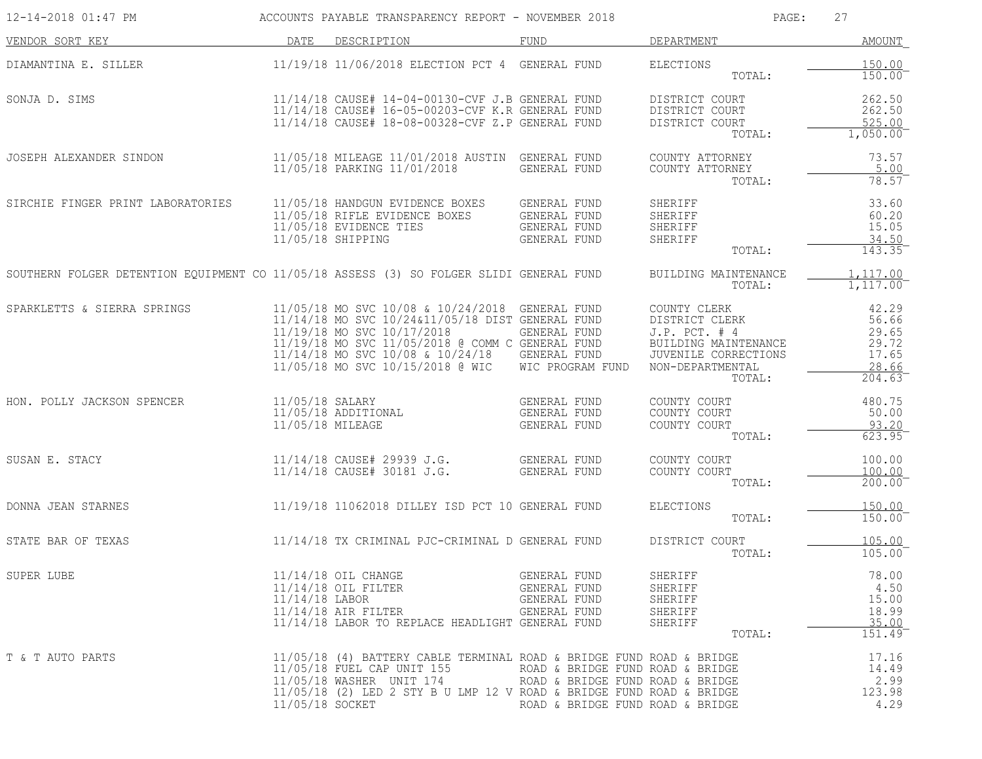| 12-14-2018 01:47 PM                                                                     |                                     | ACCOUNTS PAYABLE TRANSPARENCY REPORT - NOVEMBER 2018                                                                                                                                                                                                                       |                                                                                                          | PAGE:                                                                                                                         | 27                                                           |
|-----------------------------------------------------------------------------------------|-------------------------------------|----------------------------------------------------------------------------------------------------------------------------------------------------------------------------------------------------------------------------------------------------------------------------|----------------------------------------------------------------------------------------------------------|-------------------------------------------------------------------------------------------------------------------------------|--------------------------------------------------------------|
| VENDOR SORT KEY                                                                         | DATE                                | DESCRIPTION                                                                                                                                                                                                                                                                | FUND                                                                                                     | DEPARTMENT                                                                                                                    | AMOUNT                                                       |
| DIAMANTINA E. SILLER                                                                    |                                     | 11/19/18 11/06/2018 ELECTION PCT 4 GENERAL FUND                                                                                                                                                                                                                            |                                                                                                          | <b>ELECTIONS</b><br>TOTAL:                                                                                                    | 150.00<br>150.00                                             |
| SONJA D. SIMS                                                                           |                                     | 11/14/18 CAUSE# 14-04-00130-CVF J.B GENERAL FUND<br>11/14/18 CAUSE# 16-05-00203-CVF K.R GENERAL FUND<br>11/14/18 CAUSE# 18-08-00328-CVF Z.P GENERAL FUND                                                                                                                   |                                                                                                          | DISTRICT COURT<br>DISTRICT COURT<br>DISTRICT COURT<br>TOTAL:                                                                  | 262.50<br>262.50<br>525.00<br>1,050.00                       |
| JOSEPH ALEXANDER SINDON                                                                 |                                     | 11/05/18 MILEAGE 11/01/2018 AUSTIN GENERAL FUND<br>11/05/18 PARKING 11/01/2018                                                                                                                                                                                             | <b>GENERAL FUND</b>                                                                                      | COUNTY ATTORNEY<br>COUNTY ATTORNEY<br>TOTAL:                                                                                  | 73.57<br>5.00<br>78.57                                       |
| SIRCHIE FINGER PRINT LABORATORIES                                                       |                                     | 11/05/18 HANDGUN EVIDENCE BOXES<br>11/05/18 RIFLE EVIDENCE BOXES<br>11/05/18 EVIDENCE TIES<br>11/05/18 SHIPPING                                                                                                                                                            | GENERAL FUND<br><b>GENERAL FUND</b><br>GENERAL FUND<br>GENERAL FUND                                      | SHERIFF<br>SHERIFF<br>SHERIFF<br>SHERIFF<br>TOTAL:                                                                            | 33.60<br>60.20<br>15.05<br>34.50<br>143.35                   |
| SOUTHERN FOLGER DETENTION EQUIPMENT CO 11/05/18 ASSESS (3) SO FOLGER SLIDI GENERAL FUND |                                     |                                                                                                                                                                                                                                                                            |                                                                                                          | BUILDING MAINTENANCE<br>TOTAL:                                                                                                | 1, 117.00<br>1,117.00                                        |
| SPARKLETTS & SIERRA SPRINGS                                                             |                                     | 11/05/18 MO SVC 10/08 & 10/24/2018 GENERAL FUND<br>11/14/18 MO SVC 10/24&11/05/18 DIST GENERAL FUND<br>11/19/18 MO SVC 10/17/2018<br>11/19/18 MO SVC 11/05/2018 @ COMM C GENERAL FUND<br>11/14/18 MO SVC 10/08 & 10/24/18 GENERAL FUND<br>11/05/18 MO SVC 10/15/2018 @ WIC | GENERAL FUND<br>WIC PROGRAM FUND                                                                         | COUNTY CLERK<br>DISTRICT CLERK<br>J.P. PCT. # 4<br>BUILDING MAINTENANCE<br>JUVENILE CORRECTIONS<br>NON-DEPARTMENTAL<br>TOTAL: | 42.29<br>56.66<br>29.65<br>29.72<br>17.65<br>28.66<br>204.63 |
| HON. POLLY JACKSON SPENCER                                                              | 11/05/18 SALARY<br>11/05/18 MILEAGE | 11/05/18 ADDITIONAL                                                                                                                                                                                                                                                        | GENERAL FUND<br>GENERAL FUND<br>GENERAL FUND                                                             | COUNTY COURT<br>COUNTY COURT<br>COUNTY COURT<br>TOTAL:                                                                        | 480.75<br>50.00<br>93.20<br>623.95                           |
| SUSAN E. STACY                                                                          |                                     | 11/14/18 CAUSE# 29939 J.G.<br>11/14/18 CAUSE# 30181 J.G.                                                                                                                                                                                                                   | GENERAL FUND<br>GENERAL FUND                                                                             | COUNTY COURT<br>COUNTY COURT<br>TOTAL:                                                                                        | 100.00<br>100.00<br>200.00                                   |
| DONNA JEAN STARNES                                                                      |                                     | 11/19/18 11062018 DILLEY ISD PCT 10 GENERAL FUND                                                                                                                                                                                                                           |                                                                                                          | ELECTIONS<br>TOTAL:                                                                                                           | 150.00<br>150.00                                             |
| STATE BAR OF TEXAS                                                                      |                                     | 11/14/18 TX CRIMINAL PJC-CRIMINAL D GENERAL FUND                                                                                                                                                                                                                           |                                                                                                          | DISTRICT COURT<br>TOTAL:                                                                                                      | 105.00<br>105.00                                             |
| SUPER LUBE                                                                              | $11/14/18$ LABOR                    | $11/14/18$ OIL CHANGE<br>11/14/18 OIL FILTER<br>$11/14/18$ AIR FILTER<br>11/14/18 LABOR TO REPLACE HEADLIGHT GENERAL FUND                                                                                                                                                  | GENERAL FUND<br>GENERAL FUND<br>GENERAL FUND<br>GENERAL FUND                                             | SHERIFF<br>SHERIFF<br>SHERIFF<br>SHERIFF<br>SHERIFF<br>TOTAL:                                                                 | 78.00<br>4.50<br>15.00<br>18.99<br>35.00<br>151.49           |
| T & T AUTO PARTS                                                                        | 11/05/18 SOCKET                     | 11/05/18 (4) BATTERY CABLE TERMINAL ROAD & BRIDGE FUND ROAD & BRIDGE<br>11/05/18 FUEL CAP UNIT 155<br>11/05/18 WASHER UNIT 174<br>11/05/18 (2) LED 2 STY B U LMP 12 V ROAD & BRIDGE FUND ROAD & BRIDGE                                                                     | ROAD & BRIDGE FUND ROAD & BRIDGE<br>ROAD & BRIDGE FUND ROAD & BRIDGE<br>ROAD & BRIDGE FUND ROAD & BRIDGE |                                                                                                                               | 17.16<br>14.49<br>2.99<br>123.98<br>4.29                     |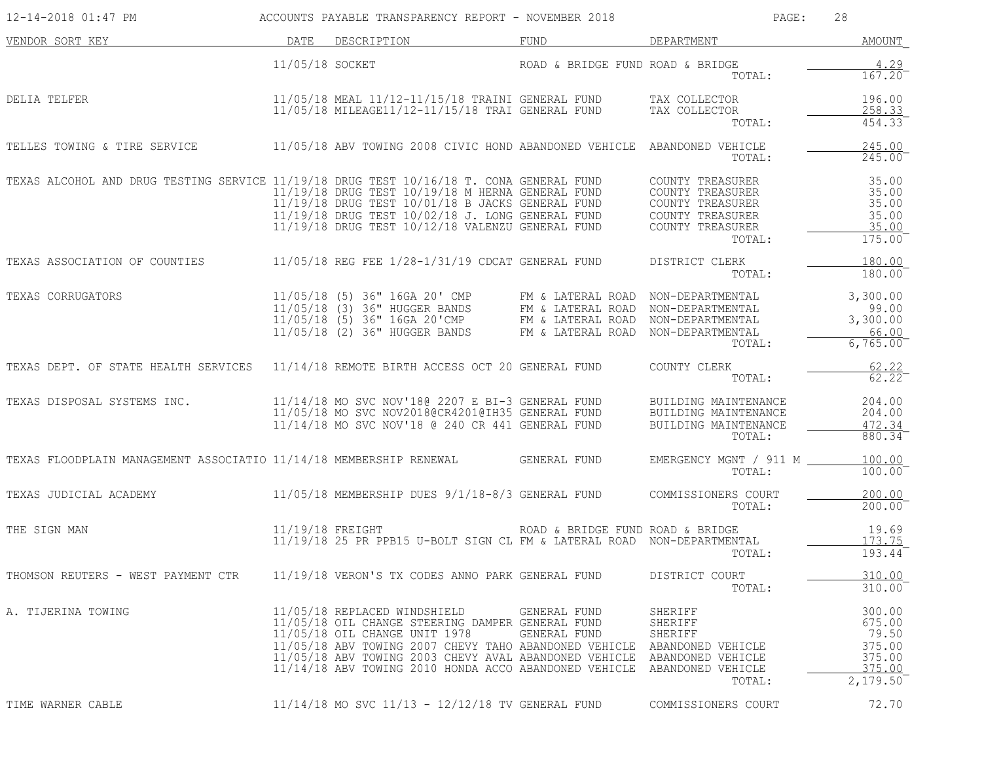| 12-14-2018 01:47 PM                                                                     |                  | ACCOUNTS PAYABLE TRANSPARENCY REPORT - NOVEMBER 2018                                                                                                                                                                                                                                                           |                                                                                                                    | 28<br>PAGE:                                                                                                |                                                                     |
|-----------------------------------------------------------------------------------------|------------------|----------------------------------------------------------------------------------------------------------------------------------------------------------------------------------------------------------------------------------------------------------------------------------------------------------------|--------------------------------------------------------------------------------------------------------------------|------------------------------------------------------------------------------------------------------------|---------------------------------------------------------------------|
| VENDOR SORT KEY                                                                         | DATE             | DESCRIPTION                                                                                                                                                                                                                                                                                                    | FUND                                                                                                               | DEPARTMENT                                                                                                 | AMOUNT                                                              |
|                                                                                         | 11/05/18 SOCKET  |                                                                                                                                                                                                                                                                                                                | ROAD & BRIDGE FUND ROAD & BRIDGE                                                                                   | TOTAL:                                                                                                     | 4.29<br>167.20                                                      |
| DELIA TELFER                                                                            |                  | 11/05/18 MEAL 11/12-11/15/18 TRAINI GENERAL FUND<br>11/05/18 MILEAGE11/12-11/15/18 TRAI GENERAL FUND                                                                                                                                                                                                           |                                                                                                                    | TAX COLLECTOR<br>TAX COLLECTOR<br>TOTAL:                                                                   | 196.00<br>258.33<br>454.33                                          |
| TELLES TOWING & TIRE SERVICE                                                            |                  | 11/05/18 ABV TOWING 2008 CIVIC HOND ABANDONED VEHICLE                                                                                                                                                                                                                                                          |                                                                                                                    | ABANDONED VEHICLE<br>TOTAL:                                                                                | 245.00<br>$245.00^-$                                                |
| TEXAS ALCOHOL AND DRUG TESTING SERVICE 11/19/18 DRUG TEST 10/16/18 T. CONA GENERAL FUND |                  | 11/19/18 DRUG TEST 10/19/18 M HERNA GENERAL FUND<br>11/19/18 DRUG TEST 10/01/18 B JACKS GENERAL FUND<br>11/19/18 DRUG TEST 10/02/18 J. LONG GENERAL FUND<br>$11/19/18$ DRUG TEST $10/12/18$ VALENZU GENERAL FUND                                                                                               |                                                                                                                    | COUNTY TREASURER<br>COUNTY TREASURER<br>COUNTY TREASURER<br>COUNTY TREASURER<br>COUNTY TREASURER<br>TOTAL: | 35.00<br>35.00<br>35.00<br>35.00<br>35.00<br>175.00                 |
| TEXAS ASSOCIATION OF COUNTIES                                                           |                  | $11/05/18$ REG FEE $1/28-1/31/19$ CDCAT GENERAL FUND                                                                                                                                                                                                                                                           |                                                                                                                    | DISTRICT CLERK<br>TOTAL:                                                                                   | 180.00<br>180.00                                                    |
| TEXAS CORRUGATORS                                                                       |                  | 11/05/18 (5) 36" 16GA 20' CMP<br>11/05/18 (3) 36" HUGGER BANDS<br>$11/05/18$ (5) 36" 16GA 20'CMP<br>11/05/18 (2) 36" HUGGER BANDS                                                                                                                                                                              | FM & LATERAL ROAD NON-DEPARTMENTAL<br>FM & LATERAL ROAD NON-DEPARTMENTAL<br>FM & LATERAL ROAD<br>FM & LATERAL ROAD | NON-DEPARTMENTAL<br>NON-DEPARTMENTAL<br>TOTAL:                                                             | 3,300.00<br>99.00<br>3,300.00<br>66.00<br>6,765.00                  |
| TEXAS DEPT. OF STATE HEALTH SERVICES                                                    |                  | 11/14/18 REMOTE BIRTH ACCESS OCT 20 GENERAL FUND                                                                                                                                                                                                                                                               |                                                                                                                    | COUNTY CLERK<br>TOTAL:                                                                                     | 62.22<br>62.22                                                      |
| TEXAS DISPOSAL SYSTEMS INC.                                                             |                  | 11/14/18 MO SVC NOV'180 2207 E BI-3 GENERAL FUND<br>11/05/18 MO SVC NOV2018@CR4201@IH35 GENERAL FUND<br>11/14/18 MO SVC NOV'18 @ 240 CR 441 GENERAL FUND                                                                                                                                                       |                                                                                                                    | BUILDING MAINTENANCE<br>BUILDING MAINTENANCE<br>BUILDING MAINTENANCE<br>TOTAL:                             | 204.00<br>204.00<br>472.34<br>880.34                                |
| TEXAS FLOODPLAIN MANAGEMENT ASSOCIATIO 11/14/18 MEMBERSHIP RENEWAL                      |                  |                                                                                                                                                                                                                                                                                                                | GENERAL FUND                                                                                                       | EMERGENCY MGNT / 911 M _<br>TOTAL:                                                                         | 100.00<br>100.00                                                    |
| TEXAS JUDICIAL ACADEMY                                                                  |                  | 11/05/18 MEMBERSHIP DUES 9/1/18-8/3 GENERAL FUND                                                                                                                                                                                                                                                               |                                                                                                                    | COMMISSIONERS COURT<br>TOTAL:                                                                              | 200.00<br>200.00                                                    |
| THE SIGN MAN                                                                            | 11/19/18 FREIGHT | 11/19/18 25 PR PPB15 U-BOLT SIGN CL FM & LATERAL ROAD NON-DEPARTMENTAL                                                                                                                                                                                                                                         | ROAD & BRIDGE FUND ROAD & BRIDGE                                                                                   | TOTAL:                                                                                                     | 19.69<br>173.75<br>193.44                                           |
| THOMSON REUTERS - WEST PAYMENT CTR                                                      |                  | 11/19/18 VERON'S TX CODES ANNO PARK GENERAL FUND                                                                                                                                                                                                                                                               |                                                                                                                    | DISTRICT COURT<br>TOTAL:                                                                                   | 310.00<br>310.00                                                    |
| A. TIJERINA TOWING                                                                      |                  | 11/05/18 REPLACED WINDSHIELD<br>11/05/18 OIL CHANGE STEERING DAMPER GENERAL FUND<br>11/05/18 OIL CHANGE UNIT 1978<br>11/05/18 ABV TOWING 2007 CHEVY TAHO ABANDONED VEHICLE<br>11/05/18 ABV TOWING 2003 CHEVY AVAL ABANDONED VEHICLE ABANDONED VEHICLE<br>11/14/18 ABV TOWING 2010 HONDA ACCO ABANDONED VEHICLE | GENERAL FUND<br>GENERAL FUND                                                                                       | SHERIFF<br>SHERIFF<br>SHERIFF<br>ABANDONED VEHICLE<br>ABANDONED VEHICLE<br>TOTAL:                          | 300.00<br>675.00<br>79.50<br>375.00<br>375.00<br>375.00<br>2,179.50 |
| TIME WARNER CABLE                                                                       |                  | 11/14/18 MO SVC 11/13 - 12/12/18 TV GENERAL FUND                                                                                                                                                                                                                                                               |                                                                                                                    | COMMISSIONERS COURT                                                                                        | 72.70                                                               |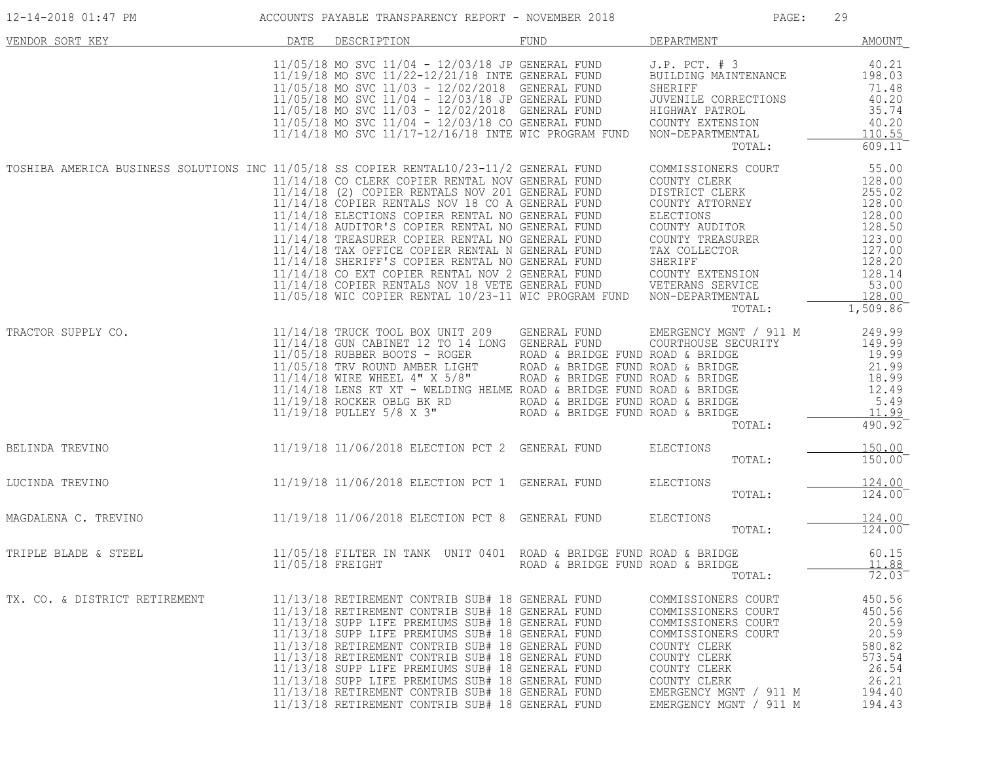| 12-14-2018 01:47 PM                                                                     |                  | ACCOUNTS PAYABLE TRANSPARENCY REPORT - NOVEMBER 2018                                                                                                                                                                                                                                                                                                                                                                                                                                                                                                                                                          |                                                                                                                                                              | PAGE:                                                                                                                                                                                                        | 29                                                                                                                             |
|-----------------------------------------------------------------------------------------|------------------|---------------------------------------------------------------------------------------------------------------------------------------------------------------------------------------------------------------------------------------------------------------------------------------------------------------------------------------------------------------------------------------------------------------------------------------------------------------------------------------------------------------------------------------------------------------------------------------------------------------|--------------------------------------------------------------------------------------------------------------------------------------------------------------|--------------------------------------------------------------------------------------------------------------------------------------------------------------------------------------------------------------|--------------------------------------------------------------------------------------------------------------------------------|
| VENDOR SORT KEY                                                                         | DATE             | DESCRIPTION                                                                                                                                                                                                                                                                                                                                                                                                                                                                                                                                                                                                   | FUND                                                                                                                                                         | DEPARTMENT                                                                                                                                                                                                   | <b>AMOUNT</b>                                                                                                                  |
|                                                                                         |                  | $11/05/18$ MO SVC $11/04$ - $12/03/18$ JP GENERAL FUND<br>11/19/18 MO SVC 11/22-12/21/18 INTE GENERAL FUND<br>11/05/18 MO SVC 11/03 - 12/02/2018 GENERAL FUND<br>11/05/18 MO SVC 11/04 - 12/03/18 JP GENERAL FUND<br>11/05/18 MO SVC 11/03 - 12/02/2018 GENERAL FUND<br>11/05/18 MO SVC 11/04 - 12/03/18 CO GENERAL FUND<br>11/14/18 MO SVC 11/17-12/16/18 INTE WIC PROGRAM FUND                                                                                                                                                                                                                              |                                                                                                                                                              | $J.P.$ PCT. $# 3$<br>BUILDING MAINTENANCE<br>SHERIFF<br>JUVENILE CORRECTIONS<br>HIGHWAY PATROL<br>COUNTY EXTENSION<br>NON-DEPARTMENTAL<br>TOTAL:                                                             | 40.21<br>198.03<br>71.48<br>40.20<br>35.74<br>40.20<br>110.55<br>$609.11$ <sup>-</sup>                                         |
| TOSHIBA AMERICA BUSINESS SOLUTIONS INC 11/05/18 SS COPIER RENTAL10/23-11/2 GENERAL FUND |                  | 11/14/18 CO CLERK COPIER RENTAL NOV GENERAL FUND<br>11/14/18 (2) COPIER RENTALS NOV 201 GENERAL FUND<br>11/14/18 COPIER RENTALS NOV 18 CO A GENERAL FUND<br>11/14/18 ELECTIONS COPIER RENTAL NO GENERAL FUND<br>11/14/18 AUDITOR'S COPIER RENTAL NO GENERAL FUND<br>11/14/18 TREASURER COPIER RENTAL NO GENERAL FUND<br>11/14/18 TAX OFFICE COPIER RENTAL N GENERAL FUND<br>11/14/18 SHERIFF'S COPIER RENTAL NO GENERAL FUND<br>11/14/18 CO EXT COPIER RENTAL NOV 2 GENERAL FUND<br>11/14/18 COPIER RENTALS NOV 18 VETE GENERAL FUND<br>11/05/18 WIC COPIER RENTAL 10/23-11 WIC PROGRAM FUND NON-DEPARTMENTAL |                                                                                                                                                              | COMMISSIONERS COURT<br>COUNTY CLERK<br>DISTRICT CLERK<br>COUNTY ATTORNEY<br>ELECTIONS<br>COUNTY AUDITOR<br>COUNTY TREASURER<br>TAX COLLECTOR<br>SHERIFF<br>COUNTY EXTENSION<br>VETERANS SERVICE<br>TOTAL:    | 55.00<br>128.00<br>255.02<br>128.00<br>128.00<br>128.50<br>123.00<br>127.00<br>128.20<br>128.14<br>53.00<br>128.00<br>1,509.86 |
| TRACTOR SUPPLY CO.                                                                      |                  | 11/14/18 TRUCK TOOL BOX UNIT 209<br>11/14/18 GUN CABINET 12 TO 14 LONG GENERAL FUND<br>$11/05/18$ RUBBER BOOTS - ROGER<br>11/14/18 WIRE WHEEL 4" X 5/8"<br>11/14/18 WIRE WHEEL 4" X 5/8"<br>11/14/18 LENS KT YT (11114/18 LENS)<br>11/14/18 LENS KT XT - WELDING HELME ROAD & BRIDGE FUND ROAD & BRIDGE<br>11/19/18 ROCKER OBLG BK RD<br>$11/19/18$ PULLEY 5/8 X 3" ROAD & BRIDGE FUND ROAD & BRIDGE                                                                                                                                                                                                          | GENERAL FUND<br>ROAD & BRIDGE FUND ROAD & BRIDGE<br>ROAD & BRIDGE FUND ROAD & BRIDGE<br>ROAD & BRIDGE FUND ROAD & BRIDGE<br>ROAD & BRIDGE FUND ROAD & BRIDGE | EMERGENCY MGNT / 911 M<br>COURTHOUSE SECURITY<br>TOTAL:                                                                                                                                                      | 249.99<br>149.99<br>19.99<br>21.99<br>18.99<br>12.49<br>5.49<br>11.99<br>490.92                                                |
| BELINDA TREVINO                                                                         |                  | 11/19/18 11/06/2018 ELECTION PCT 2 GENERAL FUND                                                                                                                                                                                                                                                                                                                                                                                                                                                                                                                                                               |                                                                                                                                                              | ELECTIONS<br>TOTAL:                                                                                                                                                                                          | 150.00<br>150.00                                                                                                               |
| LUCINDA TREVINO                                                                         |                  | 11/19/18 11/06/2018 ELECTION PCT 1 GENERAL FUND                                                                                                                                                                                                                                                                                                                                                                                                                                                                                                                                                               |                                                                                                                                                              | ELECTIONS<br>TOTAL:                                                                                                                                                                                          | 124.00<br>124.00                                                                                                               |
| MAGDALENA C. TREVINO                                                                    |                  | 11/19/18 11/06/2018 ELECTION PCT 8 GENERAL FUND                                                                                                                                                                                                                                                                                                                                                                                                                                                                                                                                                               |                                                                                                                                                              | ELECTIONS<br>TOTAL:                                                                                                                                                                                          | 124.00<br>124.00                                                                                                               |
| TRIPLE BLADE & STEEL                                                                    | 11/05/18 FREIGHT | 11/05/18 FILTER IN TANK UNIT 0401 ROAD & BRIDGE FUND ROAD & BRIDGE                                                                                                                                                                                                                                                                                                                                                                                                                                                                                                                                            | ROAD & BRIDGE FUND ROAD & BRIDGE                                                                                                                             | TOTAL:                                                                                                                                                                                                       | 60.15<br>11 88<br>72.03                                                                                                        |
| TX. CO. & DISTRICT RETIREMENT                                                           |                  | 11/13/18 RETIREMENT CONTRIB SUB# 18 GENERAL FUND<br>11/13/18 RETIREMENT CONTRIB SUB# 18 GENERAL FUND<br>11/13/18 SUPP LIFE PREMIUMS SUB# 18 GENERAL FUND<br>11/13/18 SUPP LIFE PREMIUMS SUB# 18 GENERAL FUND<br>11/13/18 RETIREMENT CONTRIB SUB# 18 GENERAL FUND<br>11/13/18 RETIREMENT CONTRIB SUB# 18 GENERAL FUND<br>11/13/18 SUPP LIFE PREMIUMS SUB# 18 GENERAL FUND<br>11/13/18 SUPP LIFE PREMIUMS SUB# 18 GENERAL FUND<br>11/13/18 RETIREMENT CONTRIB SUB# 18 GENERAL FUND<br>11/13/18 RETIREMENT CONTRIB SUB# 18 GENERAL FUND                                                                          |                                                                                                                                                              | COMMISSIONERS COURT<br>COMMISSIONERS COURT<br>COMMISSIONERS COURT<br>COMMISSIONERS COURT<br>COUNTY CLERK<br>COUNTY CLERK<br>COUNTY CLERK<br>COUNTY CLERK<br>EMERGENCY MGNT / 911 M<br>EMERGENCY MGNT / 911 M | 450.56<br>450.56<br>20.59<br>20.59<br>580.82<br>573.54<br>26.54<br>26.21<br>194.40<br>194.43                                   |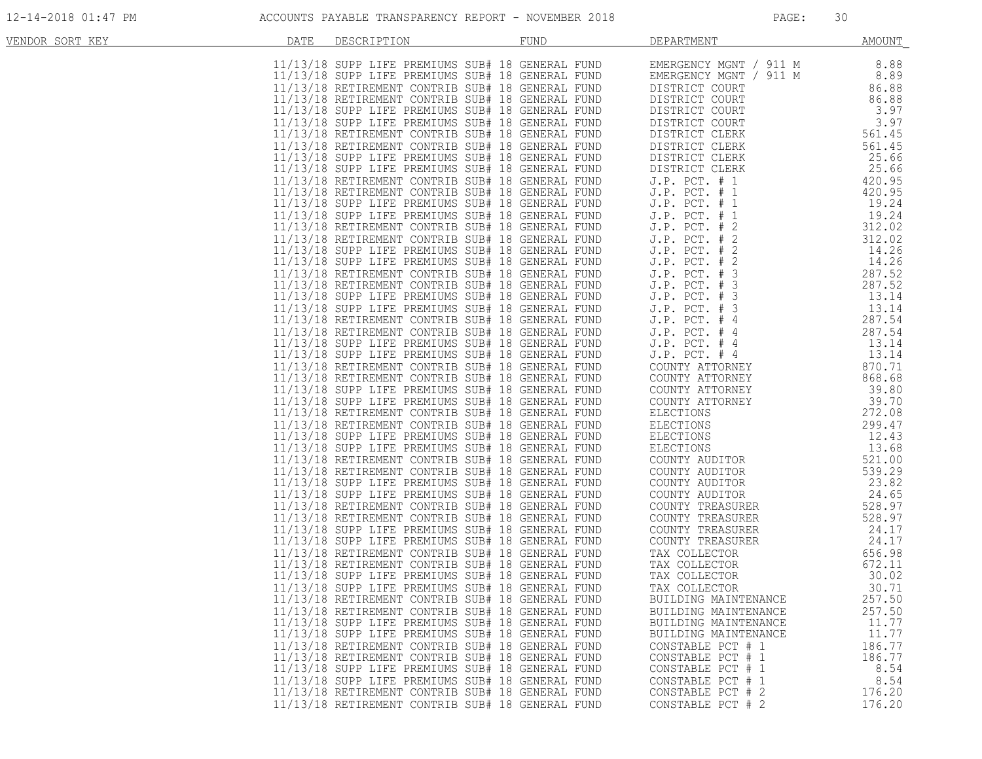| VENDOR SORT KEY | DATE | DESCRIPTION | <b>FUND</b>                                                                                          | DEPARTMENT                                | <b>AMOUNT</b>   |
|-----------------|------|-------------|------------------------------------------------------------------------------------------------------|-------------------------------------------|-----------------|
|                 |      |             |                                                                                                      |                                           |                 |
|                 |      |             |                                                                                                      |                                           |                 |
|                 |      |             |                                                                                                      |                                           |                 |
|                 |      |             |                                                                                                      |                                           |                 |
|                 |      |             |                                                                                                      |                                           |                 |
|                 |      |             |                                                                                                      |                                           |                 |
|                 |      |             |                                                                                                      |                                           |                 |
|                 |      |             |                                                                                                      |                                           |                 |
|                 |      |             |                                                                                                      |                                           |                 |
|                 |      |             |                                                                                                      |                                           |                 |
|                 |      |             |                                                                                                      |                                           |                 |
|                 |      |             |                                                                                                      |                                           |                 |
|                 |      |             |                                                                                                      |                                           |                 |
|                 |      |             |                                                                                                      |                                           |                 |
|                 |      |             |                                                                                                      |                                           |                 |
|                 |      |             |                                                                                                      |                                           |                 |
|                 |      |             |                                                                                                      |                                           |                 |
|                 |      |             |                                                                                                      |                                           |                 |
|                 |      |             |                                                                                                      |                                           |                 |
|                 |      |             |                                                                                                      |                                           |                 |
|                 |      |             |                                                                                                      |                                           |                 |
|                 |      |             |                                                                                                      |                                           |                 |
|                 |      |             |                                                                                                      |                                           |                 |
|                 |      |             |                                                                                                      |                                           |                 |
|                 |      |             |                                                                                                      |                                           |                 |
|                 |      |             |                                                                                                      |                                           |                 |
|                 |      |             |                                                                                                      |                                           |                 |
|                 |      |             |                                                                                                      |                                           |                 |
|                 |      |             |                                                                                                      |                                           |                 |
|                 |      |             |                                                                                                      |                                           |                 |
|                 |      |             |                                                                                                      |                                           |                 |
|                 |      |             |                                                                                                      |                                           |                 |
|                 |      |             |                                                                                                      |                                           |                 |
|                 |      |             |                                                                                                      |                                           |                 |
|                 |      |             |                                                                                                      |                                           |                 |
|                 |      |             |                                                                                                      |                                           |                 |
|                 |      |             |                                                                                                      |                                           |                 |
|                 |      |             |                                                                                                      |                                           |                 |
|                 |      |             |                                                                                                      |                                           |                 |
|                 |      |             |                                                                                                      |                                           |                 |
|                 |      |             |                                                                                                      |                                           |                 |
|                 |      |             |                                                                                                      |                                           |                 |
|                 |      |             | 11/13/18 RETIREMENT CONTRIB SUB# 18 GENERAL FUND                                                     | BUILDING MAINTENANCE                      | 257.50          |
|                 |      |             | 11/13/18 RETIREMENT CONTRIB SUB# 18 GENERAL FUND                                                     | BUILDING MAINTENANCE                      | 257.50          |
|                 |      |             | 11/13/18 SUPP LIFE PREMIUMS SUB# 18 GENERAL FUND                                                     | BUILDING MAINTENANCE                      | 11.77           |
|                 |      |             | 11/13/18 SUPP LIFE PREMIUMS SUB# 18 GENERAL FUND<br>11/13/18 RETIREMENT CONTRIB SUB# 18 GENERAL FUND | BUILDING MAINTENANCE<br>CONSTABLE PCT # 1 | 11.77<br>186.77 |
|                 |      |             | 11/13/18 RETIREMENT CONTRIB SUB# 18 GENERAL FUND                                                     | CONSTABLE PCT # 1                         | 186.77          |
|                 |      |             | 11/13/18 SUPP LIFE PREMIUMS SUB# 18 GENERAL FUND                                                     | CONSTABLE PCT # 1                         | 8.54            |
|                 |      |             | 11/13/18 SUPP LIFE PREMIUMS SUB# 18 GENERAL FUND                                                     | CONSTABLE PCT # 1                         | 8.54            |
|                 |      |             | 11/13/18 RETIREMENT CONTRIB SUB# 18 GENERAL FUND                                                     | CONSTABLE PCT # 2                         | 176.20          |
|                 |      |             | 11/13/18 RETIREMENT CONTRIB SUB# 18 GENERAL FUND                                                     | CONSTABLE PCT # 2                         | 176.20          |
|                 |      |             |                                                                                                      |                                           |                 |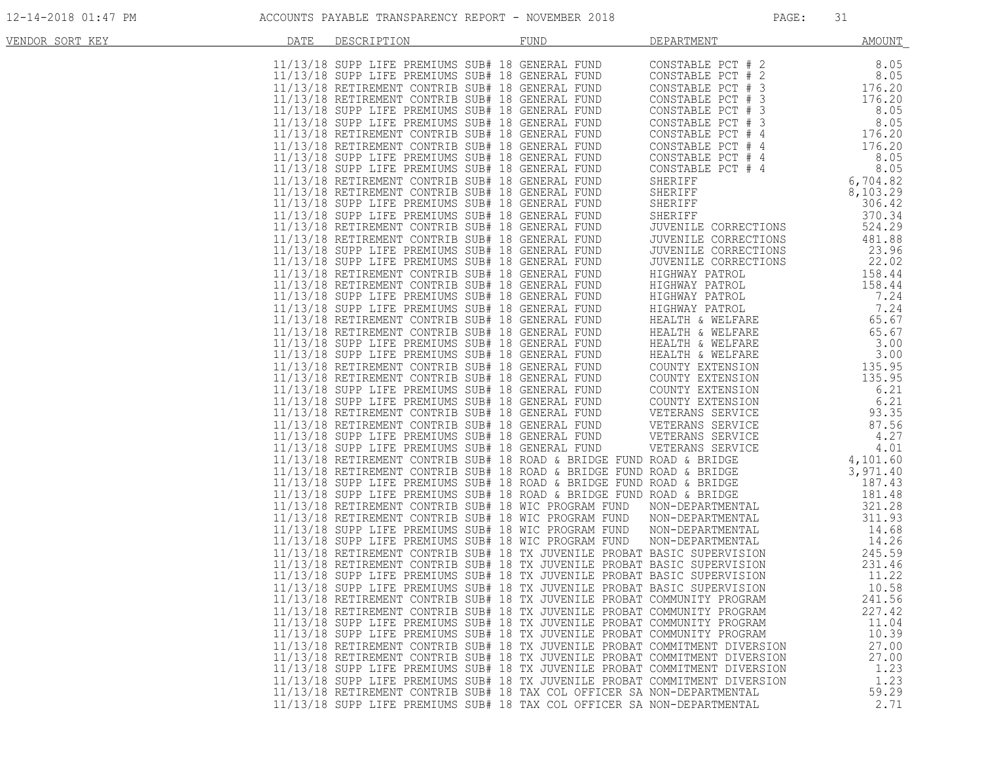| VENDOR SORT KEY | DATE | DESCRIPTION | <b>FUND</b>                                                                                                                                                                                                                    | DEPARTMENT                                                                                                                                                                                                   | <b>AMOUNT</b>                |
|-----------------|------|-------------|--------------------------------------------------------------------------------------------------------------------------------------------------------------------------------------------------------------------------------|--------------------------------------------------------------------------------------------------------------------------------------------------------------------------------------------------------------|------------------------------|
|                 |      |             | 347. BROKENLY, THE PREMIUM STREAM FUND ISSUE AND 1992-2013. AND 1992-2013. AND 11/13/18 SUPP LIFE PREMIUMS SUPP 12 CONSTRAINS CONSTRAINS CONSTRAINS CONSTRAINS CONSTRAINS CONSTRAINS CONSTRAINS CONSTRAINS CONSTRAINS CONSTRA  |                                                                                                                                                                                                              |                              |
|                 |      |             |                                                                                                                                                                                                                                |                                                                                                                                                                                                              |                              |
|                 |      |             |                                                                                                                                                                                                                                |                                                                                                                                                                                                              |                              |
|                 |      |             |                                                                                                                                                                                                                                |                                                                                                                                                                                                              |                              |
|                 |      |             |                                                                                                                                                                                                                                |                                                                                                                                                                                                              |                              |
|                 |      |             |                                                                                                                                                                                                                                |                                                                                                                                                                                                              |                              |
|                 |      |             |                                                                                                                                                                                                                                |                                                                                                                                                                                                              |                              |
|                 |      |             |                                                                                                                                                                                                                                |                                                                                                                                                                                                              |                              |
|                 |      |             |                                                                                                                                                                                                                                |                                                                                                                                                                                                              |                              |
|                 |      |             |                                                                                                                                                                                                                                |                                                                                                                                                                                                              |                              |
|                 |      |             |                                                                                                                                                                                                                                |                                                                                                                                                                                                              |                              |
|                 |      |             |                                                                                                                                                                                                                                | CONSTABLE PCT # 4<br>CONSTABLE PCT # 4<br>CONSTABLE PCT # 4<br>8.05<br>SHERIFF 6,704.82<br>SHERIFF 8106.42<br>SHERIFF 306.42<br>SHERIFF 370.34<br>JUVENILE CORRECTIONS 524.29<br>TUVENILE CORRECTIONS 524.29 |                              |
|                 |      |             |                                                                                                                                                                                                                                |                                                                                                                                                                                                              |                              |
|                 |      |             |                                                                                                                                                                                                                                |                                                                                                                                                                                                              |                              |
|                 |      |             |                                                                                                                                                                                                                                |                                                                                                                                                                                                              |                              |
|                 |      |             |                                                                                                                                                                                                                                |                                                                                                                                                                                                              |                              |
|                 |      |             |                                                                                                                                                                                                                                |                                                                                                                                                                                                              |                              |
|                 |      |             |                                                                                                                                                                                                                                |                                                                                                                                                                                                              |                              |
|                 |      |             |                                                                                                                                                                                                                                |                                                                                                                                                                                                              |                              |
|                 |      |             |                                                                                                                                                                                                                                |                                                                                                                                                                                                              |                              |
|                 |      |             |                                                                                                                                                                                                                                |                                                                                                                                                                                                              |                              |
|                 |      |             |                                                                                                                                                                                                                                |                                                                                                                                                                                                              |                              |
|                 |      |             |                                                                                                                                                                                                                                |                                                                                                                                                                                                              |                              |
|                 |      |             |                                                                                                                                                                                                                                |                                                                                                                                                                                                              |                              |
|                 |      |             |                                                                                                                                                                                                                                |                                                                                                                                                                                                              |                              |
|                 |      |             |                                                                                                                                                                                                                                |                                                                                                                                                                                                              |                              |
|                 |      |             |                                                                                                                                                                                                                                |                                                                                                                                                                                                              |                              |
|                 |      |             |                                                                                                                                                                                                                                |                                                                                                                                                                                                              |                              |
|                 |      |             |                                                                                                                                                                                                                                |                                                                                                                                                                                                              |                              |
|                 |      |             |                                                                                                                                                                                                                                |                                                                                                                                                                                                              |                              |
|                 |      |             |                                                                                                                                                                                                                                |                                                                                                                                                                                                              |                              |
|                 |      |             |                                                                                                                                                                                                                                |                                                                                                                                                                                                              |                              |
|                 |      |             |                                                                                                                                                                                                                                |                                                                                                                                                                                                              |                              |
|                 |      |             |                                                                                                                                                                                                                                |                                                                                                                                                                                                              |                              |
|                 |      |             |                                                                                                                                                                                                                                |                                                                                                                                                                                                              | 181.48                       |
|                 |      |             |                                                                                                                                                                                                                                |                                                                                                                                                                                                              | $321.28$<br>311.93<br>311.93 |
|                 |      |             | 11/13/18 SUPP LIFE PREMIUMS SUB# 18 GENERAL AVAILABLE PRODUCE AND A BAIDGE THANGER IN 11/13/18 SUPP LIFE PREMIUMS SUB# 18 ROAD & BRIDGE FUND ROAD & BRIDGE 11/13/18 RETIREMENT CONTRIB SUB# 18 ROAD & BRIDGE FUND ROAD & BRIDG |                                                                                                                                                                                                              | 14.68                        |
|                 |      |             |                                                                                                                                                                                                                                |                                                                                                                                                                                                              | 14.26                        |
|                 |      |             |                                                                                                                                                                                                                                |                                                                                                                                                                                                              | 245.59                       |
|                 |      |             |                                                                                                                                                                                                                                |                                                                                                                                                                                                              | 231.46                       |
|                 |      |             |                                                                                                                                                                                                                                |                                                                                                                                                                                                              | 11.22                        |
|                 |      |             |                                                                                                                                                                                                                                |                                                                                                                                                                                                              | 10.58                        |
|                 |      |             | 11/13/18 RETIREMENT CONTRIB SUB# 18 TX JUVENILE PROBAT COMMUNITY PROGRAM<br>11/13/18 RETIREMENT CONTRIB SUB# 18 TX JUVENILE PROBAT COMMUNITY PROGRAM                                                                           |                                                                                                                                                                                                              | 241.56<br>227.42             |
|                 |      |             | 11/13/18 SUPP LIFE PREMIUMS SUB# 18 TX JUVENILE PROBAT COMMUNITY PROGRAM                                                                                                                                                       |                                                                                                                                                                                                              | 11.04                        |
|                 |      |             | 11/13/18 SUPP LIFE PREMIUMS SUB# 18 TX JUVENILE PROBAT COMMUNITY PROGRAM                                                                                                                                                       |                                                                                                                                                                                                              | 10.39                        |
|                 |      |             | 11/13/18 RETIREMENT CONTRIB SUB# 18 TX JUVENILE PROBAT COMMITMENT DIVERSION                                                                                                                                                    |                                                                                                                                                                                                              | 27.00                        |
|                 |      |             | 11/13/18 RETIREMENT CONTRIB SUB# 18 TX JUVENILE PROBAT COMMITMENT DIVERSION                                                                                                                                                    |                                                                                                                                                                                                              | 27.00                        |
|                 |      |             | 11/13/18 SUPP LIFE PREMIUMS SUB# 18 TX JUVENILE PROBAT COMMITMENT DIVERSION                                                                                                                                                    |                                                                                                                                                                                                              | 1.23                         |
|                 |      |             | 11/13/18 SUPP LIFE PREMIUMS SUB# 18 TX JUVENILE PROBAT COMMITMENT DIVERSION                                                                                                                                                    |                                                                                                                                                                                                              | 1.23                         |
|                 |      |             | 11/13/18 RETIREMENT CONTRIB SUB# 18 TAX COL OFFICER SA NON-DEPARTMENTAL                                                                                                                                                        |                                                                                                                                                                                                              | 59.29                        |
|                 |      |             | 11/13/18 SUPP LIFE PREMIUMS SUB# 18 TAX COL OFFICER SA NON-DEPARTMENTAL                                                                                                                                                        |                                                                                                                                                                                                              | 2.71                         |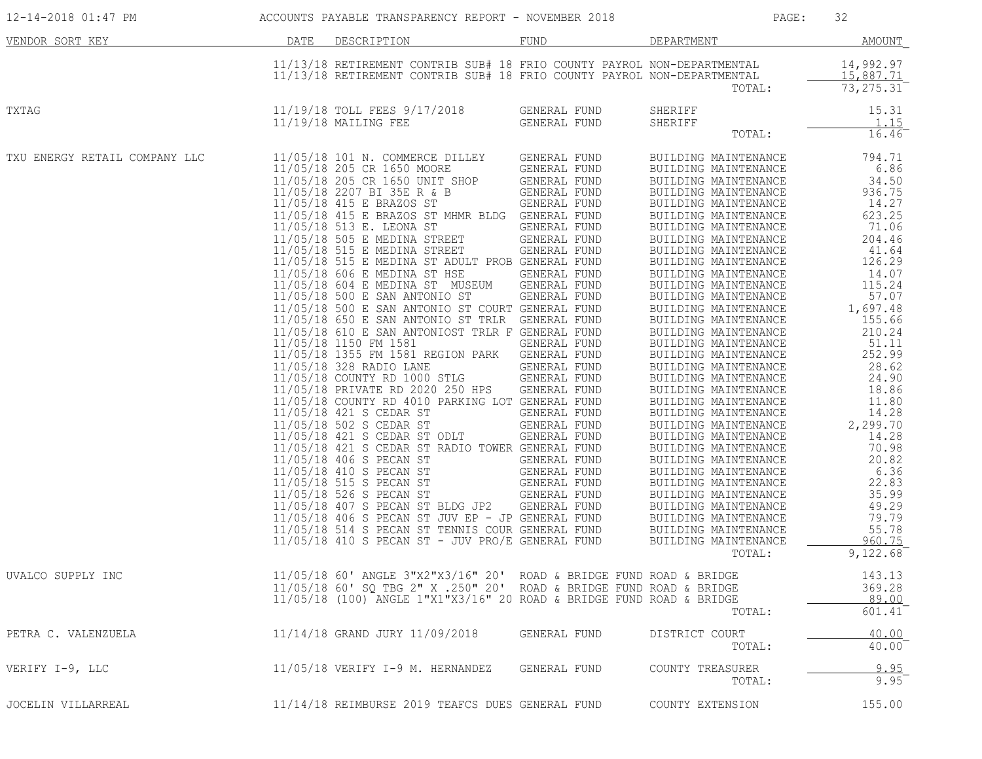| 12-14-2018 01:47 PM           | ACCOUNTS PAYABLE TRANSPARENCY REPORT - NOVEMBER 2018 |                                                                                                                                                    |                              | PAGE:                                        | 32                                   |
|-------------------------------|------------------------------------------------------|----------------------------------------------------------------------------------------------------------------------------------------------------|------------------------------|----------------------------------------------|--------------------------------------|
| VENDOR SORT KEY               | DATE                                                 | DESCRIPTION                                                                                                                                        | FUND                         | DEPARTMENT                                   | AMOUNT                               |
|                               |                                                      | 11/13/18 RETIREMENT CONTRIB SUB# 18 FRIO COUNTY PAYROL NON-DEPARTMENTAL<br>11/13/18 RETIREMENT CONTRIB SUB# 18 FRIO COUNTY PAYROL NON-DEPARTMENTAL |                              | TOTAL:                                       | 14,992.97<br>15,887.71<br>73, 275.31 |
|                               |                                                      |                                                                                                                                                    |                              |                                              |                                      |
| TXTAG                         |                                                      | 11/19/18 TOLL FEES 9/17/2018<br>$11/19/18$ MAILING FEE                                                                                             | GENERAL FUND<br>GENERAL FUND | SHERIFF<br>SHERIFF                           | 15.31<br>1.15                        |
|                               |                                                      |                                                                                                                                                    |                              | TOTAL:                                       | 16.46                                |
| TXU ENERGY RETAIL COMPANY LLC |                                                      | 11/05/18 101 N. COMMERCE DILLEY                                                                                                                    | GENERAL FUND                 | BUILDING MAINTENANCE                         | 794.71                               |
|                               |                                                      | 11/05/18 205 CR 1650 MOORE<br>11/05/18 205 CR 1650 UNIT SHOP                                                                                       | GENERAL FUND                 | BUILDING MAINTENANCE                         | 6.86                                 |
|                               |                                                      | 11/05/18 2207 BI 35E R & B                                                                                                                         | GENERAL FUND<br>GENERAL FUND | BUILDING MAINTENANCE                         | 34.50<br>936.75                      |
|                               |                                                      | 11/05/18 415 E BRAZOS ST                                                                                                                           | GENERAL FUND                 | BUILDING MAINTENANCE<br>BUILDING MAINTENANCE | 14.27                                |
|                               |                                                      | 11/05/18 415 E BRAZOS ST MHMR BLDG GENERAL FUND                                                                                                    |                              | BUILDING MAINTENANCE                         | 623.25                               |
|                               |                                                      | 11/05/18 513 E. LEONA ST                                                                                                                           | GENERAL FUND                 | BUILDING MAINTENANCE                         | 71.06                                |
|                               |                                                      | 11/05/18 505 E MEDINA STREET                                                                                                                       | GENERAL FUND                 | BUILDING MAINTENANCE                         | 204.46                               |
|                               |                                                      | 11/05/18 515 E MEDINA STREET                                                                                                                       | GENERAL FUND                 | BUILDING MAINTENANCE                         | 41.64                                |
|                               |                                                      | 11/05/18 515 E MEDINA ST ADULT PROB GENERAL FUND                                                                                                   |                              | BUILDING MAINTENANCE                         | 126.29                               |
|                               |                                                      | 11/05/18 606 E MEDINA ST HSE                                                                                                                       | GENERAL FUND                 | BUILDING MAINTENANCE                         | 14.07                                |
|                               |                                                      | 11/05/18 604 E MEDINA ST MUSEUM GENERAL FUND                                                                                                       |                              | BUILDING MAINTENANCE                         | 115.24                               |
|                               |                                                      | 11/05/18 500 E SAN ANTONIO ST                                                                                                                      | GENERAL FUND                 | BUILDING MAINTENANCE                         | 57.07                                |
|                               |                                                      | 11/05/18 500 E SAN ANTONIO ST COURT GENERAL FUND                                                                                                   |                              | BUILDING MAINTENANCE                         | 1,697.48                             |
|                               |                                                      | 11/05/18 650 E SAN ANTONIO ST TRLR GENERAL FUND                                                                                                    |                              | BUILDING MAINTENANCE                         | 155.66                               |
|                               |                                                      | 11/05/18 610 E SAN ANTONIOST TRLR F GENERAL FUND                                                                                                   |                              | BUILDING MAINTENANCE                         | 210.24                               |
|                               |                                                      | 11/05/18 1150 FM 1581                                                                                                                              | GENERAL FUND                 | BUILDING MAINTENANCE                         | 51.11                                |
|                               |                                                      | 11/05/18 1355 FM 1581 REGION PARK                                                                                                                  | GENERAL FUND                 | BUILDING MAINTENANCE                         | 252.99                               |
|                               |                                                      | 11/05/18 328 RADIO LANE<br>11/05/18 COUNTY RD 1000 STLG                                                                                            | GENERAL FUND                 | BUILDING MAINTENANCE                         | 28.62                                |
|                               |                                                      | 11/05/18 PRIVATE RD 2020 250 HPS                                                                                                                   | GENERAL FUND                 | BUILDING MAINTENANCE                         | 24.90                                |
|                               |                                                      | 11/05/18 COUNTY RD 4010 PARKING LOT GENERAL FUND                                                                                                   | GENERAL FUND                 | BUILDING MAINTENANCE<br>BUILDING MAINTENANCE | 18.86<br>11.80                       |
|                               |                                                      | 11/05/18 421 S CEDAR ST                                                                                                                            | GENERAL FUND                 | BUILDING MAINTENANCE                         | 14.28                                |
|                               |                                                      | 11/05/18 502 S CEDAR ST                                                                                                                            | GENERAL FUND                 | BUILDING MAINTENANCE                         | 2,299.70                             |
|                               |                                                      | 11/05/18 421 S CEDAR ST ODLT                                                                                                                       | GENERAL FUND                 | BUILDING MAINTENANCE                         | 14.28                                |
|                               |                                                      | 11/05/18 421 S CEDAR ST RADIO TOWER GENERAL FUND                                                                                                   |                              | BUILDING MAINTENANCE                         | 70.98                                |
|                               |                                                      | 11/05/18 406 S PECAN ST                                                                                                                            | GENERAL FUND                 | BUILDING MAINTENANCE                         | 20.82                                |
|                               |                                                      | 11/05/18 410 S PECAN ST                                                                                                                            | GENERAL FUND                 | BUILDING MAINTENANCE                         | 6.36                                 |
|                               |                                                      | 11/05/18 515 S PECAN ST                                                                                                                            | GENERAL FUND                 | BUILDING MAINTENANCE                         | 22.83                                |
|                               |                                                      | 11/05/18 526 S PECAN ST                                                                                                                            | GENERAL FUND                 | BUILDING MAINTENANCE                         | 35.99                                |
|                               |                                                      | 11/05/18 407 S PECAN ST BLDG JP2                                                                                                                   | GENERAL FUND                 | BUILDING MAINTENANCE                         | 49.29                                |
|                               |                                                      | 11/05/18 406 S PECAN ST JUV EP - JP GENERAL FUND                                                                                                   |                              | BUILDING MAINTENANCE                         | 79.79                                |
|                               |                                                      | 11/05/18 514 S PECAN ST TENNIS COUR GENERAL FUND                                                                                                   |                              | BUILDING MAINTENANCE                         | 55.78                                |
|                               |                                                      | 11/05/18 410 S PECAN ST - JUV PRO/E GENERAL FUND                                                                                                   |                              | BUILDING MAINTENANCE                         | 960.75                               |
|                               |                                                      |                                                                                                                                                    |                              | TOTAL:                                       | 9,122.68                             |
| UVALCO SUPPLY INC             |                                                      | 11/05/18 60' ANGLE 3"X2"X3/16" 20' ROAD & BRIDGE FUND ROAD & BRIDGE                                                                                |                              |                                              | 143.13                               |
|                               |                                                      | 11/05/18 60' SQ TBG 2" X .250" 20' ROAD & BRIDGE FUND ROAD & BRIDGE                                                                                |                              |                                              | 369.28                               |
|                               |                                                      | 11/05/18 (100) ANGLE 1"X1"X3/16" 20 ROAD & BRIDGE FUND ROAD & BRIDGE                                                                               |                              |                                              | 89.00                                |
|                               |                                                      |                                                                                                                                                    |                              | TOTAL:                                       | 601.41                               |
| PETRA C. VALENZUELA           |                                                      | 11/14/18 GRAND JURY 11/09/2018                                                                                                                     | GENERAL FUND                 | DISTRICT COURT                               | 40.00                                |
|                               |                                                      |                                                                                                                                                    |                              | TOTAL:                                       | $40.00^{-}$                          |
| VERIFY I-9, LLC               |                                                      | 11/05/18 VERIFY I-9 M. HERNANDEZ                                                                                                                   | GENERAL FUND                 | COUNTY TREASURER                             | 9.95                                 |
|                               |                                                      |                                                                                                                                                    |                              | TOTAL:                                       | 9.95                                 |
| JOCELIN VILLARREAL            |                                                      | 11/14/18 REIMBURSE 2019 TEAFCS DUES GENERAL FUND                                                                                                   |                              | COUNTY EXTENSION                             | 155.00                               |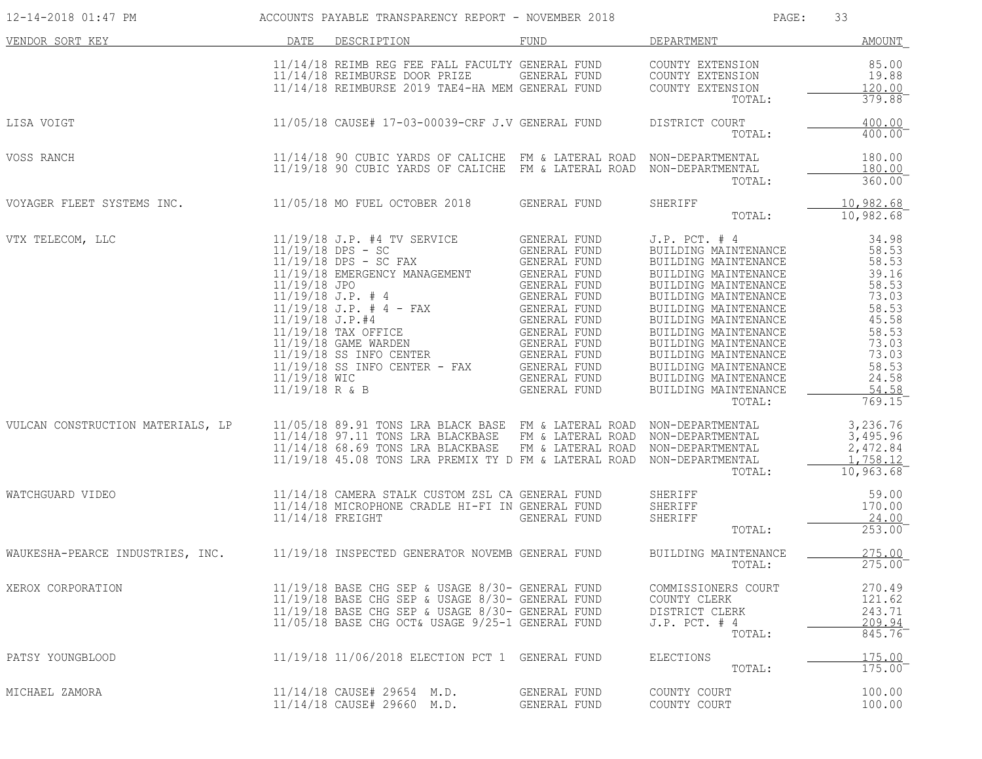| 12-14-2018 01:47 PM                                                               | ACCOUNTS PAYABLE TRANSPARENCY REPORT - NOVEMBER 2018                                                                                                                                                                                                                                            |                              | PAGE:                                                                                                                                                                                                                                                                                                                                                                                                    | 33                                                           |
|-----------------------------------------------------------------------------------|-------------------------------------------------------------------------------------------------------------------------------------------------------------------------------------------------------------------------------------------------------------------------------------------------|------------------------------|----------------------------------------------------------------------------------------------------------------------------------------------------------------------------------------------------------------------------------------------------------------------------------------------------------------------------------------------------------------------------------------------------------|--------------------------------------------------------------|
| DATE<br>VENDOR SORT KEY                                                           | DESCRIPTION                                                                                                                                                                                                                                                                                     | FUND                         | DEPARTMENT                                                                                                                                                                                                                                                                                                                                                                                               | AMOUNT                                                       |
|                                                                                   | 11/14/18 REIMB REG FEE FALL FACULTY GENERAL FUND COUNTY EXTENSION<br>11/14/18 REIMBURSE DOOR PRIZE GENERAL FUND COUNTY EXTENSION<br>11/14/18 REIMBURSE 2019 TAE4-HA MEM GENERAL FUND COUNTY EXTENSION                                                                                           |                              | TOTAL:                                                                                                                                                                                                                                                                                                                                                                                                   | 85.00<br>19.88<br>120.00<br>$379.88$ <sup>-</sup>            |
| LISA VOIGT                                                                        | 11/05/18 CAUSE# 17-03-00039-CRF J.V GENERAL FUND DISTRICT COURT                                                                                                                                                                                                                                 |                              | TOTAL:                                                                                                                                                                                                                                                                                                                                                                                                   | 400.00<br>400.00                                             |
| VOSS RANCH                                                                        | 11/14/18 90 CUBIC YARDS OF CALICHE FM & LATERAL ROAD NON-DEPARTMENTAL<br>11/19/18 90 CUBIC YARDS OF CALICHE FM & LATERAL ROAD NON-DEPARTMENTAL                                                                                                                                                  |                              | TOTAL:                                                                                                                                                                                                                                                                                                                                                                                                   | 180.00<br>180.00<br>360.00                                   |
| VOYAGER FLEET SYSTEMS INC. 11/05/18 MO FUEL OCTOBER 2018 GENERAL FUND             |                                                                                                                                                                                                                                                                                                 |                              | SHERIFF<br>TOTAL:                                                                                                                                                                                                                                                                                                                                                                                        | 10,982.68<br>10,982.68                                       |
| VTX TELECOM, LLC                                                                  | $[19/18 J.P. #4 TV SEKV-UC-$ $[19/18 DPS - SC FAXL/19/18 EMERGENCY MANASEMENT1/19/18 J.P. # 411/19/18 J.P. # 411/19/18 J.P. # 411/19/18 J.P. # 411/19/18 J.P. # 411/19/18 J.P. # 411/19/18 J.P. # 411/19/18 J.P. # 411/19/18 J.P. # 411/19/18 T.P. # 411/19/18 GAME W$                          | GENERAL FUND                 | J.P. PCT. # 4 34.98<br>BUILDING MAINTENANCE 58.53<br>BUILDING MAINTENANCE 58.53<br>BUILDING MAINTENANCE 39.16<br>BUILDING MAINTENANCE 58.53<br>BUILDING MAINTENANCE 73.03<br>BUILDING MAINTENANCE 58.53<br>BUILDING MAINTENANCE 45.58<br>BUILD<br>BUILDING MAINTENANCE<br>BUILDING MAINTENANCE<br>BUILDING MAINTENANCE<br>BUILDING MAINTENANCE<br>BUILDING MAINTENANCE<br>BUILDING MAINTENANCE<br>TOTAL: | 58.53<br>73.03<br>73.03<br>58.53<br>24.58<br>54.58<br>769.15 |
| VULCAN CONSTRUCTION MATERIALS, LP                                                 | 11/05/18 89.91 TONS LRA BLACK BASE FM & LATERAL ROAD NON-DEPARTMENTAL<br>11/14/18 97.11 TONS LRA BLACKBASE FM & LATERAL ROAD NON-DEPARTMENTAL<br>11/14/18 68.69 TONS LRA BLACKBASE FM & LATERAL ROAD NON-DEPARTMENTAL<br>11/19/18 45.08 TONS LRA PREMIX TY D FM & LATERAL ROAD NON-DEPARTMENTAL |                              | TOTAL:                                                                                                                                                                                                                                                                                                                                                                                                   | 3,236.76<br>3,495.96<br>2,472.84<br>1,758.12<br>10,963.68    |
| WATCHGUARD VIDEO                                                                  | 11/14/18 CAMERA STALK CUSTOM ZSL CA GENERAL FUND<br>11/14/18 MICROPHONE CRADLE HI-FI IN GENERAL FUND<br>11/14/18 MICROWE CRADLE HI-FI IN GENERAL FUND<br>$11/14/18$ FREIGHT                                                                                                                     | GENERAL FUND                 | SHERIFF<br>SHERIFF<br>Chiter<br>TOTAL:                                                                                                                                                                                                                                                                                                                                                                   | 59.00<br>170.00<br>24.00<br>253.00                           |
| WAUKESHA-PEARCE INDUSTRIES, INC. 11/19/18 INSPECTED GENERATOR NOVEMB GENERAL FUND |                                                                                                                                                                                                                                                                                                 |                              | BUILDING MAINTENANCE<br>TOTAL:                                                                                                                                                                                                                                                                                                                                                                           | 275.00<br>275.00                                             |
| XEROX CORPORATION                                                                 | 11/19/18 BASE CHG SEP & USAGE 8/30- GENERAL FUND<br>11/19/18 BASE CHG SEP & USAGE 8/30- GENERAL FUND<br>11/19/18 BASE CHG SEP & USAGE 8/30- GENERAL FUND<br>11/05/18 BASE CHG OCT& USAGE 9/25-1 GENERAL FUND                                                                                    |                              | COMMISSIONERS COURT<br>COUNTY CLERK<br>DISTRICT CLERK<br>$J.P.$ PCT. $#4$<br>TOTAL:                                                                                                                                                                                                                                                                                                                      | 270.49<br>121.62<br>243.71<br>209.94<br>845.76               |
| PATSY YOUNGBLOOD                                                                  | 11/19/18 11/06/2018 ELECTION PCT 1 GENERAL FUND                                                                                                                                                                                                                                                 |                              | ELECTIONS<br>TOTAL:                                                                                                                                                                                                                                                                                                                                                                                      | 175.00<br>175.00                                             |
| MICHAEL ZAMORA                                                                    | 11/14/18 CAUSE# 29654 M.D.<br>11/14/18 CAUSE# 29660 M.D.                                                                                                                                                                                                                                        | GENERAL FUND<br>GENERAL FUND | COUNTY COURT<br>COUNTY COURT                                                                                                                                                                                                                                                                                                                                                                             | 100.00<br>100.00                                             |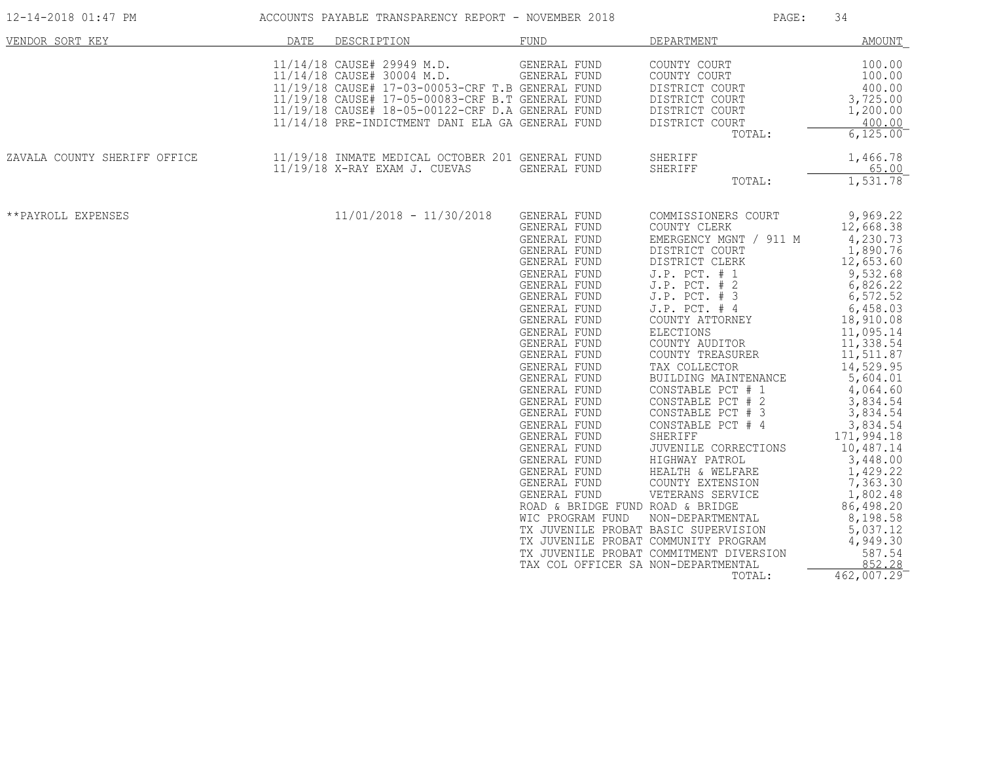| VENDOR SORT KEY              | DATE | DESCRIPTION                                                                                                                                                                                                                                                              | FUND                                                                                                                                                                                                                                                                                                                                                                                                                                                                                                                                                                                        | DEPARTMENT                                                                                                                                                                                                                                                                                                                                                                                                                                                                                                                                                                                       | <b>AMOUNT</b>                                                                                                                                                                                                                                                                                                                                                                                          |
|------------------------------|------|--------------------------------------------------------------------------------------------------------------------------------------------------------------------------------------------------------------------------------------------------------------------------|---------------------------------------------------------------------------------------------------------------------------------------------------------------------------------------------------------------------------------------------------------------------------------------------------------------------------------------------------------------------------------------------------------------------------------------------------------------------------------------------------------------------------------------------------------------------------------------------|--------------------------------------------------------------------------------------------------------------------------------------------------------------------------------------------------------------------------------------------------------------------------------------------------------------------------------------------------------------------------------------------------------------------------------------------------------------------------------------------------------------------------------------------------------------------------------------------------|--------------------------------------------------------------------------------------------------------------------------------------------------------------------------------------------------------------------------------------------------------------------------------------------------------------------------------------------------------------------------------------------------------|
|                              |      | 11/14/18 CAUSE# 29949 M.D.<br>11/14/18 CAUSE# 30004 M.D.<br>11/19/18 CAUSE# 17-03-00053-CRF T.B GENERAL FUND<br>11/19/18 CAUSE# 17-05-00083-CRF B.T GENERAL FUND<br>11/19/18 CAUSE# 18-05-00122-CRF D.A GENERAL FUND<br>11/14/18 PRE-INDICTMENT DANI ELA GA GENERAL FUND | GENERAL FUND<br>GENERAL FUND                                                                                                                                                                                                                                                                                                                                                                                                                                                                                                                                                                | COUNTY COURT<br>COUNTY COURT<br>DISTRICT COURT<br>DISTRICT COURT<br>DISTRICT COURT<br>DISTRICT COURT<br>TOTAL:                                                                                                                                                                                                                                                                                                                                                                                                                                                                                   | 100.00<br>100.00<br>400.00<br>3,725.00<br>1,200.00<br>400.00<br>6,125.00                                                                                                                                                                                                                                                                                                                               |
| ZAVALA COUNTY SHERIFF OFFICE |      | 11/19/18 INMATE MEDICAL OCTOBER 201 GENERAL FUND<br>11/19/18 X-RAY EXAM J. CUEVAS                                                                                                                                                                                        | GENERAL FUND                                                                                                                                                                                                                                                                                                                                                                                                                                                                                                                                                                                | SHERIFF<br>SHERIFF<br>TOTAL:                                                                                                                                                                                                                                                                                                                                                                                                                                                                                                                                                                     | 1,466.78<br>65.00<br>1,531.78                                                                                                                                                                                                                                                                                                                                                                          |
| **PAYROLL EXPENSES           |      | $11/01/2018 - 11/30/2018$                                                                                                                                                                                                                                                | GENERAL FUND<br>GENERAL FUND<br>GENERAL FUND<br>GENERAL FUND<br>GENERAL FUND<br>GENERAL FUND<br>GENERAL FUND<br>GENERAL FUND<br>GENERAL FUND<br>GENERAL FUND<br>GENERAL FUND<br>GENERAL FUND<br>GENERAL FUND<br>GENERAL FUND<br>GENERAL FUND<br>GENERAL FUND<br>GENERAL FUND<br>GENERAL FUND<br>GENERAL FUND<br>GENERAL FUND<br>GENERAL FUND<br>GENERAL FUND<br>GENERAL FUND<br>GENERAL FUND<br>GENERAL FUND<br>ROAD & BRIDGE FUND ROAD & BRIDGE<br>WIC PROGRAM FUND<br>TX JUVENILE PROBAT BASIC SUPERVISION<br>TX JUVENILE PROBAT COMMUNITY PROGRAM<br>TAX COL OFFICER SA NON-DEPARTMENTAL | COMMISSIONERS COURT<br>COUNTY CLERK<br>EMERGENCY MGNT / 911 M<br>DISTRICT COURT<br>DISTRICT CLERK<br>J.P. PCT. # 1<br>$J.P.$ PCT. $# 2$<br>$J.P.$ PCT. $#$<br>-3<br>$J.P.$ PCT. $#4$<br>COUNTY ATTORNEY<br><b>ELECTIONS</b><br>COUNTY AUDITOR<br>COUNTY TREASURER<br>TAX COLLECTOR<br>BUILDING MAINTENANCE<br>CONSTABLE PCT # 1<br>CONSTABLE PCT # 2<br>CONSTABLE PCT #<br>-3<br>CONSTABLE PCT #<br>-4<br>SHERIFF<br>JUVENILE CORRECTIONS<br>HIGHWAY PATROL<br>HEALTH & WELFARE<br>COUNTY EXTENSION<br>VETERANS SERVICE<br>NON-DEPARTMENTAL<br>TX JUVENILE PROBAT COMMITMENT DIVERSION<br>TOTAL: | 9,969.22<br>12,668.38<br>4,230.73<br>1,890.76<br>12,653.60<br>9,532.68<br>6,826.22<br>6,572.52<br>6,458.03<br>18,910.08<br>11,095.14<br>11,338.54<br>11, 511.87<br>14,529.95<br>5,604.01<br>4,064.60<br>3,834.54<br>3,834.54<br>3,834.54<br>171,994.18<br>10,487.14<br>3,448.00<br>1,429.22<br>7,363.30<br>1,802.48<br>86,498.20<br>8,198.58<br>5,037.12<br>4,949.30<br>587.54<br>852.28<br>462,007.29 |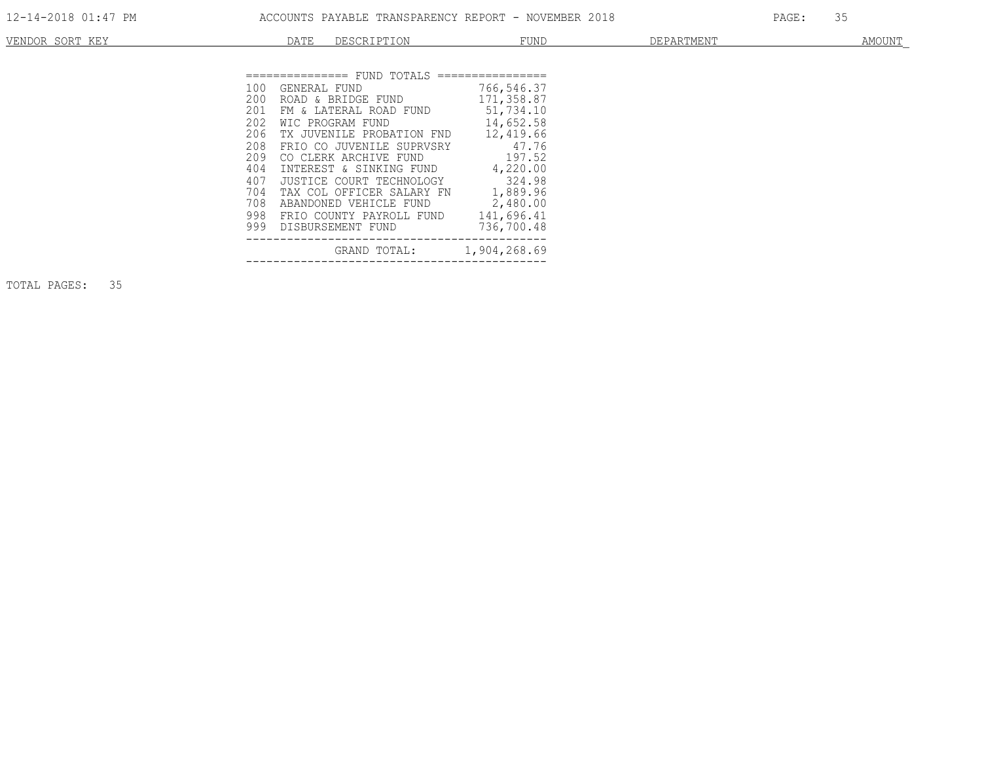| <b>VENDOR</b><br>ייחיו חתממ<br><b>LVI</b> | ⊞ דבר | $+ 11$                      | FUNL              | ________<br>ARIMEN.<br>. | AMOUN" |
|-------------------------------------------|-------|-----------------------------|-------------------|--------------------------|--------|
|                                           |       |                             |                   |                          |        |
|                                           |       | =============== FUND TOTALS | ================= |                          |        |

| 100 | GENERAL FUND                     | 766,546.37 |
|-----|----------------------------------|------------|
| 200 | ROAD & BRIDGE FUND 171,358.87    |            |
| 201 | FM & LATERAL ROAD FUND 51,734.10 |            |
| 202 | WIC PROGRAM FUND                 | 14,652.58  |
| 206 | TX JUVENILE PROBATION FND        | 12,419.66  |
| 208 | FRIO CO JUVENILE SUPRVSRY 47.76  |            |
| 209 | CO CLERK ARCHIVE FUND            | 197.52     |
| 404 | INTEREST & SINKING FUND          | 4,220.00   |
| 407 | JUSTICE COURT TECHNOLOGY         | 324.98     |
| 704 | TAX COL OFFICER SALARY FN        | 1,889.96   |
| 708 | ABANDONED VEHICLE FUND           | 2,480.00   |
| 998 | FRIO COUNTY PAYROLL FUND         | 141,696.41 |
|     | 999 DISBURSEMENT FUND            | 736,700.48 |
|     | GRAND TOTAL: 1,904,268.69        |            |
|     |                                  |            |

TOTAL PAGES: 35